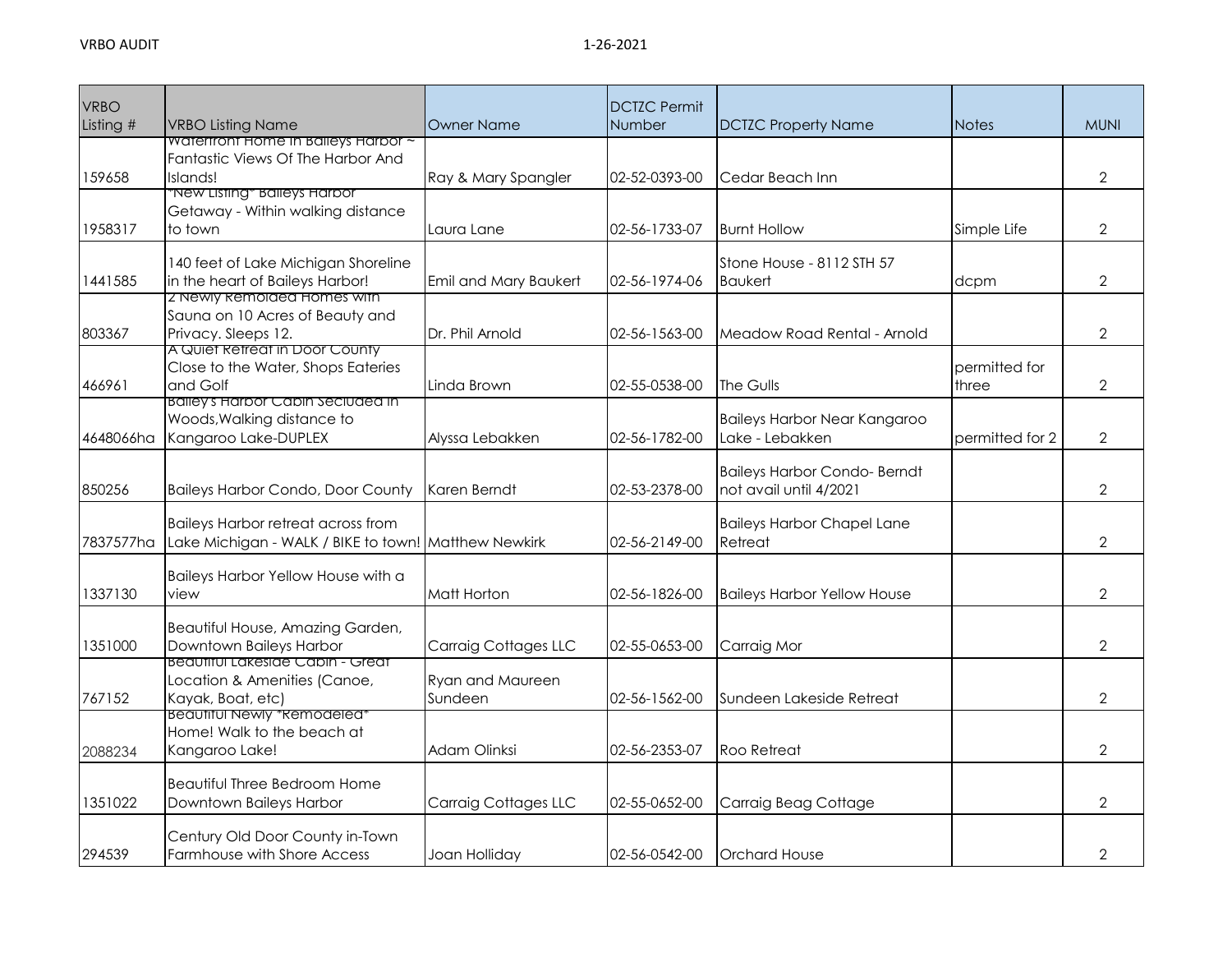| <b>VRBO</b> |                                                                                 |                             | <b>DCTZC Permit</b> |                                     |                 |                |
|-------------|---------------------------------------------------------------------------------|-----------------------------|---------------------|-------------------------------------|-----------------|----------------|
| Listing #   | <b>VRBO Listing Name</b>                                                        | <b>Owner Name</b>           | <b>Number</b>       | <b>DCTZC Property Name</b>          | <b>Notes</b>    | <b>MUNI</b>    |
|             | <b>Watertront Home In Balleys Harbor ~</b><br>Fantastic Views Of The Harbor And |                             |                     |                                     |                 |                |
| 159658      | Islands!                                                                        | Ray & Mary Spangler         | 02-52-0393-00       | Cedar Beach Inn                     |                 | $\overline{2}$ |
|             | "New Listing" Balleys Harbor                                                    |                             |                     |                                     |                 |                |
|             | Getaway - Within walking distance                                               |                             |                     |                                     |                 |                |
| 1958317     | to town                                                                         | Laura Lane                  | 02-56-1733-07       | <b>Burnt Hollow</b>                 | Simple Life     | $\overline{2}$ |
|             |                                                                                 |                             |                     |                                     |                 |                |
|             | 140 feet of Lake Michigan Shoreline                                             |                             |                     | Stone House - 8112 STH 57           |                 |                |
| 1441585     | in the heart of Baileys Harbor!                                                 | Emil and Mary Baukert       | 02-56-1974-06       | <b>Baukert</b>                      | dcpm            | $\overline{2}$ |
|             | 2 Newly Remolded Homes with                                                     |                             |                     |                                     |                 |                |
|             | Sauna on 10 Acres of Beauty and                                                 |                             |                     |                                     |                 |                |
| 803367      | Privacy. Sleeps 12.<br>A Quiet Retreat in Door County                           | Dr. Phil Arnold             | 02-56-1563-00       | Meadow Road Rental - Arnold         |                 | $\overline{2}$ |
|             | Close to the Water, Shops Eateries                                              |                             |                     |                                     | permitted for   |                |
| 466961      | and Golf                                                                        | Linda Brown                 | 02-55-0538-00       | The Gulls                           | three           | $\overline{2}$ |
|             | <u>Balley's Harbor Cabin Seciudea in</u>                                        |                             |                     |                                     |                 |                |
|             | Woods, Walking distance to                                                      |                             |                     | Baileys Harbor Near Kangaroo        |                 |                |
| 4648066ha   | Kangaroo Lake-DUPLEX                                                            | Alyssa Lebakken             | 02-56-1782-00       | Lake - Lebakken                     | permitted for 2 | $\overline{2}$ |
|             |                                                                                 |                             |                     |                                     |                 |                |
|             |                                                                                 |                             |                     | <b>Baileys Harbor Condo- Berndt</b> |                 |                |
| 850256      | <b>Baileys Harbor Condo, Door County</b>                                        | Karen Berndt                | 02-53-2378-00       | not avail until 4/2021              |                 | $\overline{2}$ |
|             |                                                                                 |                             |                     |                                     |                 |                |
|             | <b>Baileys Harbor retreat across from</b>                                       |                             | 02-56-2149-00       | <b>Baileys Harbor Chapel Lane</b>   |                 | $\overline{2}$ |
| 7837577ha   | Lake Michigan - WALK / BIKE to town! Matthew Newkirk                            |                             |                     | Retreat                             |                 |                |
|             | Baileys Harbor Yellow House with a                                              |                             |                     |                                     |                 |                |
| 1337130     | view                                                                            | Matt Horton                 | 02-56-1826-00       | <b>Baileys Harbor Yellow House</b>  |                 | $\overline{2}$ |
|             |                                                                                 |                             |                     |                                     |                 |                |
|             | Beautiful House, Amazing Garden,                                                |                             |                     |                                     |                 |                |
| 1351000     | Downtown Baileys Harbor                                                         | <b>Carraig Cottages LLC</b> | 02-55-0653-00       | Carraig Mor                         |                 | $\overline{2}$ |
|             | Beaufiful Lakeside Cabin - Greaf                                                |                             |                     |                                     |                 |                |
|             | Location & Amenities (Canoe,                                                    | Ryan and Maureen            |                     |                                     |                 |                |
| 767152      | Kayak, Boat, etc)<br><u>Beaufiful Newly "Remodeled"</u>                         | Sundeen                     | 02-56-1562-00       | Sundeen Lakeside Retreat            |                 | $\overline{2}$ |
|             | Home! Walk to the beach at                                                      |                             |                     |                                     |                 |                |
| 2088234     | Kangaroo Lake!                                                                  | Adam Olinksi                | 02-56-2353-07       | <b>Roo Retreat</b>                  |                 | $\overline{2}$ |
|             |                                                                                 |                             |                     |                                     |                 |                |
|             | Beautiful Three Bedroom Home                                                    |                             |                     |                                     |                 |                |
| 1351022     | Downtown Baileys Harbor                                                         | <b>Carraig Cottages LLC</b> | 02-55-0652-00       | Carraig Beag Cottage                |                 | $\overline{2}$ |
|             |                                                                                 |                             |                     |                                     |                 |                |
|             | Century Old Door County in-Town                                                 |                             |                     |                                     |                 |                |
| 294539      | <b>Farmhouse with Shore Access</b>                                              | Joan Holliday               | 02-56-0542-00       | <b>Orchard House</b>                |                 | $\overline{2}$ |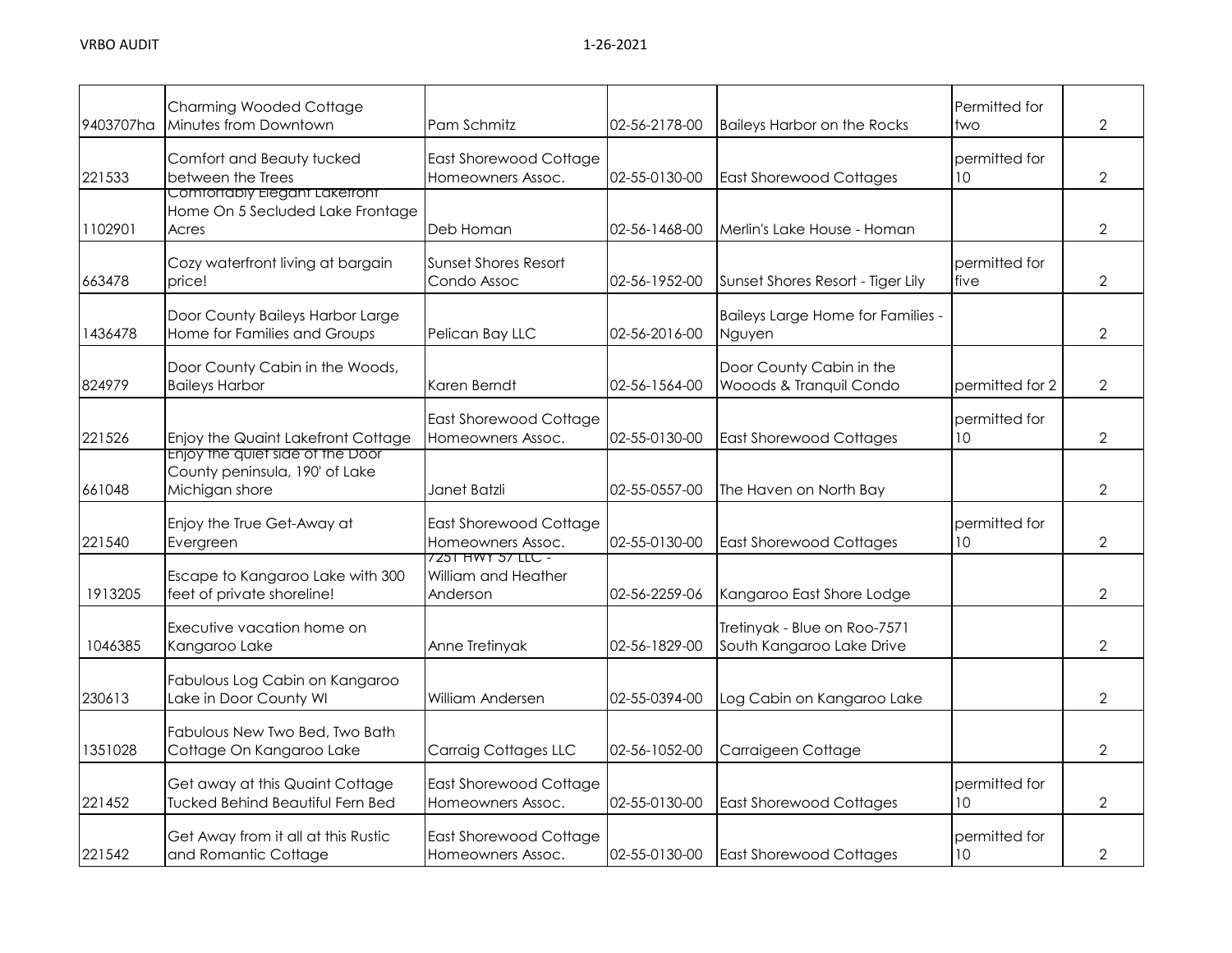| 9403707ha | <b>Charming Wooded Cottage</b><br>Minutes from Downtown                              | Pam Schmitz                                          | 02-56-2178-00 | <b>Baileys Harbor on the Rocks</b>                        | Permitted for<br>two             | $\overline{2}$ |
|-----------|--------------------------------------------------------------------------------------|------------------------------------------------------|---------------|-----------------------------------------------------------|----------------------------------|----------------|
| 221533    | Comfort and Beauty tucked<br>between the Trees                                       | <b>East Shorewood Cottage</b><br>Homeowners Assoc.   | 02-55-0130-00 | <b>East Shorewood Cottages</b>                            | permitted for<br>10 <sup>°</sup> | $\overline{2}$ |
| 1102901   | Comfortably Elegant Laketront<br>Home On 5 Secluded Lake Frontage<br>Acres           | Deb Homan                                            | 02-56-1468-00 | Merlin's Lake House - Homan                               |                                  | $\overline{2}$ |
| 663478    | Cozy waterfront living at bargain<br>price!                                          | Sunset Shores Resort<br>Condo Assoc                  | 02-56-1952-00 | Sunset Shores Resort - Tiger Lily                         | permitted for<br>five            | $\overline{2}$ |
| 1436478   | Door County Baileys Harbor Large<br>Home for Families and Groups                     | Pelican Bay LLC                                      | 02-56-2016-00 | Baileys Large Home for Families -<br>Nguyen               |                                  | $\overline{2}$ |
| 824979    | Door County Cabin in the Woods,<br><b>Baileys Harbor</b>                             | Karen Berndt                                         | 02-56-1564-00 | Door County Cabin in the<br>Wooods & Tranquil Condo       | permitted for 2                  | $\overline{2}$ |
| 221526    | Enjoy the Quaint Lakefront Cottage                                                   | <b>East Shorewood Cottage</b><br>Homeowners Assoc.   | 02-55-0130-00 | <b>East Shorewood Cottages</b>                            | permitted for<br>10 <sup>°</sup> | $\overline{2}$ |
| 661048    | Enjoy the quiet side of the Door<br>County peninsula, 190' of Lake<br>Michigan shore | Janet Batzli                                         | 02-55-0557-00 | The Haven on North Bay                                    |                                  | $\overline{2}$ |
| 221540    | Enjoy the True Get-Away at<br>Evergreen                                              | East Shorewood Cottage<br>Homeowners Assoc.          | 02-55-0130-00 | <b>East Shorewood Cottages</b>                            | permitted for<br>10 <sup>°</sup> | $\overline{2}$ |
| 1913205   | Escape to Kangaroo Lake with 300<br>feet of private shoreline!                       | 7251 HWY 57 LLC -<br>William and Heather<br>Anderson | 02-56-2259-06 | Kangaroo East Shore Lodge                                 |                                  | $\overline{2}$ |
| 1046385   | Executive vacation home on<br>Kangaroo Lake                                          | Anne Tretinyak                                       | 02-56-1829-00 | Tretinyak - Blue on Roo-7571<br>South Kangaroo Lake Drive |                                  | $\overline{2}$ |
| 230613    | Fabulous Log Cabin on Kangaroo<br>Lake in Door County WI                             | William Andersen                                     | 02-55-0394-00 | Log Cabin on Kangaroo Lake                                |                                  | $\overline{2}$ |
| 1351028   | Fabulous New Two Bed, Two Bath<br>Cottage On Kangaroo Lake                           | <b>Carraig Cottages LLC</b>                          | 02-56-1052-00 | Carraigeen Cottage                                        |                                  | $\overline{2}$ |
| 221452    | Get away at this Quaint Cottage<br><b>Tucked Behind Beautiful Fern Bed</b>           | <b>East Shorewood Cottage</b><br>Homeowners Assoc.   | 02-55-0130-00 | <b>East Shorewood Cottages</b>                            | permitted for<br>10 <sup>°</sup> | $\overline{2}$ |
| 221542    | Get Away from it all at this Rustic<br>and Romantic Cottage                          | <b>East Shorewood Cottage</b><br>Homeowners Assoc.   | 02-55-0130-00 | <b>East Shorewood Cottages</b>                            | permitted for<br>10              | $\overline{2}$ |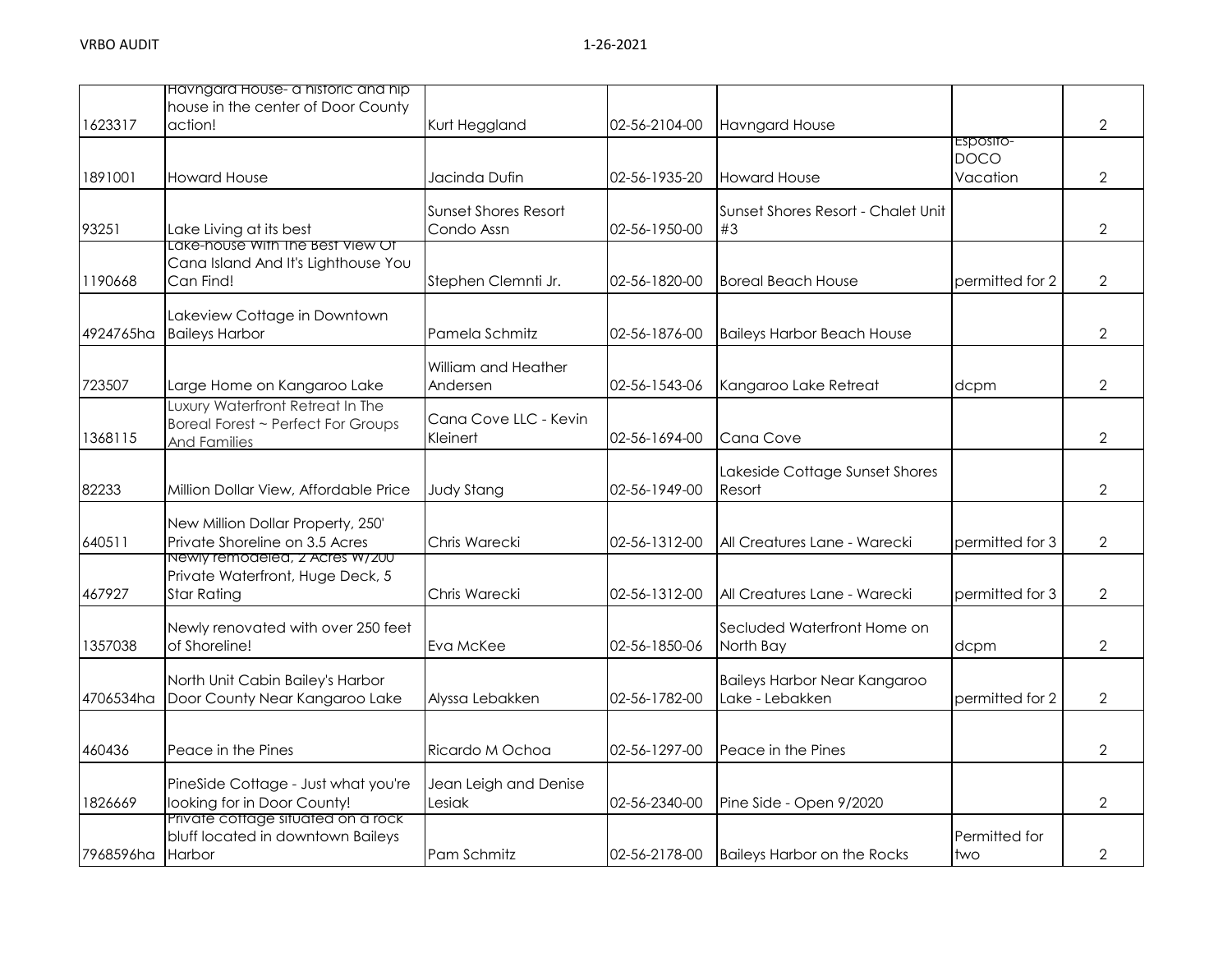|           | Havngard House- a historic and hip<br>house in the center of Door County                      |                                           |               |                                                 |                                      |                |
|-----------|-----------------------------------------------------------------------------------------------|-------------------------------------------|---------------|-------------------------------------------------|--------------------------------------|----------------|
| 1623317   | action!                                                                                       | Kurt Heggland                             | 02-56-2104-00 | <b>Havngard House</b>                           |                                      | $\overline{2}$ |
| 1891001   | <b>Howard House</b>                                                                           | Jacinda Dufin                             | 02-56-1935-20 | <b>Howard House</b>                             | Esposito-<br><b>DOCO</b><br>Vacation | $\overline{2}$ |
| 93251     | Lake Living at its best                                                                       | <b>Sunset Shores Resort</b><br>Condo Assn | 02-56-1950-00 | Sunset Shores Resort - Chalet Unit<br>#3        |                                      | $\overline{2}$ |
| 1190668   | Lake-house With The Best View Of<br>Cana Island And It's Lighthouse You<br>Can Find!          | Stephen Clemnti Jr.                       | 02-56-1820-00 | <b>Boreal Beach House</b>                       | permitted for 2                      | $\overline{2}$ |
| 4924765ha | Lakeview Cottage in Downtown<br><b>Baileys Harbor</b>                                         | Pamela Schmitz                            | 02-56-1876-00 | <b>Baileys Harbor Beach House</b>               |                                      | $\overline{2}$ |
| 723507    | Large Home on Kangaroo Lake                                                                   | William and Heather<br>Andersen           | 02-56-1543-06 | Kangaroo Lake Retreat                           | dcpm                                 | $\overline{2}$ |
| 1368115   | Luxury Waterfront Retreat In The<br>Boreal Forest ~ Perfect For Groups<br><b>And Families</b> | Cana Cove LLC - Kevin<br>Kleinert         | 02-56-1694-00 | <b>Cana Cove</b>                                |                                      | $\overline{2}$ |
| 82233     | Million Dollar View, Affordable Price                                                         | <b>Judy Stang</b>                         | 02-56-1949-00 | Lakeside Cottage Sunset Shores<br>Resort        |                                      | $\overline{2}$ |
| 640511    | New Million Dollar Property, 250'<br>Private Shoreline on 3.5 Acres                           | Chris Warecki                             | 02-56-1312-00 | All Creatures Lane - Warecki                    | permitted for 3                      | $\overline{2}$ |
| 467927    | Newly remodeled, z Acres W/Z00<br>Private Waterfront, Huge Deck, 5<br><b>Star Rating</b>      | Chris Warecki                             | 02-56-1312-00 | All Creatures Lane - Warecki                    | permitted for 3                      | $\overline{2}$ |
| 1357038   | Newly renovated with over 250 feet<br>of Shoreline!                                           | Eva McKee                                 | 02-56-1850-06 | Secluded Waterfront Home on<br>North Bay        | dcpm                                 | $\overline{2}$ |
| 4706534ha | North Unit Cabin Bailey's Harbor<br>Door County Near Kangaroo Lake                            | Alyssa Lebakken                           | 02-56-1782-00 | Baileys Harbor Near Kangaroo<br>Lake - Lebakken | permitted for 2                      | $\overline{2}$ |
| 460436    | Peace in the Pines                                                                            | Ricardo M Ochoa                           | 02-56-1297-00 | Peace in the Pines                              |                                      | $\overline{2}$ |
| 1826669   | PineSide Cottage - Just what you're<br>looking for in Door County!                            | Jean Leigh and Denise<br>Lesiak           | 02-56-2340-00 | Pine Side - Open 9/2020                         |                                      | $\overline{2}$ |
| 7968596ha | Private cottage situated on a rock<br>bluff located in downtown Baileys<br>Harbor             | Pam Schmitz                               | 02-56-2178-00 | <b>Baileys Harbor on the Rocks</b>              | Permitted for<br>two                 | $\overline{2}$ |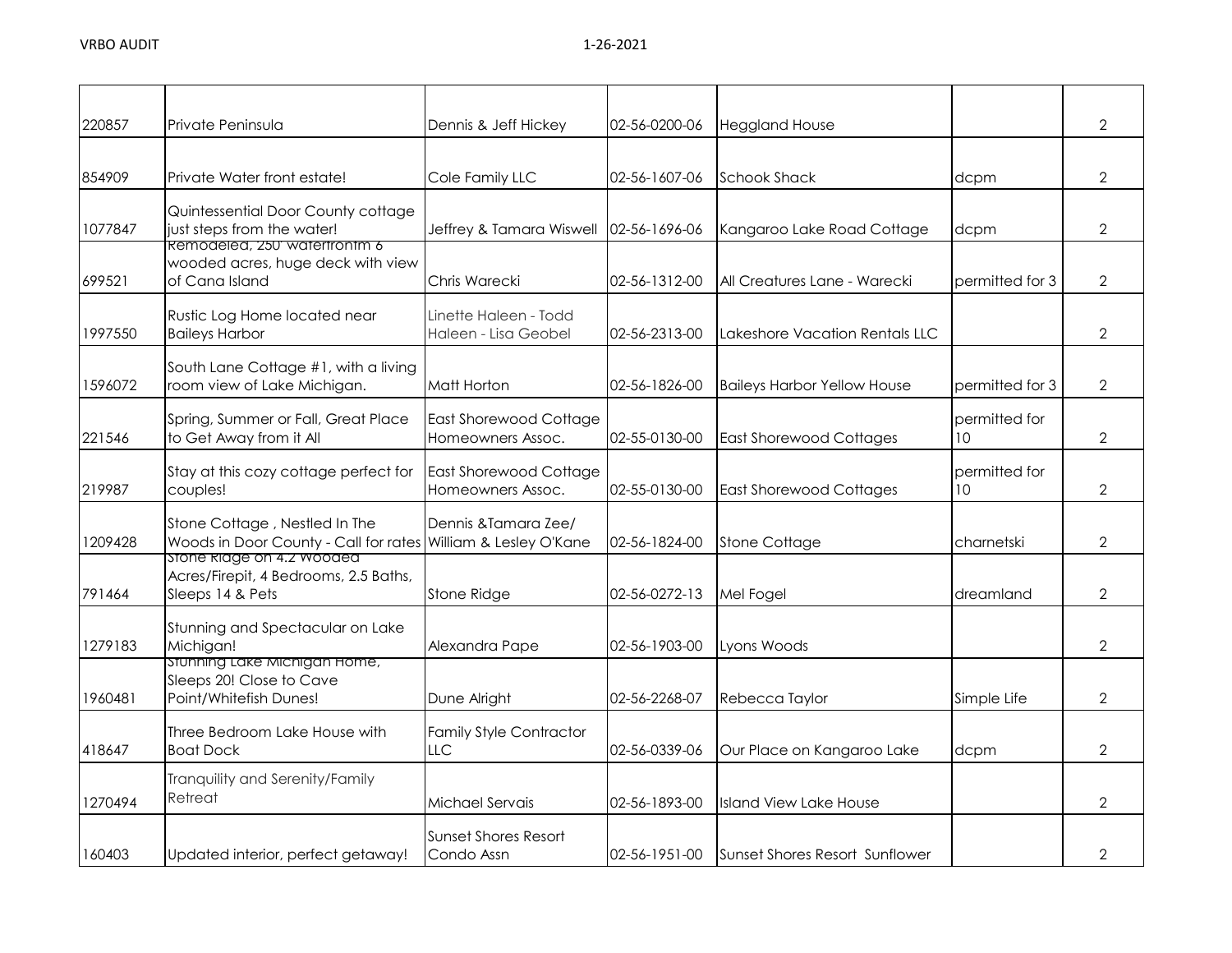| 220857  | Private Peninsula                                                                              | Dennis & Jeff Hickey                               | 02-56-0200-06 | <b>Heggland House</b>              |                     | $\overline{2}$ |
|---------|------------------------------------------------------------------------------------------------|----------------------------------------------------|---------------|------------------------------------|---------------------|----------------|
| 854909  | Private Water front estate!                                                                    | Cole Family LLC                                    | 02-56-1607-06 | <b>Schook Shack</b>                | dcpm                | $\overline{2}$ |
| 1077847 | Quintessential Door County cottage<br>just steps from the water!                               | Jeffrey & Tamara Wiswell                           | 02-56-1696-06 | Kangaroo Lake Road Cottage         | dcpm                | $\overline{2}$ |
| 699521  | Remodeled, 250' watertrontm 6<br>wooded acres, huge deck with view<br>of Cana Island           | Chris Warecki                                      | 02-56-1312-00 | All Creatures Lane - Warecki       | permitted for 3     | $\overline{2}$ |
| 1997550 | Rustic Log Home located near<br><b>Baileys Harbor</b>                                          | Linette Haleen - Todd<br>Haleen - Lisa Geobel      | 02-56-2313-00 | Lakeshore Vacation Rentals LLC     |                     | 2              |
| 1596072 | South Lane Cottage #1, with a living<br>room view of Lake Michigan.                            | Matt Horton                                        | 02-56-1826-00 | <b>Baileys Harbor Yellow House</b> | permitted for 3     | $\overline{2}$ |
| 221546  | Spring, Summer or Fall, Great Place<br>to Get Away from it All                                 | <b>East Shorewood Cottage</b><br>Homeowners Assoc. | 02-55-0130-00 | <b>East Shorewood Cottages</b>     | permitted for<br>10 | $\overline{2}$ |
| 219987  | Stay at this cozy cottage perfect for<br>couples!                                              | East Shorewood Cottage<br>Homeowners Assoc.        | 02-55-0130-00 | <b>East Shorewood Cottages</b>     | permitted for<br>10 | 2              |
| 1209428 | Stone Cottage, Nestled In The<br>Woods in Door County - Call for rates William & Lesley O'Kane | Dennis & Tamara Zee/                               | 02-56-1824-00 | <b>Stone Cottage</b>               | charnetski          | $\overline{2}$ |
| 791464  | stone klage on 4.2 wooded<br>Acres/Firepit, 4 Bedrooms, 2.5 Baths,<br>Sleeps 14 & Pets         | Stone Ridge                                        | 02-56-0272-13 | Mel Fogel                          | dreamland           | $\overline{2}$ |
| 1279183 | Stunning and Spectacular on Lake<br>Michigan!                                                  | Alexandra Pape                                     | 02-56-1903-00 | Lyons Woods                        |                     | $\overline{2}$ |
| 1960481 | Stunning Lake Michigan Home,<br>Sleeps 20! Close to Cave<br>Point/Whitefish Dunes!             | Dune Alright                                       | 02-56-2268-07 | Rebecca Taylor                     | Simple Life         | $\overline{2}$ |
| 418647  | Three Bedroom Lake House with<br><b>Boat Dock</b>                                              | <b>Family Style Contractor</b><br>LLC.             | 02-56-0339-06 | Our Place on Kangaroo Lake         | dcpm                | 2              |
| 1270494 | Tranquility and Serenity/Family<br>Retreat                                                     | Michael Servais                                    | 02-56-1893-00 | Island View Lake House             |                     | $\overline{2}$ |
| 160403  | Updated interior, perfect getaway!                                                             | Sunset Shores Resort<br>Condo Assn                 | 02-56-1951-00 | Sunset Shores Resort Sunflower     |                     | 2              |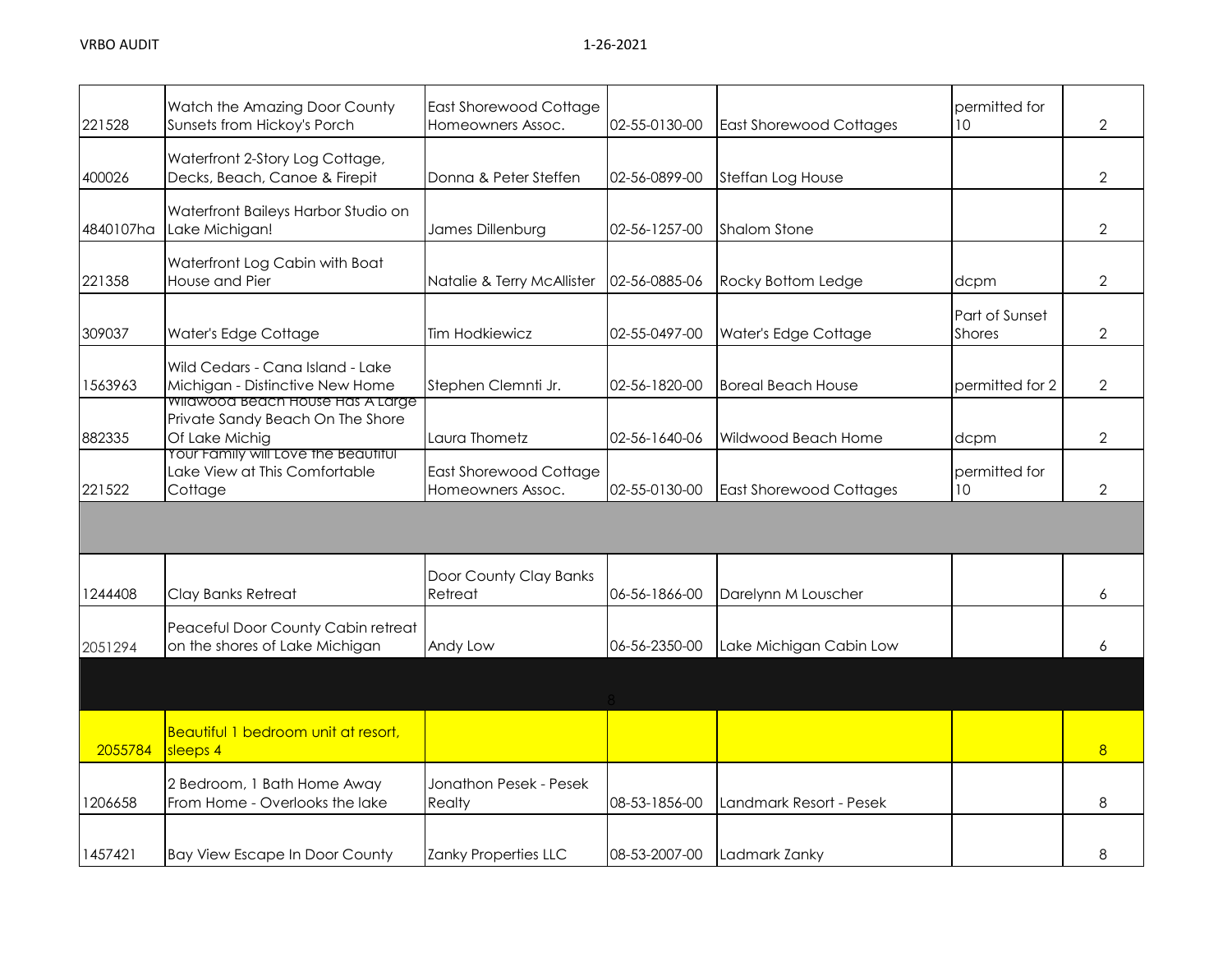| 221528    | Watch the Amazing Door County<br>Sunsets from Hickoy's Porch                                   | <b>East Shorewood Cottage</b><br>Homeowners Assoc. | 02-55-0130-00 | <b>East Shorewood Cottages</b> | permitted for<br>10             | $\overline{2}$ |
|-----------|------------------------------------------------------------------------------------------------|----------------------------------------------------|---------------|--------------------------------|---------------------------------|----------------|
| 400026    | Waterfront 2-Story Log Cottage,<br>Decks, Beach, Canoe & Firepit                               | Donna & Peter Steffen                              | 02-56-0899-00 | Steffan Log House              |                                 | $\overline{2}$ |
| 4840107ha | Waterfront Baileys Harbor Studio on<br>Lake Michigan!                                          | James Dillenburg                                   | 02-56-1257-00 | <b>Shalom Stone</b>            |                                 | $\overline{2}$ |
| 221358    | Waterfront Log Cabin with Boat<br>House and Pier                                               | Natalie & Terry McAllister                         | 02-56-0885-06 | Rocky Bottom Ledge             | dcpm                            | $\overline{2}$ |
| 309037    | Water's Edge Cottage                                                                           | Tim Hodkiewicz                                     | 02-55-0497-00 | Water's Edge Cottage           | Part of Sunset<br><b>Shores</b> | $\overline{2}$ |
| 1563963   | Wild Cedars - Cana Island - Lake<br>Michigan - Distinctive New Home                            | Stephen Clemnti Jr.                                | 02-56-1820-00 | <b>Boreal Beach House</b>      | permitted for 2                 | $\overline{2}$ |
| 882335    | <u>wilawood beach House Has A Large </u><br>Private Sandy Beach On The Shore<br>Of Lake Michig | Laura Thometz                                      | 02-56-1640-06 | Wildwood Beach Home            | dcpm                            | $\overline{2}$ |
| 221522    | Your Family will Love the Beautiful<br>Lake View at This Comfortable<br>Cottage                | <b>East Shorewood Cottage</b><br>Homeowners Assoc. | 02-55-0130-00 | <b>East Shorewood Cottages</b> | permitted for<br>10             | 2              |
|           |                                                                                                |                                                    |               |                                |                                 |                |
| 1244408   | Clay Banks Retreat                                                                             | Door County Clay Banks<br>Retreat                  | 06-56-1866-00 | Darelynn M Louscher            |                                 | 6              |
| 2051294   | Peaceful Door County Cabin retreat<br>on the shores of Lake Michigan                           | Andy Low                                           | 06-56-2350-00 | Lake Michigan Cabin Low        |                                 | 6              |
|           |                                                                                                |                                                    |               |                                |                                 |                |
| 2055784   | Beautiful 1 bedroom unit at resort,<br>sleeps 4                                                |                                                    |               |                                |                                 | 8              |
| 1206658   | 2 Bedroom, 1 Bath Home Away<br>From Home - Overlooks the lake                                  | Jonathon Pesek - Pesek<br>Realty                   | 08-53-1856-00 | Landmark Resort - Pesek        |                                 | 8              |
| 1457421   | <b>Bay View Escape In Door County</b>                                                          | Zanky Properties LLC                               | 08-53-2007-00 | Ladmark Zanky                  |                                 | 8              |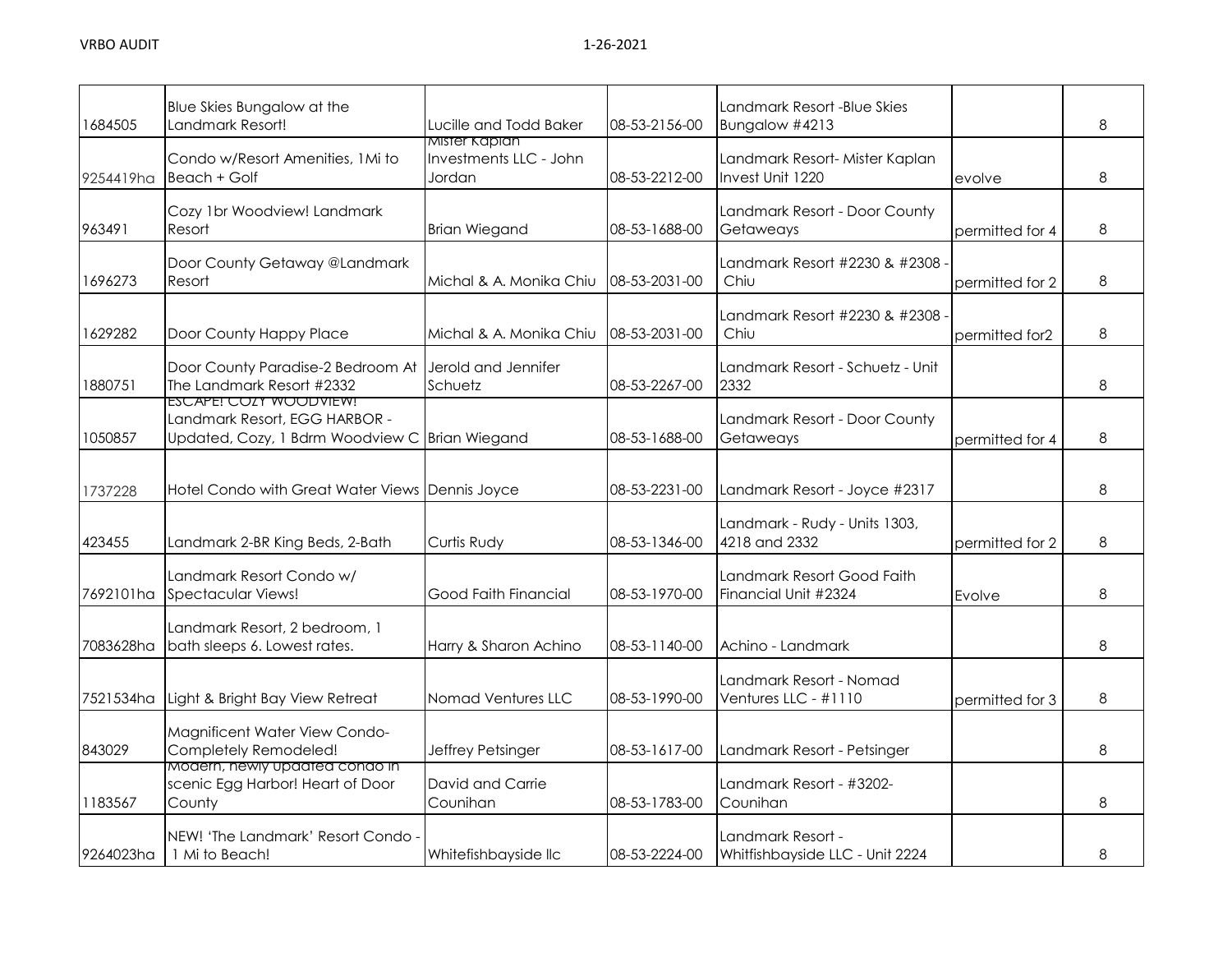| 1684505   | Blue Skies Bungalow at the<br>Landmark Resort!                                                            | Lucille and Todd Baker                            | 08-53-2156-00 | Landmark Resort -Blue Skies<br>Bungalow #4213        |                 | 8 |
|-----------|-----------------------------------------------------------------------------------------------------------|---------------------------------------------------|---------------|------------------------------------------------------|-----------------|---|
| 9254419ha | Condo w/Resort Amenities, 1Mi to<br>Beach + Golf                                                          | Mister Kaplan<br>Investments LLC - John<br>Jordan | 08-53-2212-00 | Landmark Resort- Mister Kaplan<br>Invest Unit 1220   | evolve          | 8 |
| 963491    | Cozy 1br Woodview! Landmark<br>Resort                                                                     | <b>Brian Wiegand</b>                              | 08-53-1688-00 | Landmark Resort - Door County<br>Getaweays           | permitted for 4 | 8 |
| 1696273   | Door County Getaway @Landmark<br>Resort                                                                   | Michal & A. Monika Chiu                           | 08-53-2031-00 | Landmark Resort #2230 & #2308<br>Chiu                | permitted for 2 | 8 |
| 1629282   | Door County Happy Place                                                                                   | Michal & A. Monika Chiu                           | 08-53-2031-00 | Landmark Resort #2230 & #2308<br>Chiu                | permitted for2  | 8 |
| 1880751   | Door County Paradise-2 Bedroom At<br>The Landmark Resort #2332                                            | Jerold and Jennifer<br>Schuetz                    | 08-53-2267-00 | Landmark Resort - Schuetz - Unit<br>2332             |                 | 8 |
| 1050857   | ESCAPE! COZY WOODVIEW!<br>Landmark Resort, EGG HARBOR -<br>Updated, Cozy, 1 Bdrm Woodview C Brian Wiegand |                                                   | 08-53-1688-00 | Landmark Resort - Door County<br>Getaweays           | permitted for 4 | 8 |
| 1737228   | Hotel Condo with Great Water Views Dennis Joyce                                                           |                                                   | 08-53-2231-00 | Landmark Resort - Joyce #2317                        |                 | 8 |
| 423455    | Landmark 2-BR King Beds, 2-Bath                                                                           | Curtis Rudy                                       | 08-53-1346-00 | Landmark - Rudy - Units 1303,<br>4218 and 2332       | permitted for 2 | 8 |
| 7692101ha | Landmark Resort Condo w/<br><b>Spectacular Views!</b>                                                     | Good Faith Financial                              | 08-53-1970-00 | Landmark Resort Good Faith<br>Financial Unit #2324   | Evolve          | 8 |
| 7083628ha | Landmark Resort, 2 bedroom, 1<br>bath sleeps 6. Lowest rates.                                             | Harry & Sharon Achino                             | 08-53-1140-00 | Achino - Landmark                                    |                 | 8 |
| 7521534ha | Light & Bright Bay View Retreat                                                                           | Nomad Ventures LLC                                | 08-53-1990-00 | Landmark Resort - Nomad<br>Ventures LLC - #1110      | permitted for 3 | 8 |
| 843029    | Magnificent Water View Condo-<br>Completely Remodeled!                                                    | Jeffrey Petsinger                                 | 08-53-1617-00 | Landmark Resort - Petsinger                          |                 | 8 |
| 1183567   | Modern, newly updated condo in<br>scenic Egg Harbor! Heart of Door<br>County                              | David and Carrie<br>Counihan                      | 08-53-1783-00 | Landmark Resort - #3202-<br>Counihan                 |                 | 8 |
| 9264023ha | NEW! 'The Landmark' Resort Condo<br>1 Mi to Beach!                                                        | Whitefishbayside llc                              | 08-53-2224-00 | Landmark Resort -<br>Whitfishbayside LLC - Unit 2224 |                 | 8 |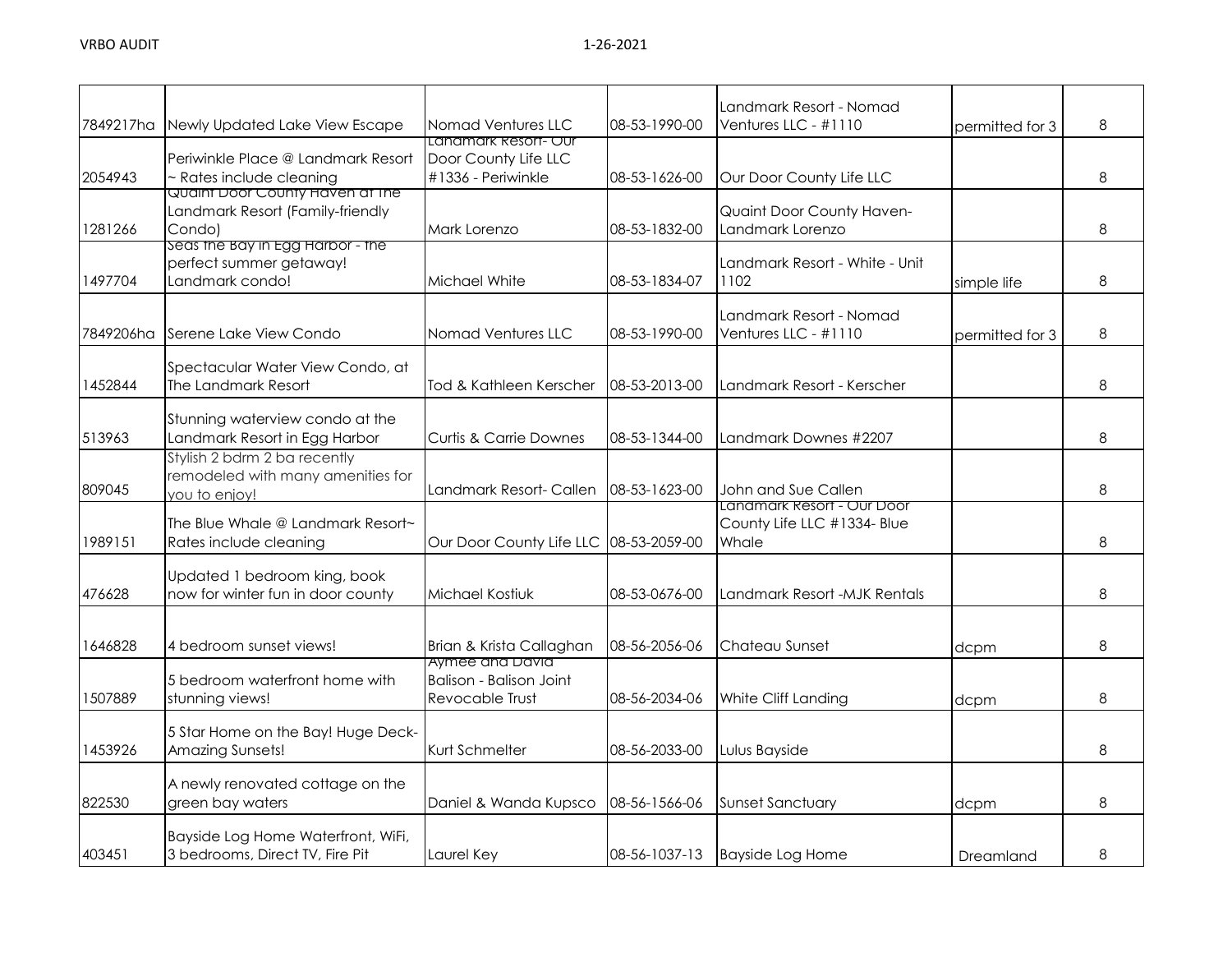| 7849217ha | Newly Updated Lake View Escape             | Nomad Ventures LLC                | 08-53-1990-00 | Landmark Resort - Nomad<br>Ventures LLC - #1110 | permitted for 3 | 8 |
|-----------|--------------------------------------------|-----------------------------------|---------------|-------------------------------------------------|-----------------|---|
|           |                                            | Landmark Resort- Our              |               |                                                 |                 |   |
|           | Periwinkle Place @ Landmark Resort         | Door County Life LLC              |               |                                                 |                 |   |
| 2054943   | ~ Rates include cleaning                   | #1336 - Periwinkle                | 08-53-1626-00 | Our Door County Life LLC                        |                 | 8 |
|           | <u>Quaint Door County Haven at the </u>    |                                   |               |                                                 |                 |   |
|           | Landmark Resort (Family-friendly           |                                   |               | Quaint Door County Haven-                       |                 |   |
| 1281266   | Condo)                                     | Mark Lorenzo                      | 08-53-1832-00 | Landmark Lorenzo                                |                 | 8 |
|           | Seas the Bay in Egg Harbor - the           |                                   |               |                                                 |                 |   |
|           | perfect summer getaway!<br>Landmark condo! |                                   |               | Landmark Resort - White - Unit                  |                 | 8 |
| 1497704   |                                            | Michael White                     | 08-53-1834-07 | 1102                                            | simple life     |   |
|           |                                            |                                   |               | Landmark Resort - Nomad                         |                 |   |
| 7849206ha | Serene Lake View Condo                     | Nomad Ventures LLC                | 08-53-1990-00 | Ventures LLC - #1110                            | permitted for 3 | 8 |
|           |                                            |                                   |               |                                                 |                 |   |
|           | Spectacular Water View Condo, at           |                                   |               |                                                 |                 |   |
| 1452844   | The Landmark Resort                        | Tod & Kathleen Kerscher           | 08-53-2013-00 | Landmark Resort - Kerscher                      |                 | 8 |
|           |                                            |                                   |               |                                                 |                 |   |
|           | Stunning waterview condo at the            |                                   |               |                                                 |                 |   |
| 513963    | Landmark Resort in Egg Harbor              | <b>Curtis &amp; Carrie Downes</b> | 08-53-1344-00 | Landmark Downes #2207                           |                 | 8 |
|           | Stylish 2 bdrm 2 ba recently               |                                   |               |                                                 |                 |   |
|           | remodeled with many amenities for          |                                   |               |                                                 |                 |   |
| 809045    | you to enjoy!                              | Landmark Resort- Callen           | 08-53-1623-00 | John and Sue Callen                             |                 | 8 |
|           |                                            |                                   |               | Landmark Resort - Our Door                      |                 |   |
|           | The Blue Whale @ Landmark Resort~          |                                   |               | County Life LLC #1334- Blue                     |                 |   |
| 1989151   | Rates include cleaning                     | Our Door County Life LLC          | 08-53-2059-00 | Whale                                           |                 | 8 |
|           | Updated 1 bedroom king, book               |                                   |               |                                                 |                 |   |
| 476628    | now for winter fun in door county          | Michael Kostiuk                   | 08-53-0676-00 | Landmark Resort -MJK Rentals                    |                 | 8 |
|           |                                            |                                   |               |                                                 |                 |   |
|           |                                            |                                   |               |                                                 |                 |   |
| 1646828   | 4 bedroom sunset views!                    | Brian & Krista Callaghan          | 08-56-2056-06 | Chateau Sunset                                  | dcpm            | 8 |
|           |                                            | Aymee and David                   |               |                                                 |                 |   |
|           | 5 bedroom waterfront home with             | <b>Balison - Balison Joint</b>    |               |                                                 |                 |   |
| 1507889   | stunning views!                            | Revocable Trust                   | 08-56-2034-06 | White Cliff Landing                             | dcpm            | 8 |
|           |                                            |                                   |               |                                                 |                 |   |
|           | 5 Star Home on the Bay! Huge Deck-         |                                   |               |                                                 |                 |   |
| 1453926   | Amazing Sunsets!                           | Kurt Schmelter                    | 08-56-2033-00 | Lulus Bayside                                   |                 | 8 |
|           |                                            |                                   |               |                                                 |                 |   |
|           | A newly renovated cottage on the           |                                   |               |                                                 |                 |   |
| 822530    | green bay waters                           | Daniel & Wanda Kupsco             | 08-56-1566-06 | <b>Sunset Sanctuary</b>                         | dcpm            | 8 |
|           | Bayside Log Home Waterfront, WiFi,         |                                   |               |                                                 |                 |   |
| 403451    | 3 bedrooms, Direct TV, Fire Pit            | Laurel Key                        |               | 08-56-1037-13 Bayside Log Home                  |                 | 8 |
|           |                                            |                                   |               |                                                 | Dreamland       |   |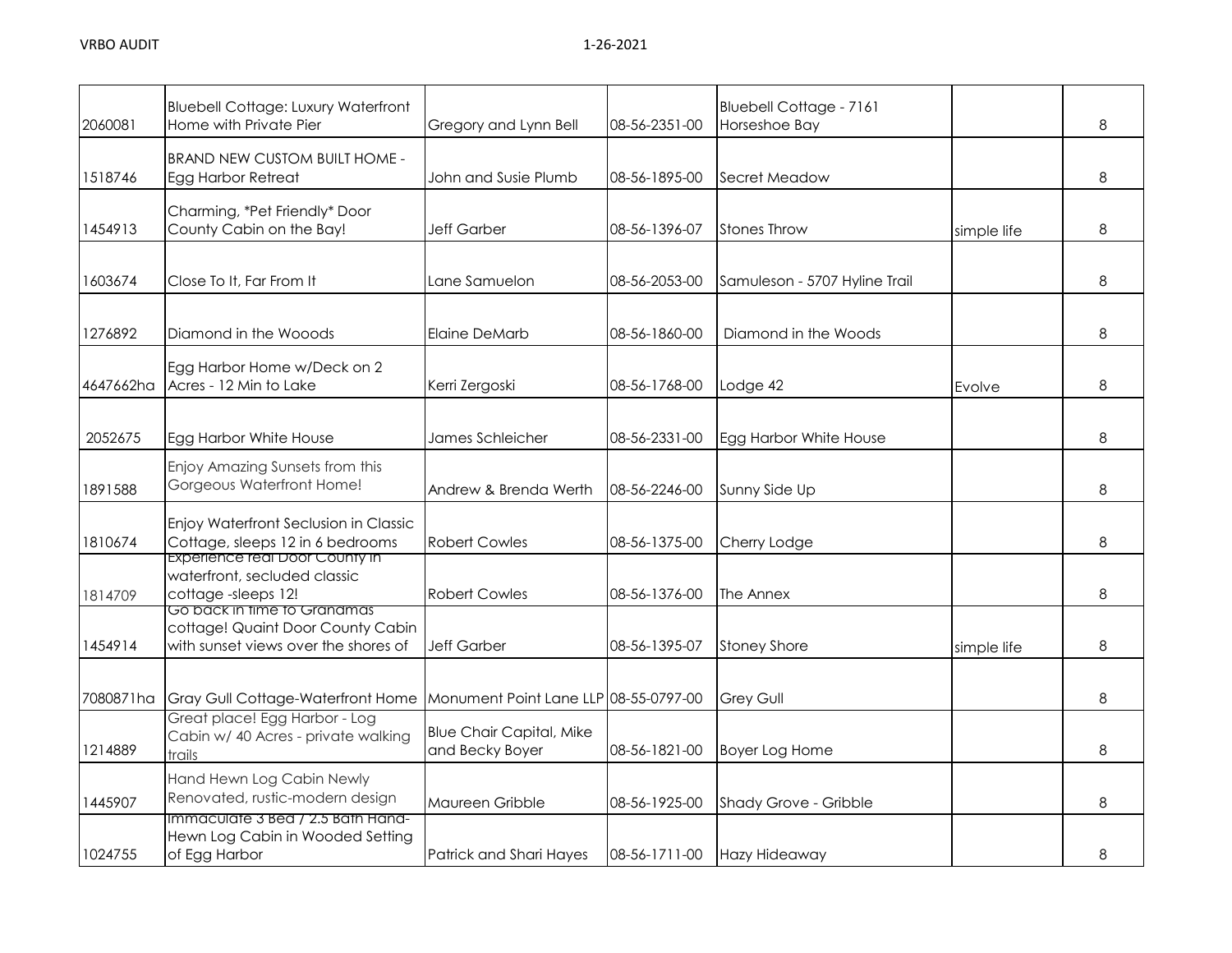| 2060081   | <b>Bluebell Cottage: Luxury Waterfront</b><br>Home with Private Pier                                     | Gregory and Lynn Bell                              | 08-56-2351-00 | Bluebell Cottage - 7161<br>Horseshoe Bay |             | 8 |
|-----------|----------------------------------------------------------------------------------------------------------|----------------------------------------------------|---------------|------------------------------------------|-------------|---|
| 1518746   | <b>BRAND NEW CUSTOM BUILT HOME -</b><br>Egg Harbor Retreat                                               | John and Susie Plumb                               | 08-56-1895-00 | Secret Meadow                            |             | 8 |
| 1454913   | Charming, *Pet Friendly* Door<br>County Cabin on the Bay!                                                | <b>Jeff Garber</b>                                 | 08-56-1396-07 | <b>Stones Throw</b>                      | simple life | 8 |
| 1603674   | Close To It, Far From It                                                                                 | Lane Samuelon                                      | 08-56-2053-00 | Samuleson - 5707 Hyline Trail            |             | 8 |
| 1276892   | Diamond in the Wooods                                                                                    | <b>Elaine DeMarb</b>                               | 08-56-1860-00 | Diamond in the Woods                     |             | 8 |
| 4647662ha | Egg Harbor Home w/Deck on 2<br>Acres - 12 Min to Lake                                                    | Kerri Zergoski                                     | 08-56-1768-00 | Lodge 42                                 | Evolve      | 8 |
| 2052675   | Egg Harbor White House                                                                                   | James Schleicher                                   | 08-56-2331-00 | Egg Harbor White House                   |             | 8 |
| 1891588   | Enjoy Amazing Sunsets from this<br>Gorgeous Waterfront Home!                                             | Andrew & Brenda Werth                              | 08-56-2246-00 | Sunny Side Up                            |             | 8 |
| 1810674   | Enjoy Waterfront Seclusion in Classic<br>Cottage, sleeps 12 in 6 bedrooms                                | <b>Robert Cowles</b>                               | 08-56-1375-00 | Cherry Lodge                             |             | 8 |
| 1814709   | <b>Experience real Door County in</b><br>waterfront, secluded classic<br>cottage-sleeps 12!              | <b>Robert Cowles</b>                               | 08-56-1376-00 | The Annex                                |             | 8 |
| 1454914   | Go back in time to Granamas<br>cottage! Quaint Door County Cabin<br>with sunset views over the shores of | <b>Jeff Garber</b>                                 | 08-56-1395-07 | <b>Stoney Shore</b>                      | simple life | 8 |
| 7080871ha | Gray Gull Cottage-Waterfront Home                                                                        | Monument Point Lane LLP 08-55-0797-00              |               | Grey Gull                                |             | 8 |
| 1214889   | Great place! Egg Harbor - Log<br>Cabin w/ 40 Acres - private walking<br>trails                           | <b>Blue Chair Capital, Mike</b><br>and Becky Boyer | 08-56-1821-00 | <b>Boyer Log Home</b>                    |             | 8 |
| 1445907   | Hand Hewn Log Cabin Newly<br>Renovated, rustic-modern design                                             | Maureen Gribble                                    | 08-56-1925-00 | Shady Grove - Gribble                    |             | 8 |
| 1024755   | Immaculate 3 Bed / 2.5 Bath Hand-<br>Hewn Log Cabin in Wooded Setting<br>of Egg Harbor                   | Patrick and Shari Hayes                            | 08-56-1711-00 | Hazy Hideaway                            |             | 8 |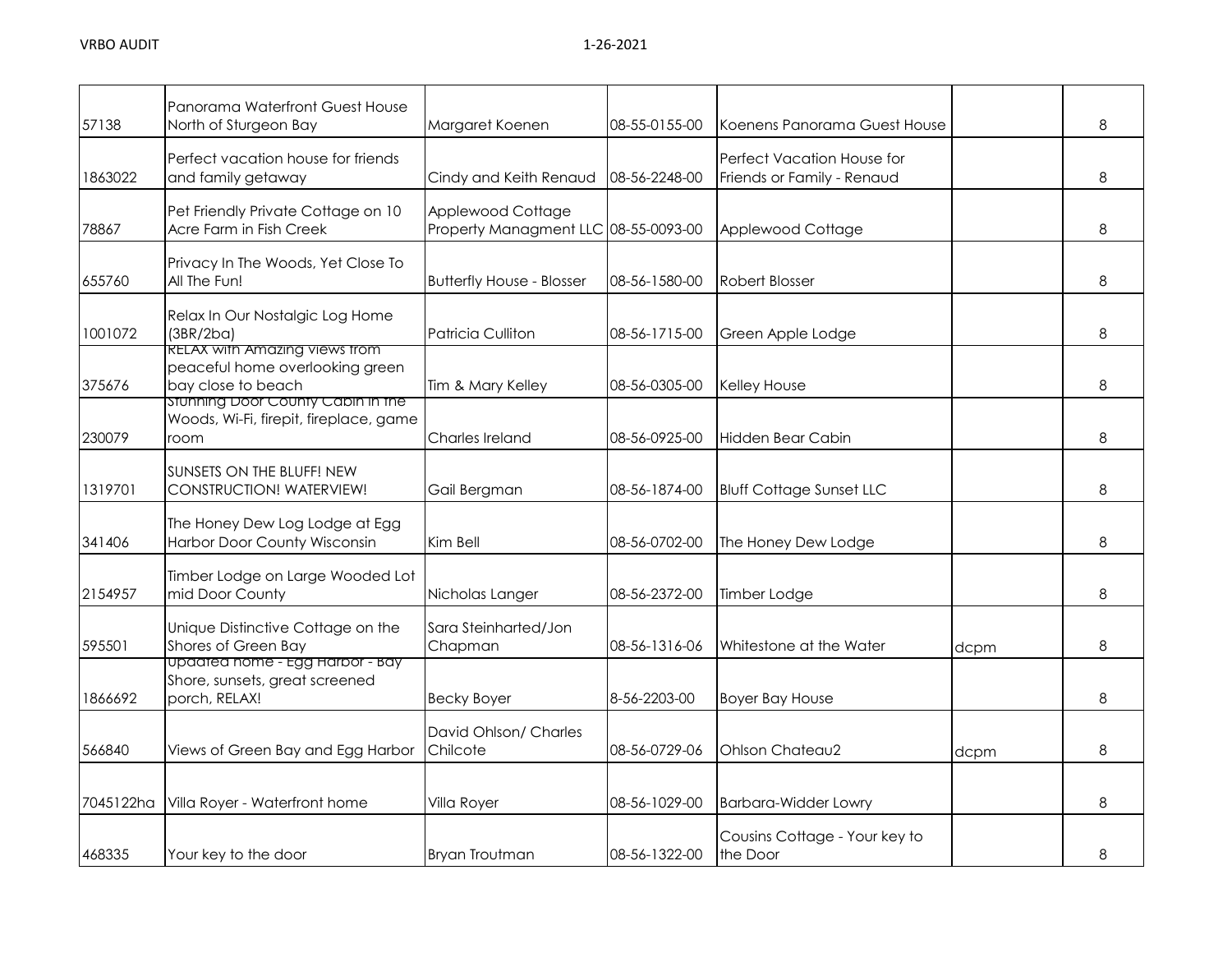| 57138     | Panorama Waterfront Guest House<br>North of Sturgeon Bay                                      | Margaret Koenen                                           | 08-55-0155-00 | Koenens Panorama Guest House                                    |      | 8 |
|-----------|-----------------------------------------------------------------------------------------------|-----------------------------------------------------------|---------------|-----------------------------------------------------------------|------|---|
| 1863022   | Perfect vacation house for friends<br>and family getaway                                      | Cindy and Keith Renaud                                    | 08-56-2248-00 | <b>Perfect Vacation House for</b><br>Friends or Family - Renaud |      | 8 |
| 78867     | Pet Friendly Private Cottage on 10<br>Acre Farm in Fish Creek                                 | Applewood Cottage<br>Property Managment LLC 08-55-0093-00 |               | Applewood Cottage                                               |      | 8 |
| 655760    | Privacy In The Woods, Yet Close To<br>All The Fun!                                            | <b>Butterfly House - Blosser</b>                          | 08-56-1580-00 | <b>Robert Blosser</b>                                           |      | 8 |
| 1001072   | Relax In Our Nostalgic Log Home<br>(3BR/2ba)                                                  | Patricia Culliton                                         | 08-56-1715-00 | Green Apple Lodge                                               |      | 8 |
| 375676    | <b>RELAX with Amazing views from</b><br>peaceful home overlooking green<br>bay close to beach | Tim & Mary Kelley                                         | 08-56-0305-00 | <b>Kelley House</b>                                             |      | 8 |
| 230079    | stunning Door County Cabin in the<br>Woods, Wi-Fi, firepit, fireplace, game<br>room           | Charles Ireland                                           | 08-56-0925-00 | Hidden Bear Cabin                                               |      | 8 |
| 1319701   | SUNSETS ON THE BLUFF! NEW<br>CONSTRUCTION! WATERVIEW!                                         | Gail Bergman                                              | 08-56-1874-00 | <b>Bluff Cottage Sunset LLC</b>                                 |      | 8 |
| 341406    | The Honey Dew Log Lodge at Egg<br>Harbor Door County Wisconsin                                | Kim Bell                                                  | 08-56-0702-00 | The Honey Dew Lodge                                             |      | 8 |
| 2154957   | Timber Lodge on Large Wooded Lot<br>mid Door County                                           | Nicholas Langer                                           | 08-56-2372-00 | Timber Lodge                                                    |      | 8 |
| 595501    | Unique Distinctive Cottage on the<br>Shores of Green Bay                                      | Sara Steinharted/Jon<br>Chapman                           | 08-56-1316-06 | Whitestone at the Water                                         | dcpm | 8 |
| 1866692   | Updated home - Egg Harbor - Bay<br>Shore, sunsets, great screened<br>porch, RELAX!            | <b>Becky Boyer</b>                                        | 8-56-2203-00  | <b>Boyer Bay House</b>                                          |      | 8 |
| 566840    | Views of Green Bay and Egg Harbor                                                             | David Ohlson/ Charles<br>Chilcote                         | 08-56-0729-06 | Ohlson Chateau2                                                 | dcpm | 8 |
| 7045122ha | Villa Royer - Waterfront home                                                                 | Villa Royer                                               | 08-56-1029-00 | <b>Barbara-Widder Lowry</b>                                     |      | 8 |
| 468335    | Your key to the door                                                                          | <b>Bryan Troutman</b>                                     | 08-56-1322-00 | Cousins Cottage - Your key to<br>the Door                       |      | 8 |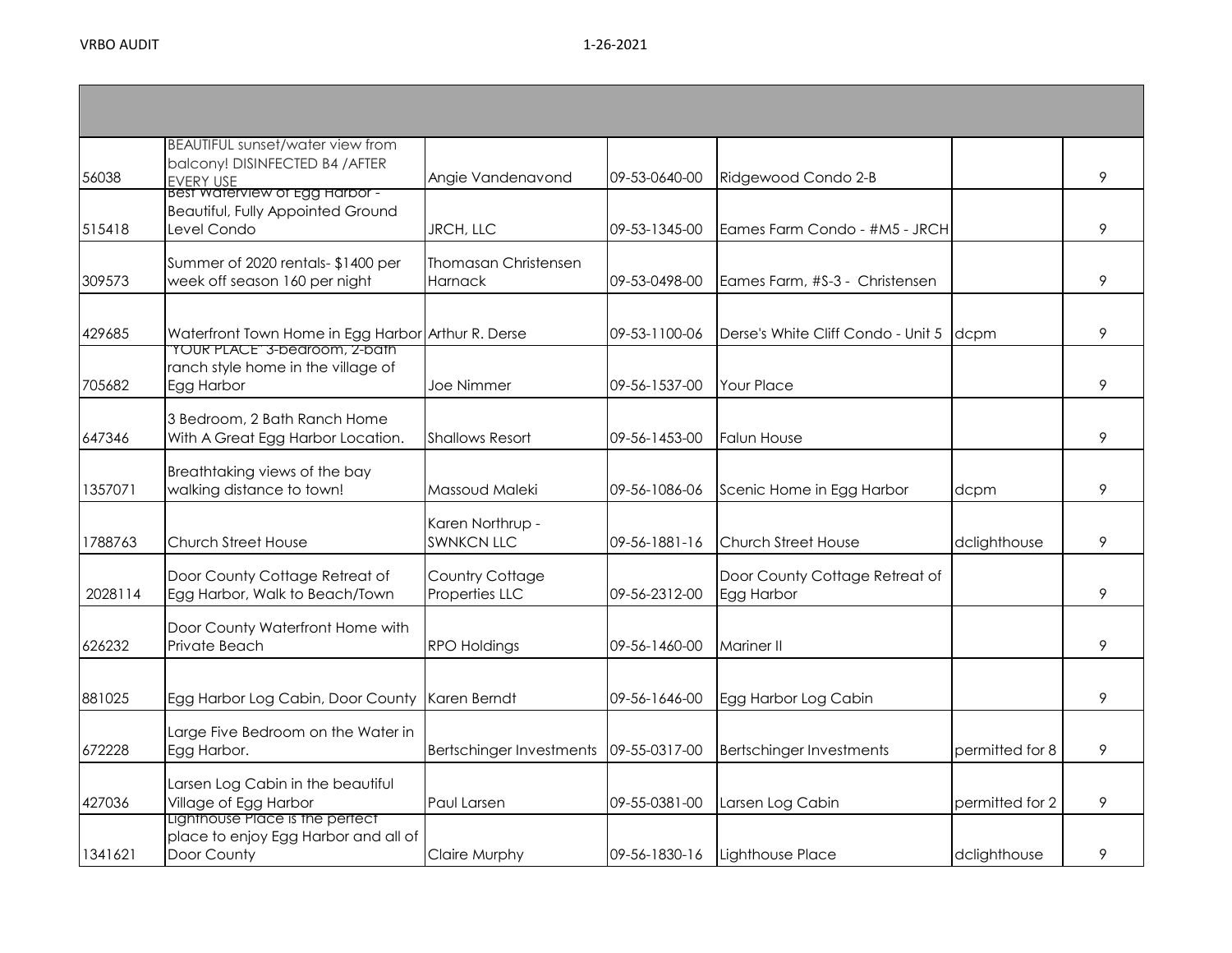| 56038   | <b>BEAUTIFUL sunset/water view from</b><br>balcony! DISINFECTED B4 / AFTER<br> EVERY USE<br> Best waterview of Egg Harbor - | Angie Vandenavond                     | 09-53-0640-00 | Ridgewood Condo 2-B                          |                 | 9 |
|---------|-----------------------------------------------------------------------------------------------------------------------------|---------------------------------------|---------------|----------------------------------------------|-----------------|---|
| 515418  | <b>Beautiful, Fully Appointed Ground</b><br>Level Condo                                                                     | JRCH, LLC                             | 09-53-1345-00 | Eames Farm Condo - #M5 - JRCH                |                 | 9 |
| 309573  | Summer of 2020 rentals- \$1400 per<br>week off season 160 per night                                                         | Thomasan Christensen<br>Harnack       | 09-53-0498-00 | Eames Farm, #S-3 - Christensen               |                 | 9 |
| 429685  | Waterfront Town Home in Egg Harbor Arthur R. Derse<br><b>TOUR PLACE" 3-bearoom, Z-bath</b>                                  |                                       | 09-53-1100-06 | Derse's White Cliff Condo - Unit 5           | dcpm            | 9 |
| 705682  | ranch style home in the village of<br>Egg Harbor                                                                            | Joe Nimmer                            | 09-56-1537-00 | <b>Your Place</b>                            |                 | 9 |
| 647346  | 3 Bedroom, 2 Bath Ranch Home<br>With A Great Egg Harbor Location.                                                           | <b>Shallows Resort</b>                | 09-56-1453-00 | <b>Falun House</b>                           |                 | 9 |
| 1357071 | Breathtaking views of the bay<br>walking distance to town!                                                                  | Massoud Maleki                        | 09-56-1086-06 | Scenic Home in Egg Harbor                    | dcpm            | 9 |
| 1788763 | <b>Church Street House</b>                                                                                                  | Karen Northrup -<br><b>SWNKCN LLC</b> | 09-56-1881-16 | <b>Church Street House</b>                   | dclighthouse    | 9 |
| 2028114 | Door County Cottage Retreat of<br>Egg Harbor, Walk to Beach/Town                                                            | Country Cottage<br>Properties LLC     | 09-56-2312-00 | Door County Cottage Retreat of<br>Egg Harbor |                 | 9 |
| 626232  | Door County Waterfront Home with<br>Private Beach                                                                           | <b>RPO Holdings</b>                   | 09-56-1460-00 | Mariner II                                   |                 | 9 |
| 881025  | Egg Harbor Log Cabin, Door County                                                                                           | Karen Berndt                          | 09-56-1646-00 | Egg Harbor Log Cabin                         |                 | 9 |
| 672228  | Large Five Bedroom on the Water in<br>Egg Harbor.                                                                           | <b>Bertschinger Investments</b>       | 09-55-0317-00 | <b>Bertschinger Investments</b>              | permitted for 8 | 9 |
| 427036  | Larsen Log Cabin in the beautiful<br>Village of Egg Harbor                                                                  | Paul Larsen                           | 09-55-0381-00 | Larsen Log Cabin                             | permitted for 2 | 9 |
| 1341621 | Lighthouse Place is the pertect<br>place to enjoy Egg Harbor and all of<br>Door County                                      | Claire Murphy                         | 09-56-1830-16 | Lighthouse Place                             | dclighthouse    | 9 |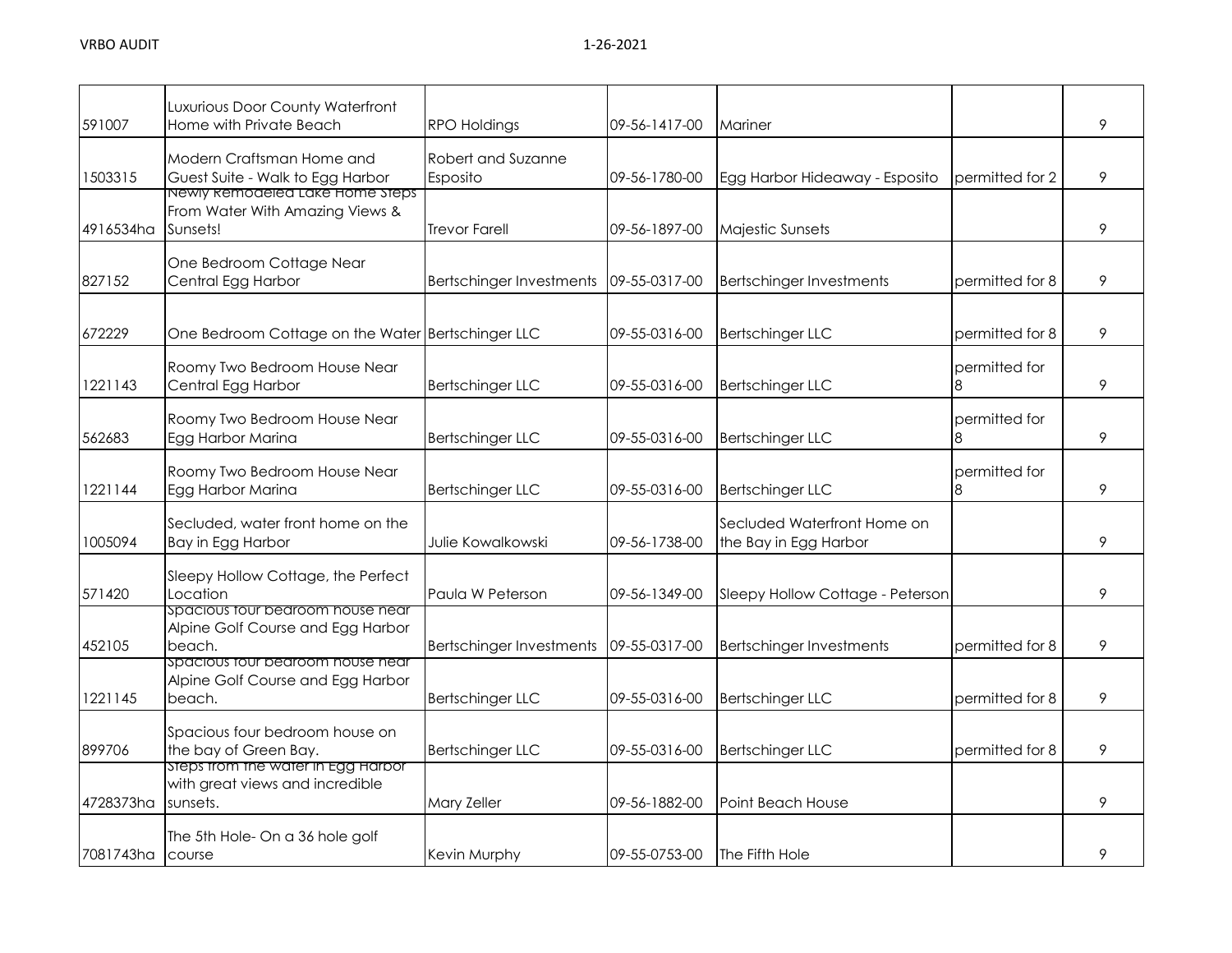| 591007    | Luxurious Door County Waterfront<br>Home with Private Beach                       | <b>RPO Holdings</b>             | 09-56-1417-00 | Mariner                                              |                    | 9 |
|-----------|-----------------------------------------------------------------------------------|---------------------------------|---------------|------------------------------------------------------|--------------------|---|
| 1503315   | Modern Craftsman Home and<br>Guest Suite - Walk to Egg Harbor                     | Robert and Suzanne<br>Esposito  | 09-56-1780-00 | Egg Harbor Hideaway - Esposito                       | permitted for 2    | 9 |
| 4916534ha | Newly kemodeled Lake Home Steps<br>From Water With Amazing Views &<br>Sunsets!    | <b>Trevor Farell</b>            | 09-56-1897-00 | Majestic Sunsets                                     |                    | 9 |
| 827152    | One Bedroom Cottage Near<br>Central Egg Harbor                                    | <b>Bertschinger Investments</b> | 09-55-0317-00 | <b>Bertschinger Investments</b>                      | permitted for 8    | 9 |
| 672229    | One Bedroom Cottage on the Water Bertschinger LLC                                 |                                 | 09-55-0316-00 | <b>Bertschinger LLC</b>                              | permitted for 8    | 9 |
| 1221143   | Roomy Two Bedroom House Near<br>Central Egg Harbor                                | <b>Bertschinger LLC</b>         | 09-55-0316-00 | <b>Bertschinger LLC</b>                              | permitted for      | 9 |
| 562683    | Roomy Two Bedroom House Near<br>Egg Harbor Marina                                 | <b>Bertschinger LLC</b>         | 09-55-0316-00 | <b>Bertschinger LLC</b>                              | permitted for<br>8 | 9 |
| 1221144   | Roomy Two Bedroom House Near<br>Egg Harbor Marina                                 | <b>Bertschinger LLC</b>         | 09-55-0316-00 | <b>Bertschinger LLC</b>                              | permitted for      | 9 |
| 1005094   | Secluded, water front home on the<br>Bay in Egg Harbor                            | Julie Kowalkowski               | 09-56-1738-00 | Secluded Waterfront Home on<br>the Bay in Egg Harbor |                    | 9 |
| 571420    | Sleepy Hollow Cottage, the Perfect<br>Location                                    | Paula W Peterson                | 09-56-1349-00 | Sleepy Hollow Cottage - Peterson                     |                    | 9 |
| 452105    | spacious tour bedroom house near<br>Alpine Golf Course and Egg Harbor<br>beach.   | <b>Bertschinger Investments</b> | 09-55-0317-00 | <b>Bertschinger Investments</b>                      | permitted for 8    | 9 |
| 1221145   | Spacious tour bedroom house near<br>Alpine Golf Course and Egg Harbor<br>beach.   | <b>Bertschinger LLC</b>         | 09-55-0316-00 | <b>Bertschinger LLC</b>                              | permitted for 8    | 9 |
| 899706    | Spacious four bedroom house on<br>the bay of Green Bay.                           | <b>Bertschinger LLC</b>         | 09-55-0316-00 | <b>Bertschinger LLC</b>                              | permitted for 8    | 9 |
| 4728373ha | Steps from the water in Egg Harbor<br>with great views and incredible<br>sunsets. | Mary Zeller                     | 09-56-1882-00 | Point Beach House                                    |                    | 9 |
| 7081743ha | The 5th Hole- On a 36 hole golf<br>course                                         | Kevin Murphy                    | 09-55-0753-00 | <b>The Fifth Hole</b>                                |                    | 9 |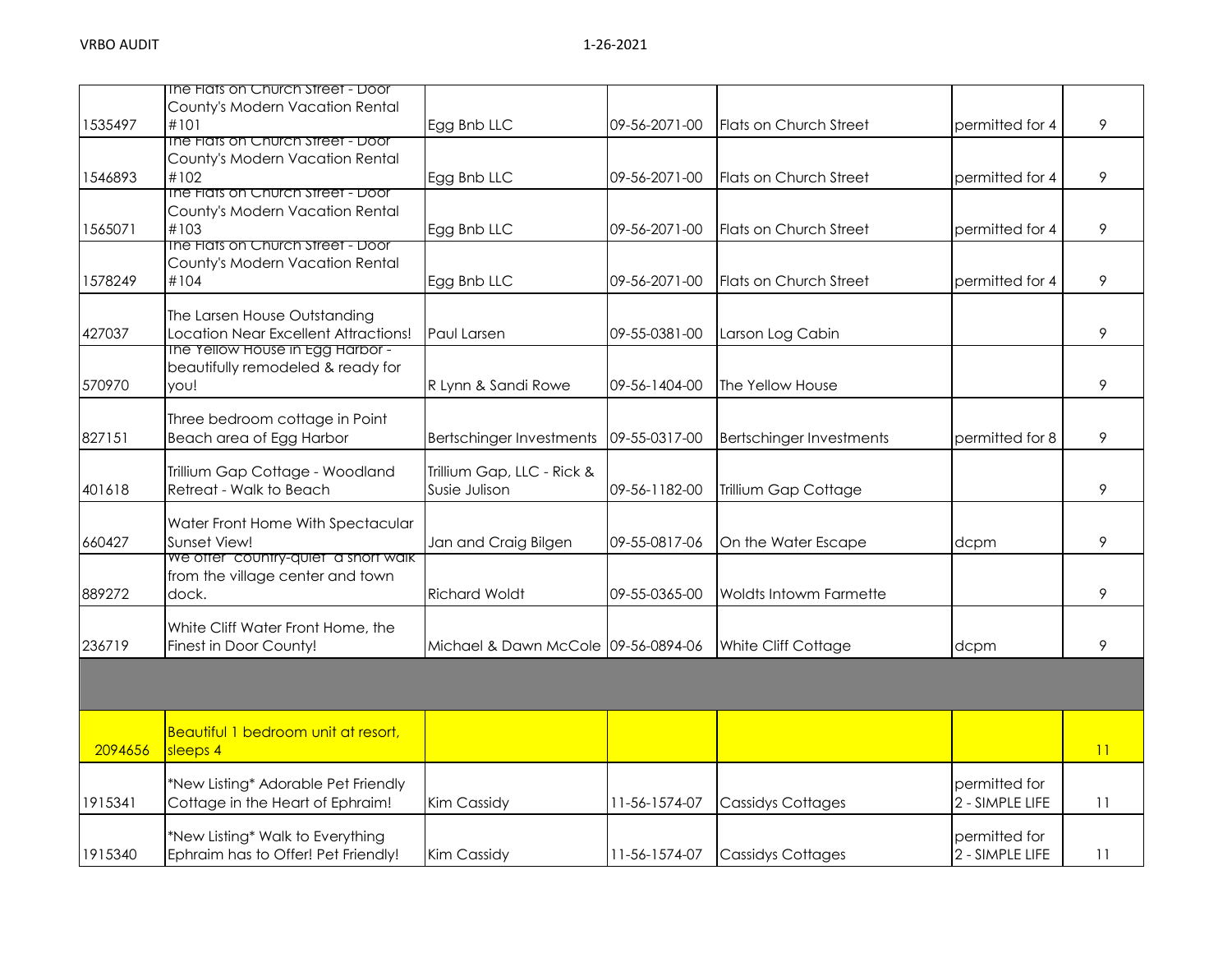|         | The Flats on Church Street - Door                          |                                             |               |                                 |                 |    |
|---------|------------------------------------------------------------|---------------------------------------------|---------------|---------------------------------|-----------------|----|
|         | County's Modern Vacation Rental                            |                                             |               |                                 |                 |    |
| 1535497 | #101                                                       | Egg Bnb LLC                                 | 09-56-2071-00 | Flats on Church Street          | permitted for 4 | 9  |
|         | The Flats on Church Street - Door                          |                                             |               |                                 |                 |    |
|         | County's Modern Vacation Rental                            |                                             |               |                                 |                 |    |
| 1546893 | #102                                                       | Egg Bnb LLC                                 | 09-56-2071-00 | Flats on Church Street          | permitted for 4 | 9  |
|         | The Flats on Church Street - Door                          |                                             |               |                                 |                 |    |
|         | County's Modern Vacation Rental                            |                                             |               |                                 |                 |    |
| 1565071 | #103                                                       | Egg Bnb LLC                                 | 09-56-2071-00 | Flats on Church Street          | permitted for 4 | 9  |
|         | The Flats on Church Street - Door                          |                                             |               |                                 |                 |    |
|         | County's Modern Vacation Rental                            |                                             |               |                                 |                 |    |
| 1578249 | #104                                                       | Egg Bnb LLC                                 | 09-56-2071-00 | <b>Flats on Church Street</b>   | permitted for 4 | 9  |
|         |                                                            |                                             |               |                                 |                 |    |
|         | The Larsen House Outstanding                               |                                             |               |                                 |                 |    |
| 427037  | Location Near Excellent Attractions!                       | Paul Larsen                                 | 09-55-0381-00 | Larson Log Cabin                |                 | 9  |
|         | The Yellow House in Egg Harbor -                           |                                             |               |                                 |                 |    |
|         | beautifully remodeled & ready for                          |                                             |               |                                 |                 |    |
| 570970  | you!                                                       | R Lynn & Sandi Rowe                         | 09-56-1404-00 | The Yellow House                |                 | 9  |
|         |                                                            |                                             |               |                                 |                 |    |
|         | Three bedroom cottage in Point                             |                                             |               |                                 |                 |    |
| 827151  | Beach area of Egg Harbor                                   | <b>Bertschinger Investments</b>             | 09-55-0317-00 | <b>Bertschinger Investments</b> | permitted for 8 | 9  |
|         |                                                            |                                             |               |                                 |                 |    |
|         | Trillium Gap Cottage - Woodland<br>Retreat - Walk to Beach | Trillium Gap, LLC - Rick &<br>Susie Julison |               |                                 |                 |    |
| 401618  |                                                            |                                             | 09-56-1182-00 | Trillium Gap Cottage            |                 | 9  |
|         | Water Front Home With Spectacular                          |                                             |               |                                 |                 |    |
| 660427  | Sunset View!                                               |                                             | 09-55-0817-06 |                                 |                 | 9  |
|         | we offer country-quiet a short walk                        | Jan and Craig Bilgen                        |               | On the Water Escape             | dcpm            |    |
|         | from the village center and town                           |                                             |               |                                 |                 |    |
| 889272  | dock.                                                      | <b>Richard Woldt</b>                        | 09-55-0365-00 | Woldts Intowm Farmette          |                 | 9  |
|         |                                                            |                                             |               |                                 |                 |    |
|         | White Cliff Water Front Home, the                          |                                             |               |                                 |                 |    |
| 236719  | Finest in Door County!                                     | Michael & Dawn McCole 09-56-0894-06         |               | White Cliff Cottage             | dcpm            | 9  |
|         |                                                            |                                             |               |                                 |                 |    |
|         |                                                            |                                             |               |                                 |                 |    |
|         |                                                            |                                             |               |                                 |                 |    |
|         |                                                            |                                             |               |                                 |                 |    |
|         | Beautiful 1 bedroom unit at resort,                        |                                             |               |                                 |                 |    |
| 2094656 | sleeps 4                                                   |                                             |               |                                 |                 | 11 |
|         |                                                            |                                             |               |                                 |                 |    |
|         | *New Listing* Adorable Pet Friendly                        |                                             |               |                                 | permitted for   |    |
| 1915341 | Cottage in the Heart of Ephraim!                           | Kim Cassidy                                 | 11-56-1574-07 | <b>Cassidys Cottages</b>        | 2 - SIMPLE LIFE | 11 |
|         |                                                            |                                             |               |                                 |                 |    |
|         | *New Listing* Walk to Everything                           |                                             |               |                                 | permitted for   |    |
| 1915340 | Ephraim has to Offer! Pet Friendly!                        | Kim Cassidy                                 | 11-56-1574-07 | <b>Cassidys Cottages</b>        | 2 - SIMPLE LIFE | 11 |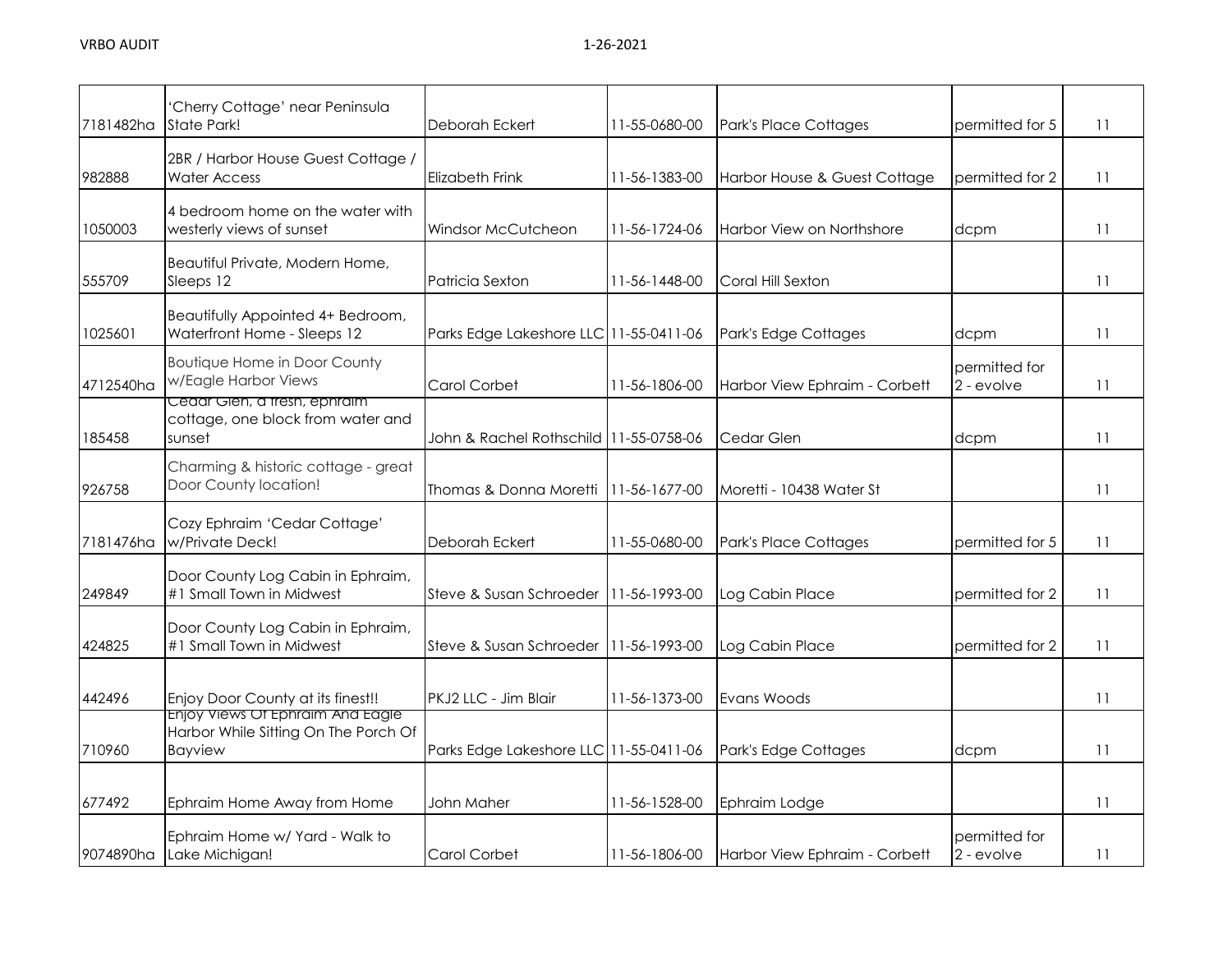| 7181482ha | 'Cherry Cottage' near Peninsula<br>State Park!                                                    | Deborah Eckert                         | 11-55-0680-00 | Park's Place Cottages         | permitted for 5             | 11 |
|-----------|---------------------------------------------------------------------------------------------------|----------------------------------------|---------------|-------------------------------|-----------------------------|----|
|           |                                                                                                   |                                        |               |                               |                             |    |
| 982888    | 2BR / Harbor House Guest Cottage /<br><b>Water Access</b>                                         | Elizabeth Frink                        | 11-56-1383-00 | Harbor House & Guest Cottage  | permitted for 2             | 11 |
| 1050003   | 4 bedroom home on the water with<br>westerly views of sunset                                      | Windsor McCutcheon                     | 11-56-1724-06 | Harbor View on Northshore     | dcpm                        | 11 |
| 555709    | Beautiful Private, Modern Home,<br>Sleeps 12                                                      | Patricia Sexton                        | 11-56-1448-00 | Coral Hill Sexton             |                             | 11 |
| 1025601   | Beautifully Appointed 4+ Bedroom,<br>Waterfront Home - Sleeps 12                                  | Parks Edge Lakeshore LLC 11-55-0411-06 |               | Park's Edge Cottages          | dcpm                        | 11 |
| 4712540ha | <b>Boutique Home in Door County</b><br>w/Eagle Harbor Views                                       | Carol Corbet                           | 11-56-1806-00 | Harbor View Ephraim - Corbett | permitted for<br>2 - evolve | 11 |
| 185458    | Ceaar Gien, a tresh, ephraim<br>cottage, one block from water and<br>sunset                       | John & Rachel Rothschild 11-55-0758-06 |               | Cedar Glen                    | dcpm                        | 11 |
| 926758    | Charming & historic cottage - great<br>Door County location!                                      | Thomas & Donna Moretti                 | 11-56-1677-00 | Moretti - 10438 Water St      |                             | 11 |
| 7181476ha | Cozy Ephraim 'Cedar Cottage'<br>w/Private Deck!                                                   | Deborah Eckert                         | 11-55-0680-00 | Park's Place Cottages         | permitted for 5             | 11 |
| 249849    | Door County Log Cabin in Ephraim,<br>#1 Small Town in Midwest                                     | Steve & Susan Schroeder                | 11-56-1993-00 | Log Cabin Place               | permitted for 2             | 11 |
| 424825    | Door County Log Cabin in Ephraim,<br>#1 Small Town in Midwest                                     | Steve & Susan Schroeder                | 11-56-1993-00 | Log Cabin Place               | permitted for 2             | 11 |
| 442496    | Enjoy Door County at its finest!!                                                                 | PKJ2 LLC - Jim Blair                   | 11-56-1373-00 | Evans Woods                   |                             | 11 |
| 710960    | <u>Enjoy views Of Ephraim And Eagle</u><br>Harbor While Sitting On The Porch Of<br><b>Bayview</b> | Parks Edge Lakeshore LLC 11-55-0411-06 |               | Park's Edge Cottages          | dcpm                        | 11 |
| 677492    | Ephraim Home Away from Home                                                                       | John Maher                             | 11-56-1528-00 | Ephraim Lodge                 |                             | 11 |
| 9074890ha | Ephraim Home w/ Yard - Walk to<br>Lake Michigan!                                                  | Carol Corbet                           | 11-56-1806-00 | Harbor View Ephraim - Corbett | permitted for<br>2 - evolve | 11 |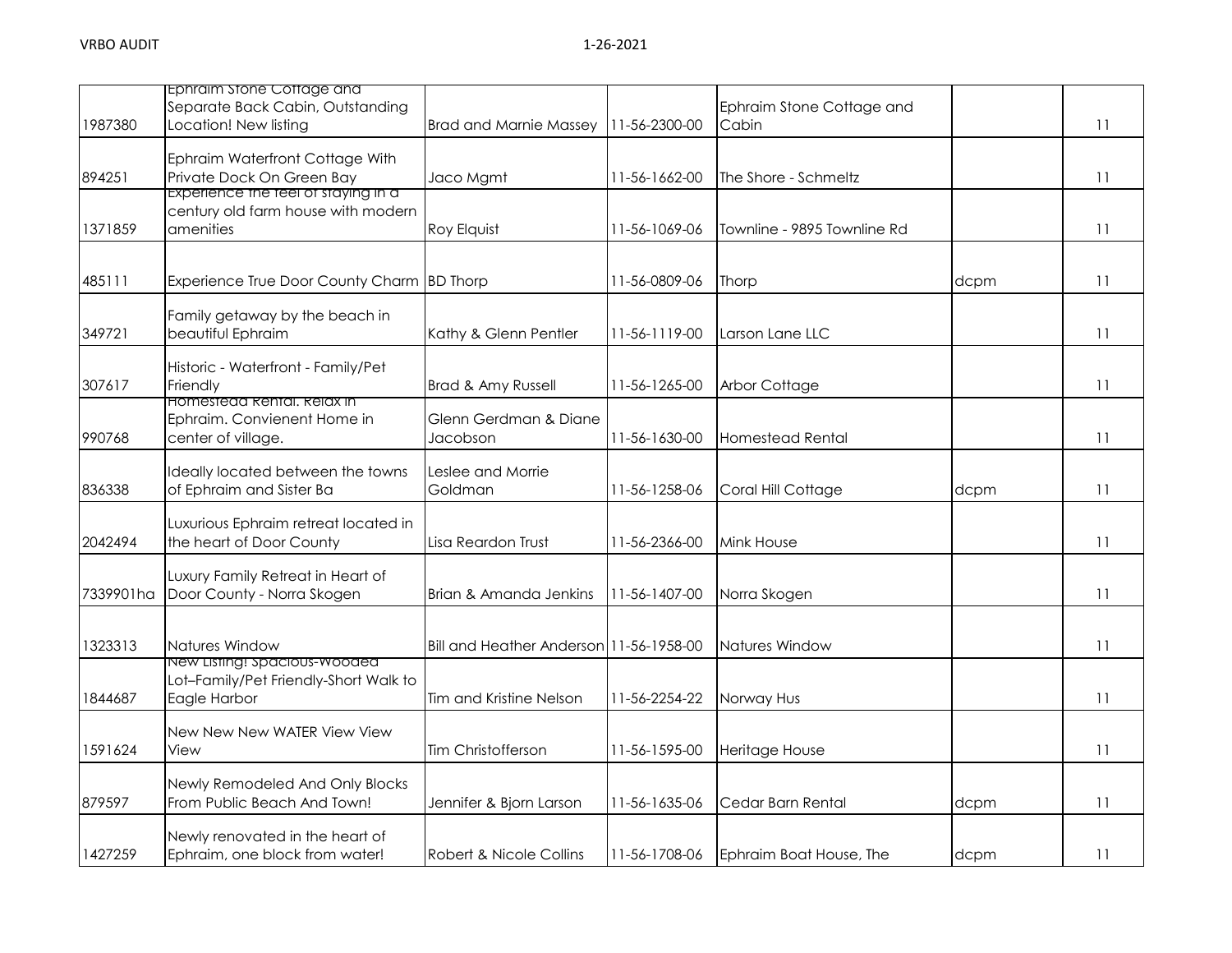| 1987380   | Ephraim stone Cottage and<br>Separate Back Cabin, Outstanding<br>Location! New listing | <b>Brad and Marnie Massey</b>           | 11-56-2300-00 | Ephraim Stone Cottage and<br>Cabin |      | 11 |
|-----------|----------------------------------------------------------------------------------------|-----------------------------------------|---------------|------------------------------------|------|----|
| 894251    | Ephraim Waterfront Cottage With<br>Private Dock On Green Bay                           | Jaco Mgmt                               | 11-56-1662-00 | The Shore - Schmeltz               |      | 11 |
| 1371859   | Experience the teel of staying in a<br>century old farm house with modern<br>amenities | Roy Elquist                             | 11-56-1069-06 | Townline - 9895 Townline Rd        |      | 11 |
| 485111    | Experience True Door County Charm BD Thorp                                             |                                         | 11-56-0809-06 | Thorp                              | dcpm | 11 |
| 349721    | Family getaway by the beach in<br>beautiful Ephraim                                    | Kathy & Glenn Pentler                   | 11-56-1119-00 | Larson Lane LLC                    |      | 11 |
| 307617    | Historic - Waterfront - Family/Pet<br>Friendly<br><b>HOMESTEGG RENTAL REIGX IN</b>     | Brad & Amy Russell                      | 11-56-1265-00 | Arbor Cottage                      |      | 11 |
| 990768    | Ephraim. Convienent Home in<br>center of village.                                      | Glenn Gerdman & Diane<br>Jacobson       | 11-56-1630-00 | <b>Homestead Rental</b>            |      | 11 |
| 836338    | Ideally located between the towns<br>of Ephraim and Sister Ba                          | Leslee and Morrie<br>Goldman            | 11-56-1258-06 | Coral Hill Cottage                 | dcpm | 11 |
| 2042494   | Luxurious Ephraim retreat located in<br>the heart of Door County                       | Lisa Reardon Trust                      | 11-56-2366-00 | Mink House                         |      | 11 |
| 7339901ha | Luxury Family Retreat in Heart of<br>Door County - Norra Skogen                        | Brian & Amanda Jenkins                  | 11-56-1407-00 | Norra Skogen                       |      | 11 |
| 1323313   | Natures Window                                                                         | Bill and Heather Anderson 11-56-1958-00 |               | Natures Window                     |      | 11 |
| 1844687   | New Listing! Spacious-Wooded<br>Lot-Family/Pet Friendly-Short Walk to<br>Eagle Harbor  | Tim and Kristine Nelson                 | 11-56-2254-22 | Norway Hus                         |      | 11 |
| 1591624   | New New New WATER View View<br>View                                                    | Tim Christofferson                      | 11-56-1595-00 | Heritage House                     |      | 11 |
| 879597    | Newly Remodeled And Only Blocks<br>From Public Beach And Town!                         | Jennifer & Bjorn Larson                 | 11-56-1635-06 | Cedar Barn Rental                  | dcpm | 11 |
| 1427259   | Newly renovated in the heart of<br>Ephraim, one block from water!                      | Robert & Nicole Collins                 | 11-56-1708-06 | Ephraim Boat House, The            | dcpm | 11 |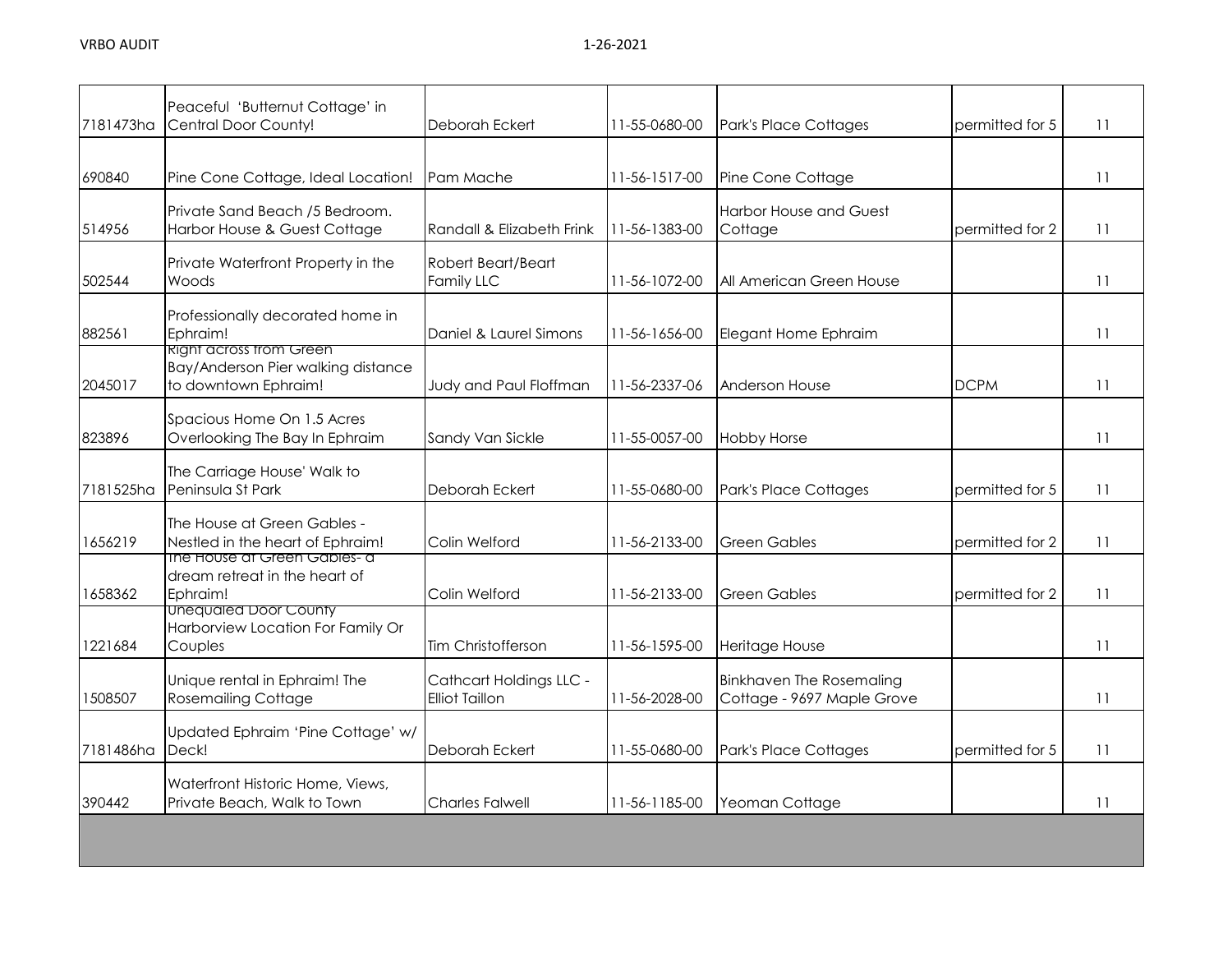| 7181473ha | Peaceful 'Butternut Cottage' in<br>Central Door County!                                      | Deborah Eckert                                   | 11-55-0680-00 | Park's Place Cottages                                         | permitted for 5 | 11 |
|-----------|----------------------------------------------------------------------------------------------|--------------------------------------------------|---------------|---------------------------------------------------------------|-----------------|----|
| 690840    | Pine Cone Cottage, Ideal Location!                                                           | Pam Mache                                        | 11-56-1517-00 | Pine Cone Cottage                                             |                 | 11 |
| 514956    | Private Sand Beach /5 Bedroom.<br>Harbor House & Guest Cottage                               | Randall & Elizabeth Frink                        | 11-56-1383-00 | <b>Harbor House and Guest</b><br>Cottage                      | permitted for 2 | 11 |
| 502544    | Private Waterfront Property in the<br>Woods                                                  | Robert Beart/Beart<br><b>Family LLC</b>          | 11-56-1072-00 | All American Green House                                      |                 | 11 |
| 882561    | Professionally decorated home in<br>Ephraim!                                                 | Daniel & Laurel Simons                           | 11-56-1656-00 | Elegant Home Ephraim                                          |                 | 11 |
| 2045017   | <b>Right across trom Green</b><br>Bay/Anderson Pier walking distance<br>to downtown Ephraim! | Judy and Paul Floffman                           | 11-56-2337-06 | <b>Anderson House</b>                                         | <b>DCPM</b>     | 11 |
| 823896    | Spacious Home On 1.5 Acres<br>Overlooking The Bay In Ephraim                                 | Sandy Van Sickle                                 | 11-55-0057-00 | <b>Hobby Horse</b>                                            |                 | 11 |
| 7181525ha | The Carriage House' Walk to<br>Peninsula St Park                                             | Deborah Eckert                                   | 11-55-0680-00 | Park's Place Cottages                                         | permitted for 5 | 11 |
| 1656219   | The House at Green Gables -<br>Nestled in the heart of Ephraim!                              | Colin Welford                                    | 11-56-2133-00 | <b>Green Gables</b>                                           | permitted for 2 | 11 |
| 1658362   | ine House at Green Gables- a<br>dream retreat in the heart of<br>Ephraim!                    | Colin Welford                                    | 11-56-2133-00 | <b>Green Gables</b>                                           | permitted for 2 | 11 |
| 1221684   | Unequaled Door County<br>Harborview Location For Family Or<br>Couples                        | Tim Christofferson                               | 11-56-1595-00 | Heritage House                                                |                 | 11 |
| 1508507   | Unique rental in Ephraim! The<br><b>Rosemailing Cottage</b>                                  | Cathcart Holdings LLC -<br><b>Elliot Taillon</b> | 11-56-2028-00 | <b>Binkhaven The Rosemaling</b><br>Cottage - 9697 Maple Grove |                 | 11 |
| 7181486ha | Updated Ephraim 'Pine Cottage' w/<br>Deck!                                                   | Deborah Eckert                                   | 11-55-0680-00 | Park's Place Cottages                                         | permitted for 5 | 11 |
| 390442    | Waterfront Historic Home, Views,<br>Private Beach, Walk to Town                              | <b>Charles Falwell</b>                           | 11-56-1185-00 | Yeoman Cottage                                                |                 | 11 |
|           |                                                                                              |                                                  |               |                                                               |                 |    |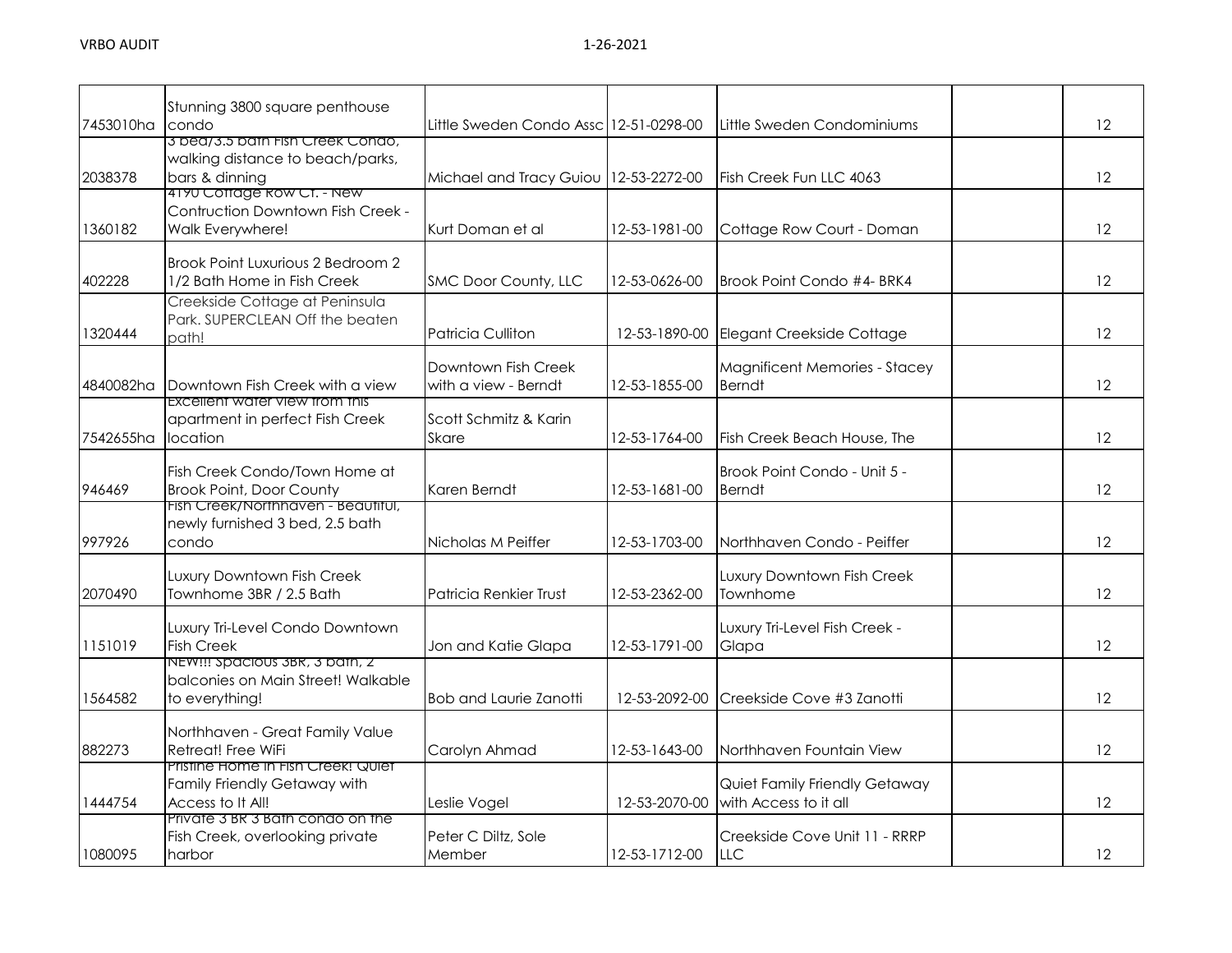|           | Stunning 3800 square penthouse                                           |                                          |               |                                                        |                   |
|-----------|--------------------------------------------------------------------------|------------------------------------------|---------------|--------------------------------------------------------|-------------------|
| 7453010ha | condo                                                                    | Little Sweden Condo Assc   12-51-0298-00 |               | Little Sweden Condominiums                             | 12                |
|           | 3 bed/3.5 bath Fish Creek Condo,<br>walking distance to beach/parks,     |                                          |               |                                                        |                   |
| 2038378   | bars & dinning                                                           | Michael and Tracy Guiou   12-53-2272-00  |               | Fish Creek Fun LLC 4063                                | 12                |
|           | 4190 Coffage Row CT. - New                                               |                                          |               |                                                        |                   |
|           | Contruction Downtown Fish Creek -                                        |                                          |               |                                                        |                   |
| 1360182   | Walk Everywhere!                                                         | Kurt Doman et al                         | 12-53-1981-00 | Cottage Row Court - Doman                              | 12                |
|           | Brook Point Luxurious 2 Bedroom 2                                        |                                          |               |                                                        |                   |
| 402228    | 1/2 Bath Home in Fish Creek                                              | SMC Door County, LLC                     | 12-53-0626-00 | Brook Point Condo #4- BRK4                             | 12                |
|           | Creekside Cottage at Peninsula                                           |                                          |               |                                                        |                   |
| 1320444   | Park. SUPERCLEAN Off the beaten<br>path!                                 | Patricia Culliton                        | 12-53-1890-00 | Elegant Creekside Cottage                              | 12                |
|           |                                                                          |                                          |               |                                                        |                   |
|           |                                                                          | Downtown Fish Creek                      |               | <b>Magnificent Memories - Stacey</b>                   |                   |
| 4840082ha | Downtown Fish Creek with a view<br><b>EXCEILENT WATER VIEW TROM THIS</b> | with a view - Berndt                     | 12-53-1855-00 | <b>Berndt</b>                                          | 12                |
|           | apartment in perfect Fish Creek                                          | Scott Schmitz & Karin                    |               |                                                        |                   |
| 7542655ha | location                                                                 | Skare                                    | 12-53-1764-00 | Fish Creek Beach House, The                            | 12                |
|           |                                                                          |                                          |               |                                                        |                   |
| 946469    | Fish Creek Condo/Town Home at<br><b>Brook Point, Door County</b>         | Karen Berndt                             | 12-53-1681-00 | Brook Point Condo - Unit 5 -<br><b>Berndt</b>          | 12                |
|           | Fish Creek/Northhaven - Beautitul,                                       |                                          |               |                                                        |                   |
|           | newly furnished 3 bed, 2.5 bath                                          |                                          |               |                                                        |                   |
| 997926    | condo                                                                    | Nicholas M Peiffer                       | 12-53-1703-00 | Northhaven Condo - Peiffer                             | 12                |
|           | Luxury Downtown Fish Creek                                               |                                          |               | Luxury Downtown Fish Creek                             |                   |
| 2070490   | Townhome 3BR / 2.5 Bath                                                  | Patricia Renkier Trust                   | 12-53-2362-00 | Townhome                                               | 12                |
|           |                                                                          |                                          |               |                                                        |                   |
| 1151019   | Luxury Tri-Level Condo Downtown<br><b>Fish Creek</b>                     | Jon and Katie Glapa                      | 12-53-1791-00 | Luxury Tri-Level Fish Creek -<br>Glapa                 | 12                |
|           | NEW!!! Spacious 3BR, 3 bath, 2                                           |                                          |               |                                                        |                   |
|           | balconies on Main Street! Walkable                                       |                                          |               |                                                        |                   |
| 1564582   | to everything!                                                           | <b>Bob and Laurie Zanotti</b>            | 12-53-2092-00 | Creekside Cove #3 Zanotti                              | 12                |
|           | Northhaven - Great Family Value                                          |                                          |               |                                                        |                   |
| 882273    | Retreat! Free WiFi                                                       | Carolyn Ahmad                            | 12-53-1643-00 | Northhaven Fountain View                               | $12 \overline{ }$ |
|           | Pristine Home in Fish Creek! Quiet                                       |                                          |               |                                                        |                   |
| 1444754   | Family Friendly Getaway with<br>Access to It All!                        | Leslie Vogel                             | 12-53-2070-00 | Quiet Family Friendly Getaway<br>with Access to it all | 12                |
|           | Private 3 BR 3 Bath condo on the                                         |                                          |               |                                                        |                   |
|           | Fish Creek, overlooking private                                          | Peter C Diltz, Sole                      |               | Creekside Cove Unit 11 - RRRP                          |                   |
| 1080095   | harbor                                                                   | Member                                   | 12-53-1712-00 | <b>LLC</b>                                             | 12                |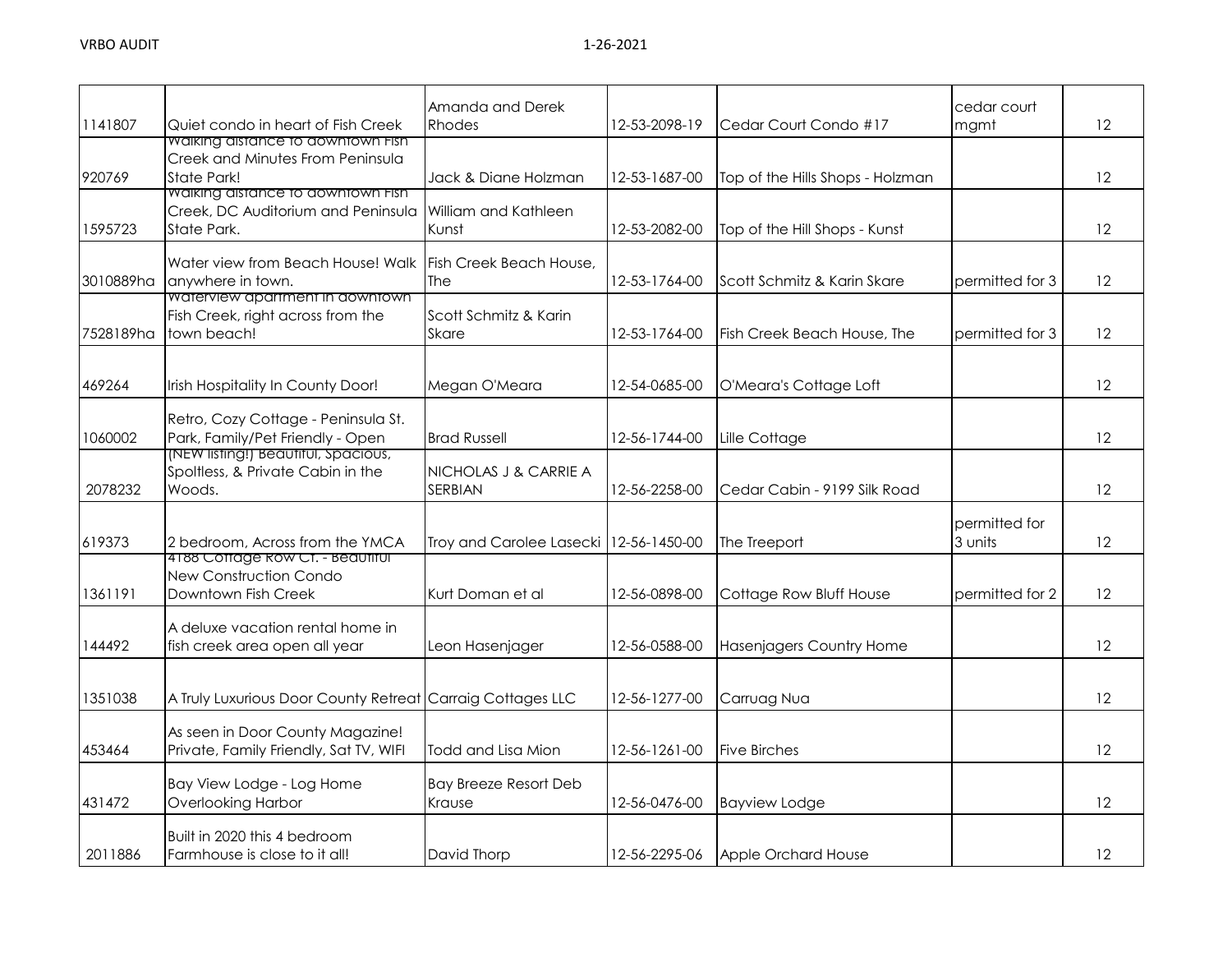| 1141807   | Quiet condo in heart of Fish Creek                                                            | Amanda and Derek<br><b>Rhodes</b>        | 12-53-2098-19 | Cedar Court Condo #17            | cedar court<br>mgmt      | 12 |
|-----------|-----------------------------------------------------------------------------------------------|------------------------------------------|---------------|----------------------------------|--------------------------|----|
| 920769    | Walking distance to downtown Fish<br>Creek and Minutes From Peninsula<br>State Park!          | Jack & Diane Holzman                     | 12-53-1687-00 | Top of the Hills Shops - Holzman |                          | 12 |
| 1595723   | <b>Waiking aistance to aowntown Fish</b><br>Creek, DC Auditorium and Peninsula<br>State Park. | William and Kathleen<br>Kunst            | 12-53-2082-00 | Top of the Hill Shops - Kunst    |                          | 12 |
| 3010889ha | Water view from Beach House! Walk<br>anywhere in town.                                        | Fish Creek Beach House,<br><b>The</b>    | 12-53-1764-00 | Scott Schmitz & Karin Skare      | permitted for 3          | 12 |
| 7528189ha | Waterview apartment in downtown<br>Fish Creek, right across from the<br>town beach!           | Scott Schmitz & Karin<br><b>Skare</b>    | 12-53-1764-00 | Fish Creek Beach House, The      | permitted for 3          | 12 |
| 469264    | Irish Hospitality In County Door!                                                             | Megan O'Meara                            | 12-54-0685-00 | O'Meara's Cottage Loft           |                          | 12 |
| 1060002   | Retro, Cozy Cottage - Peninsula St.<br>Park, Family/Pet Friendly - Open                       | <b>Brad Russell</b>                      | 12-56-1744-00 | Lille Cottage                    |                          | 12 |
| 2078232   | NEW listing!) Beautitul, Spacious,<br>Spoltless, & Private Cabin in the<br>Woods.             | NICHOLAS J & CARRIE A<br>SERBIAN         | 12-56-2258-00 | Cedar Cabin - 9199 Silk Road     |                          | 12 |
| 619373    | 2 bedroom, Across from the YMCA                                                               | Troy and Carolee Lasecki   12-56-1450-00 |               | The Treeport                     | permitted for<br>3 units | 12 |
| 1361191   | 4188 Cottage Row Ct. - Beautiful<br>New Construction Condo<br>Downtown Fish Creek             | Kurt Doman et al                         | 12-56-0898-00 | Cottage Row Bluff House          | permitted for 2          | 12 |
| 144492    | A deluxe vacation rental home in<br>fish creek area open all year                             | Leon Hasenjager                          | 12-56-0588-00 | Hasenjagers Country Home         |                          | 12 |
| 1351038   | A Truly Luxurious Door County Retreat Carraig Cottages LLC                                    |                                          | 12-56-1277-00 | Carruag Nua                      |                          | 12 |
| 453464    | As seen in Door County Magazine!<br>Private, Family Friendly, Sat TV, WIFI                    | Todd and Lisa Mion                       | 12-56-1261-00 | <b>Five Birches</b>              |                          | 12 |
| 431472    | Bay View Lodge - Log Home<br>Overlooking Harbor                                               | <b>Bay Breeze Resort Deb</b><br>Krause   | 12-56-0476-00 | <b>Bayview Lodge</b>             |                          | 12 |
| 2011886   | Built in 2020 this 4 bedroom<br>Farmhouse is close to it all!                                 | David Thorp                              | 12-56-2295-06 | Apple Orchard House              |                          | 12 |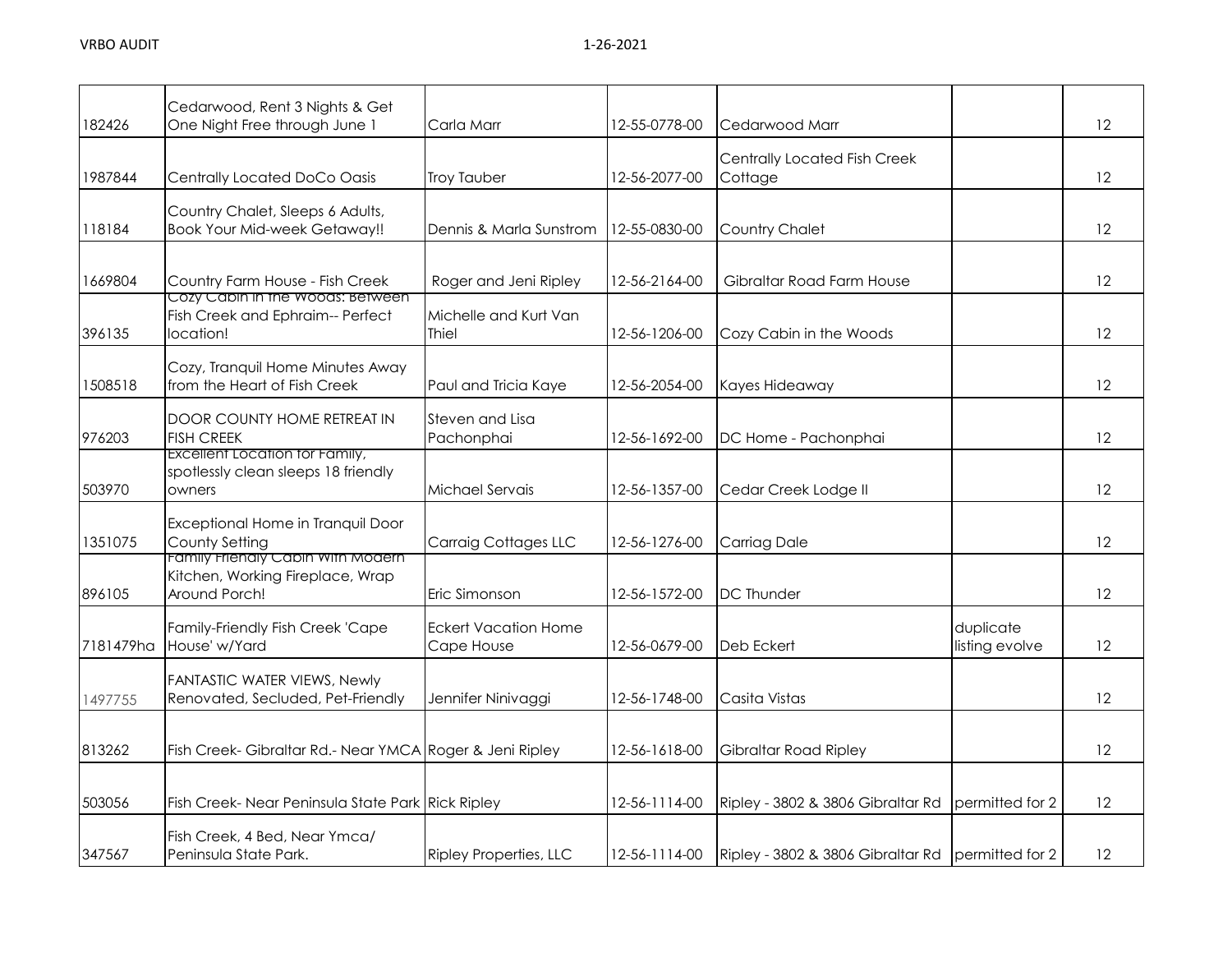|           | Cedarwood, Rent 3 Nights & Get                                                                |                                           |               |                                                   |                             |    |
|-----------|-----------------------------------------------------------------------------------------------|-------------------------------------------|---------------|---------------------------------------------------|-----------------------------|----|
| 182426    | One Night Free through June 1                                                                 | Carla Marr                                | 12-55-0778-00 | Cedarwood Marr                                    |                             | 12 |
| 1987844   | <b>Centrally Located DoCo Oasis</b>                                                           | <b>Troy Tauber</b>                        | 12-56-2077-00 | Centrally Located Fish Creek<br>Cottage           |                             | 12 |
| 118184    | Country Chalet, Sleeps 6 Adults,<br><b>Book Your Mid-week Getaway!!</b>                       | Dennis & Marla Sunstrom                   | 12-55-0830-00 | <b>Country Chalet</b>                             |                             | 12 |
| 1669804   | Country Farm House - Fish Creek<br>Cozy Cabin in the Woods: Between                           | Roger and Jeni Ripley                     | 12-56-2164-00 | Gibraltar Road Farm House                         |                             | 12 |
| 396135    | Fish Creek and Ephraim-- Perfect<br>location!                                                 | Michelle and Kurt Van<br>Thiel            | 12-56-1206-00 | Cozy Cabin in the Woods                           |                             | 12 |
| 1508518   | Cozy, Tranquil Home Minutes Away<br>from the Heart of Fish Creek                              | Paul and Tricia Kaye                      | 12-56-2054-00 | Kayes Hideaway                                    |                             | 12 |
| 976203    | DOOR COUNTY HOME RETREAT IN<br><b>FISH CREEK</b>                                              | Steven and Lisa<br>Pachonphai             | 12-56-1692-00 | DC Home - Pachonphai                              |                             | 12 |
| 503970    | Excellent Location for Family,<br>spotlessly clean sleeps 18 friendly<br>owners               | Michael Servais                           | 12-56-1357-00 | Cedar Creek Lodge II                              |                             | 12 |
| 1351075   | Exceptional Home in Tranquil Door<br>County Setting                                           | <b>Carraig Cottages LLC</b>               | 12-56-1276-00 | <b>Carriag Dale</b>                               |                             | 12 |
| 896105    | <u>Family Frienaly Cabin with Modern</u><br>Kitchen, Working Fireplace, Wrap<br>Around Porch! | Eric Simonson                             | 12-56-1572-00 | <b>DC Thunder</b>                                 |                             | 12 |
| 7181479ha | Family-Friendly Fish Creek 'Cape<br>House' w/Yard                                             | <b>Eckert Vacation Home</b><br>Cape House | 12-56-0679-00 | Deb Eckert                                        | duplicate<br>listing evolve | 12 |
| 1497755   | FANTASTIC WATER VIEWS, Newly<br>Renovated, Secluded, Pet-Friendly                             | Jennifer Ninivaggi                        | 12-56-1748-00 | Casita Vistas                                     |                             | 12 |
| 813262    | Fish Creek- Gibraltar Rd.- Near YMCA Roger & Jeni Ripley                                      |                                           | 12-56-1618-00 | <b>Gibraltar Road Ripley</b>                      |                             | 12 |
| 503056    | Fish Creek-Near Peninsula State Park Rick Ripley                                              |                                           | 12-56-1114-00 | Ripley - 3802 & 3806 Gibraltar Rd                 | permitted for 2             | 12 |
| 347567    | Fish Creek, 4 Bed, Near Ymca/<br>Peninsula State Park.                                        | <b>Ripley Properties, LLC</b>             | 12-56-1114-00 | Ripley - 3802 & 3806 Gibraltar Rd permitted for 2 |                             | 12 |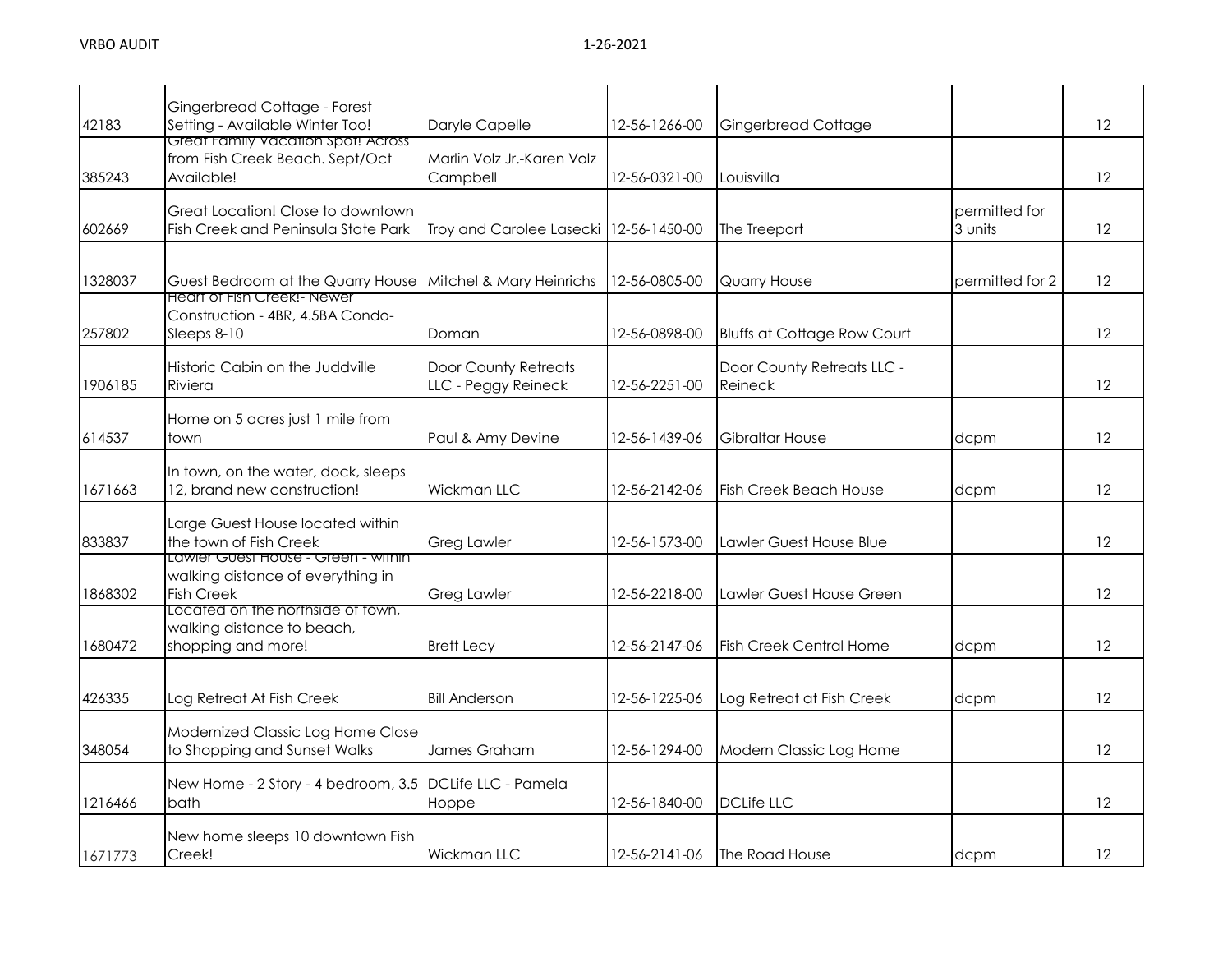| 42183   | Gingerbread Cottage - Forest<br>Setting - Available Winter Too!                               | Daryle Capelle                                     | 12-56-1266-00 | Gingerbread Cottage                   |                          | $12 \,$           |
|---------|-----------------------------------------------------------------------------------------------|----------------------------------------------------|---------------|---------------------------------------|--------------------------|-------------------|
| 385243  | Great Family Vacation Spot! Across<br>from Fish Creek Beach. Sept/Oct<br>Available!           | Marlin Volz Jr.-Karen Volz<br>Campbell             | 12-56-0321-00 | Louisvilla                            |                          | 12                |
| 602669  | Great Location! Close to downtown<br>Fish Creek and Peninsula State Park                      | Troy and Carolee Lasecki   12-56-1450-00           |               | The Treeport                          | permitted for<br>3 units | 12                |
| 1328037 | Guest Bedroom at the Quarry House<br><b>Heart of Fish Creek!- Newer</b>                       | Mitchel & Mary Heinrichs                           | 12-56-0805-00 | <b>Quarry House</b>                   | permitted for 2          | 12                |
| 257802  | Construction - 4BR, 4.5BA Condo-<br>Sleeps 8-10                                               | Doman                                              | 12-56-0898-00 | <b>Bluffs at Cottage Row Court</b>    |                          | 12                |
| 1906185 | Historic Cabin on the Juddville<br>Riviera                                                    | <b>Door County Retreats</b><br>LLC - Peggy Reineck | 12-56-2251-00 | Door County Retreats LLC -<br>Reineck |                          | $12 \overline{ }$ |
| 614537  | Home on 5 acres just 1 mile from<br>town                                                      | Paul & Amy Devine                                  | 12-56-1439-06 | Gibraltar House                       | dcpm                     | 12                |
| 1671663 | In town, on the water, dock, sleeps<br>12, brand new construction!                            | Wickman LLC                                        | 12-56-2142-06 | <b>Fish Creek Beach House</b>         | dcpm                     | 12                |
| 833837  | Large Guest House located within<br>the town of Fish Creek                                    | <b>Greg Lawler</b>                                 | 12-56-1573-00 | Lawler Guest House Blue               |                          | 12                |
| 1868302 | Lawier Guest House - Green - within<br>walking distance of everything in<br><b>Fish Creek</b> | <b>Greg Lawler</b>                                 | 12-56-2218-00 | Lawler Guest House Green              |                          | 12                |
| 1680472 | Located on the northside of fown,<br>walking distance to beach,<br>shopping and more!         | <b>Brett Lecy</b>                                  | 12-56-2147-06 | <b>Fish Creek Central Home</b>        | dcpm                     | 12                |
| 426335  | Log Retreat At Fish Creek                                                                     | <b>Bill Anderson</b>                               | 12-56-1225-06 | Log Retreat at Fish Creek             | dcpm                     | 12                |
| 348054  | Modernized Classic Log Home Close<br>to Shopping and Sunset Walks                             | James Graham                                       | 12-56-1294-00 | Modern Classic Log Home               |                          | 12                |
| 1216466 | New Home - 2 Story - 4 bedroom, 3.5 DCLife LLC - Pamela<br>bath                               | Hoppe                                              | 12-56-1840-00 | <b>DCLife LLC</b>                     |                          | 12                |
| 1671773 | New home sleeps 10 downtown Fish<br>Creek!                                                    | <b>Wickman LLC</b>                                 | 12-56-2141-06 | <b>The Road House</b>                 | dcpm                     | $12 \,$           |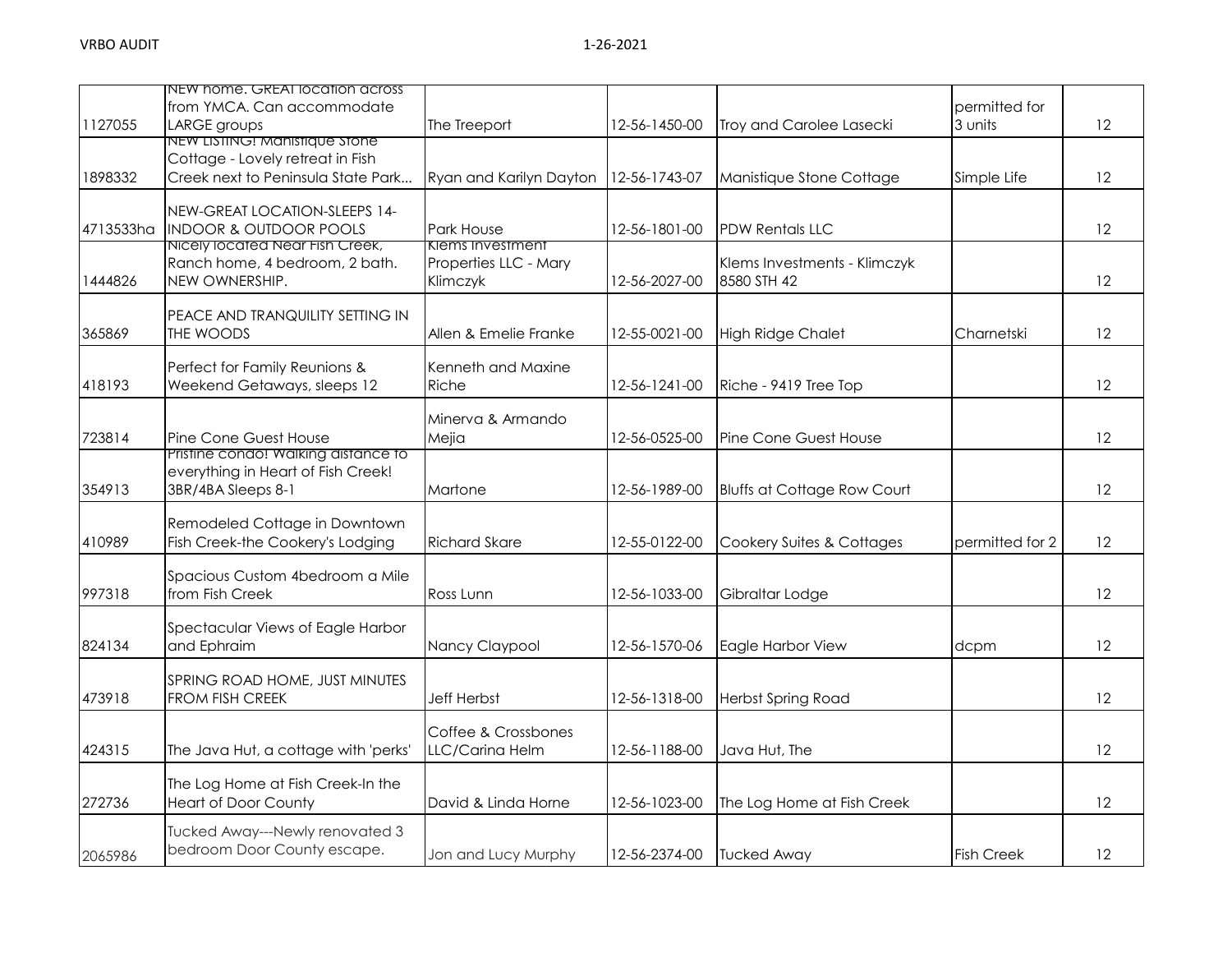|           | NEW home. GREAI location across<br>from YMCA. Can accommodate        |                                |               |                                    | permitted for     |    |
|-----------|----------------------------------------------------------------------|--------------------------------|---------------|------------------------------------|-------------------|----|
| 1127055   | LARGE groups                                                         | The Treeport                   | 12-56-1450-00 | Troy and Carolee Lasecki           | 3 units           | 12 |
|           | NEW LISTING! Manistique Stone<br>Cottage - Lovely retreat in Fish    |                                |               |                                    |                   |    |
| 1898332   | Creek next to Peninsula State Park                                   | Ryan and Karilyn Dayton        | 12-56-1743-07 | Manistique Stone Cottage           | Simple Life       | 12 |
|           |                                                                      |                                |               |                                    |                   |    |
|           | NEW-GREAT LOCATION-SLEEPS 14-                                        |                                |               |                                    |                   |    |
| 4713533ha | <b>INDOOR &amp; OUTDOOR POOLS</b><br>Nicely located Near Fish Creek, | Park House<br>Klems Investment | 12-56-1801-00 | <b>PDW Rentals LLC</b>             |                   | 12 |
|           | Ranch home, 4 bedroom, 2 bath.                                       | Properties LLC - Mary          |               | Klems Investments - Klimczyk       |                   |    |
| 1444826   | NEW OWNERSHIP.                                                       | Klimczyk                       | 12-56-2027-00 | 8580 STH 42                        |                   | 12 |
|           |                                                                      |                                |               |                                    |                   |    |
|           | PEACE AND TRANQUILITY SETTING IN                                     |                                |               |                                    |                   |    |
| 365869    | THE WOODS                                                            | Allen & Emelie Franke          | 12-55-0021-00 | <b>High Ridge Chalet</b>           | Charnetski        | 12 |
|           | Perfect for Family Reunions &                                        | Kenneth and Maxine             |               |                                    |                   |    |
| 418193    | Weekend Getaways, sleeps 12                                          | Riche                          | 12-56-1241-00 | Riche - 9419 Tree Top              |                   | 12 |
|           |                                                                      |                                |               |                                    |                   |    |
| 723814    | Pine Cone Guest House                                                | Minerva & Armando<br>Mejia     | 12-56-0525-00 | Pine Cone Guest House              |                   | 12 |
|           | Pristine condo! Walking distance to                                  |                                |               |                                    |                   |    |
|           | everything in Heart of Fish Creek!                                   |                                |               |                                    |                   |    |
| 354913    | 3BR/4BA Sleeps 8-1                                                   | Martone                        | 12-56-1989-00 | <b>Bluffs at Cottage Row Court</b> |                   | 12 |
|           |                                                                      |                                |               |                                    |                   |    |
| 410989    | Remodeled Cottage in Downtown<br>Fish Creek-the Cookery's Lodging    | <b>Richard Skare</b>           | 12-55-0122-00 | Cookery Suites & Cottages          | permitted for 2   | 12 |
|           |                                                                      |                                |               |                                    |                   |    |
|           | Spacious Custom 4bedroom a Mile                                      |                                |               |                                    |                   |    |
| 997318    | from Fish Creek                                                      | Ross Lunn                      | 12-56-1033-00 | Gibraltar Lodge                    |                   | 12 |
|           | Spectacular Views of Eagle Harbor                                    |                                |               |                                    |                   |    |
| 824134    | and Ephraim                                                          | Nancy Claypool                 | 12-56-1570-06 | Eagle Harbor View                  | dcpm              | 12 |
|           |                                                                      |                                |               |                                    |                   |    |
|           | SPRING ROAD HOME, JUST MINUTES                                       |                                |               |                                    |                   |    |
| 473918    | FROM FISH CREEK                                                      | <b>Jeff Herbst</b>             | 12-56-1318-00 | Herbst Spring Road                 |                   | 12 |
|           |                                                                      | Coffee & Crossbones            |               |                                    |                   |    |
| 424315    | The Java Hut, a cottage with 'perks'                                 | LLC/Carina Helm                | 12-56-1188-00 | Java Hut, The                      |                   | 12 |
|           |                                                                      |                                |               |                                    |                   |    |
|           | The Log Home at Fish Creek-In the                                    |                                |               |                                    |                   |    |
| 272736    | <b>Heart of Door County</b>                                          | David & Linda Horne            | 12-56-1023-00 | The Log Home at Fish Creek         |                   | 12 |
|           | Tucked Away---Newly renovated 3                                      |                                |               |                                    |                   |    |
| 2065986   | bedroom Door County escape.                                          | Jon and Lucy Murphy            | 12-56-2374-00 | <b>Tucked Away</b>                 | <b>Fish Creek</b> | 12 |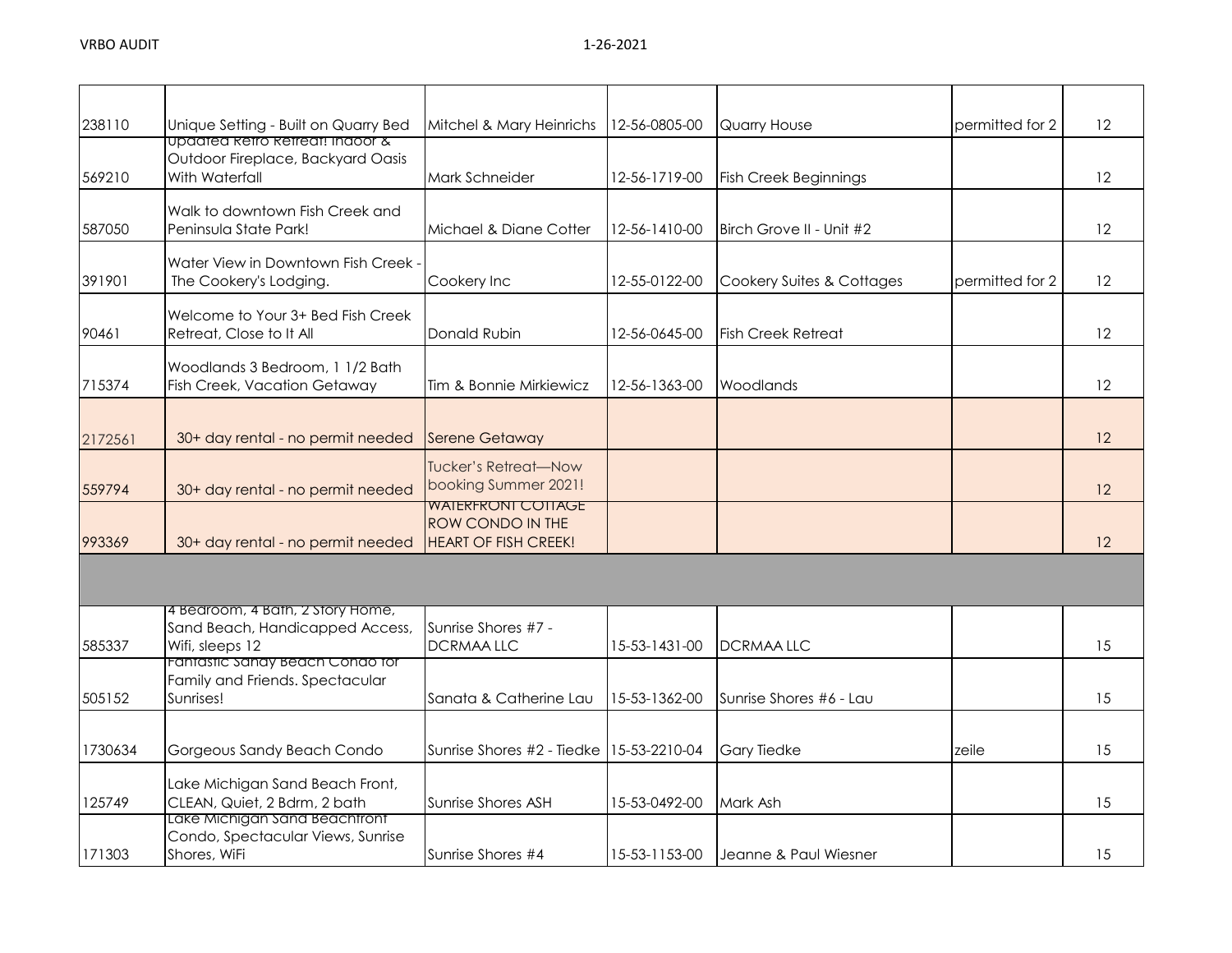| 238110  | Unique Setting - Built on Quarry Bed                                                   | Mitchel & Mary Heinrichs                                                            | 12-56-0805-00 | Quarry House                 | permitted for 2 | 12 |
|---------|----------------------------------------------------------------------------------------|-------------------------------------------------------------------------------------|---------------|------------------------------|-----------------|----|
| 569210  | Updated Retro Retreat! Indoor &<br>Outdoor Fireplace, Backyard Oasis<br>With Waterfall | Mark Schneider                                                                      | 12-56-1719-00 | <b>Fish Creek Beginnings</b> |                 | 12 |
| 587050  | Walk to downtown Fish Creek and<br>Peninsula State Park!                               | Michael & Diane Cotter                                                              | 12-56-1410-00 | Birch Grove II - Unit #2     |                 | 12 |
| 391901  | Water View in Downtown Fish Creek -<br>The Cookery's Lodging.                          | Cookery Inc                                                                         | 12-55-0122-00 | Cookery Suites & Cottages    | permitted for 2 | 12 |
| 90461   | Welcome to Your 3+ Bed Fish Creek<br>Retreat, Close to It All                          | Donald Rubin                                                                        | 12-56-0645-00 | <b>Fish Creek Retreat</b>    |                 | 12 |
| 715374  | Woodlands 3 Bedroom, 1 1/2 Bath<br><b>Fish Creek, Vacation Getaway</b>                 | Tim & Bonnie Mirkiewicz                                                             | 12-56-1363-00 | Woodlands                    |                 | 12 |
| 2172561 | 30+ day rental - no permit needed                                                      | <b>Serene Getaway</b>                                                               |               |                              |                 | 12 |
| 559794  | 30+ day rental - no permit needed                                                      | <b>Tucker's Retreat-Now</b><br>booking Summer 2021!                                 |               |                              |                 | 12 |
| 993369  | 30+ day rental - no permit needed                                                      | <b>WAIERFRONI COTIAGE</b><br><b>ROW CONDO IN THE</b><br><b>HEART OF FISH CREEK!</b> |               |                              |                 | 12 |
|         |                                                                                        |                                                                                     |               |                              |                 |    |
| 585337  | 4 Bedroom, 4 Bath, 2 Story Home,<br>Sand Beach, Handicapped Access,<br>Wifi, sleeps 12 | Sunrise Shores #7 -<br><b>DCRMAALLC</b>                                             | 15-53-1431-00 | <b>DCRMAALLC</b>             |                 | 15 |
| 505152  | Fantastic Sandy Beach Condo for<br>Family and Friends. Spectacular<br>Sunrises!        | Sanata & Catherine Lau                                                              | 15-53-1362-00 | Sunrise Shores #6 - Lau      |                 | 15 |
| 1730634 | Gorgeous Sandy Beach Condo                                                             | Sunrise Shores #2 - Tiedke                                                          | 15-53-2210-04 | <b>Gary Tiedke</b>           | zeile           | 15 |
| 125749  | Lake Michigan Sand Beach Front,<br>CLEAN, Quiet, 2 Bdrm, 2 bath                        | Sunrise Shores ASH                                                                  | 15-53-0492-00 | Mark Ash                     |                 | 15 |
| 171303  | Lake Michigan Sand Beachtront<br>Condo, Spectacular Views, Sunrise<br>Shores, WiFi     | Sunrise Shores #4                                                                   | 15-53-1153-00 | Jeanne & Paul Wiesner        |                 | 15 |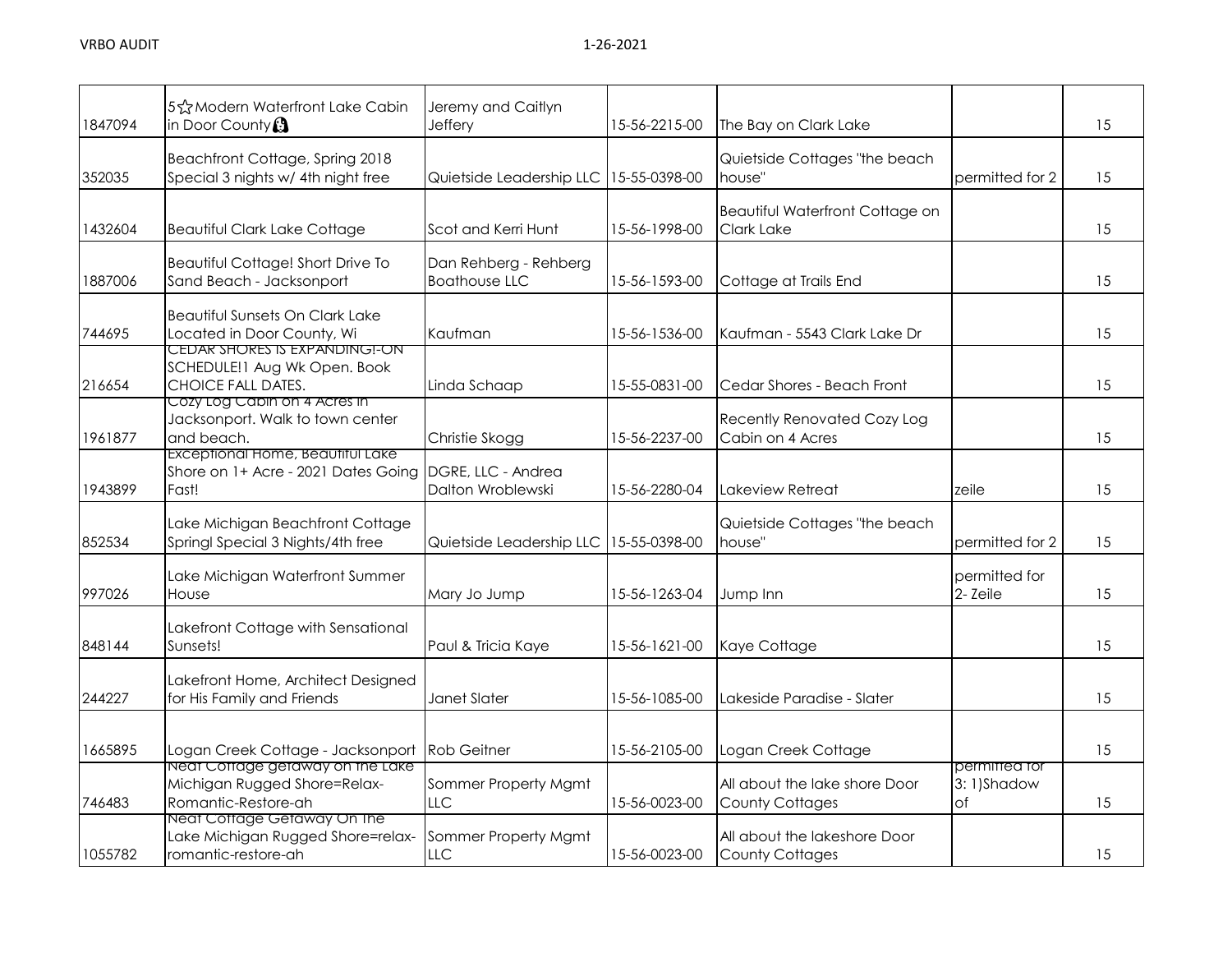| 1847094 | 5☆Modern Waterfront Lake Cabin<br>in Door County <sup>3</sup>                                         | Jeremy and Caitlyn<br>Jeffery                 | 15-56-2215-00 | The Bay on Clark Lake                                   |                                   | 15 |
|---------|-------------------------------------------------------------------------------------------------------|-----------------------------------------------|---------------|---------------------------------------------------------|-----------------------------------|----|
| 352035  | Beachfront Cottage, Spring 2018<br>Special 3 nights w/ 4th night free                                 | Quietside Leadership LLC 15-55-0398-00        |               | Quietside Cottages "the beach<br>house"                 | permitted for 2                   | 15 |
| 1432604 | <b>Beautiful Clark Lake Cottage</b>                                                                   | Scot and Kerri Hunt                           | 15-56-1998-00 | Beautiful Waterfront Cottage on<br>Clark Lake           |                                   | 15 |
| 1887006 | Beautiful Cottage! Short Drive To<br>Sand Beach - Jacksonport                                         | Dan Rehberg - Rehberg<br><b>Boathouse LLC</b> | 15-56-1593-00 | Cottage at Trails End                                   |                                   | 15 |
| 744695  | <b>Beautiful Sunsets On Clark Lake</b><br>Located in Door County, Wi<br>CEDAR SHORES IS EXPANDING!-ON | Kaufman                                       | 15-56-1536-00 | Kaufman - 5543 Clark Lake Dr                            |                                   | 15 |
| 216654  | SCHEDULE!1 Aug Wk Open. Book<br>CHOICE FALL DATES.<br>Cozy Log Cabin on 4 Acres in                    | Linda Schaap                                  | 15-55-0831-00 | Cedar Shores - Beach Front                              |                                   | 15 |
| 1961877 | Jacksonport. Walk to town center<br>and beach.<br>Exceptional Home, Beautiful Lake                    | Christie Skogg                                | 15-56-2237-00 | <b>Recently Renovated Cozy Log</b><br>Cabin on 4 Acres  |                                   | 15 |
| 1943899 | Shore on 1+ Acre - 2021 Dates Going<br>Fast!                                                          | DGRE, LLC - Andrea<br>Dalton Wroblewski       | 15-56-2280-04 | Lakeview Retreat                                        | zeile                             | 15 |
| 852534  | Lake Michigan Beachfront Cottage<br>Springl Special 3 Nights/4th free                                 | Quietside Leadership LLC                      | 15-55-0398-00 | Quietside Cottages "the beach<br>house"                 | permitted for 2                   | 15 |
| 997026  | Lake Michigan Waterfront Summer<br>House                                                              | Mary Jo Jump                                  | 15-56-1263-04 | Jump Inn                                                | permitted for<br>2-Zeile          | 15 |
| 848144  | Lakefront Cottage with Sensational<br>Sunsets!                                                        | Paul & Tricia Kaye                            | 15-56-1621-00 | Kaye Cottage                                            |                                   | 15 |
| 244227  | Lakefront Home, Architect Designed<br>for His Family and Friends                                      | Janet Slater                                  | 15-56-1085-00 | Lakeside Paradise - Slater                              |                                   | 15 |
| 1665895 | Logan Creek Cottage - Jacksonport                                                                     | <b>Rob Geitner</b>                            | 15-56-2105-00 | Logan Creek Cottage                                     |                                   | 15 |
| 746483  | Neat Cottage getaway on the Lake<br>Michigan Rugged Shore=Relax-<br>Romantic-Restore-ah               | Sommer Property Mgmt<br>LLC                   | 15-56-0023-00 | All about the lake shore Door<br><b>County Cottages</b> | permitted for<br>3:1)Shadow<br>of | 15 |
| 1055782 | Neat Cottage Getaway On The<br>Lake Michigan Rugged Shore=relax-<br>romantic-restore-ah               | Sommer Property Mgmt<br><b>LLC</b>            | 15-56-0023-00 | All about the lakeshore Door<br><b>County Cottages</b>  |                                   | 15 |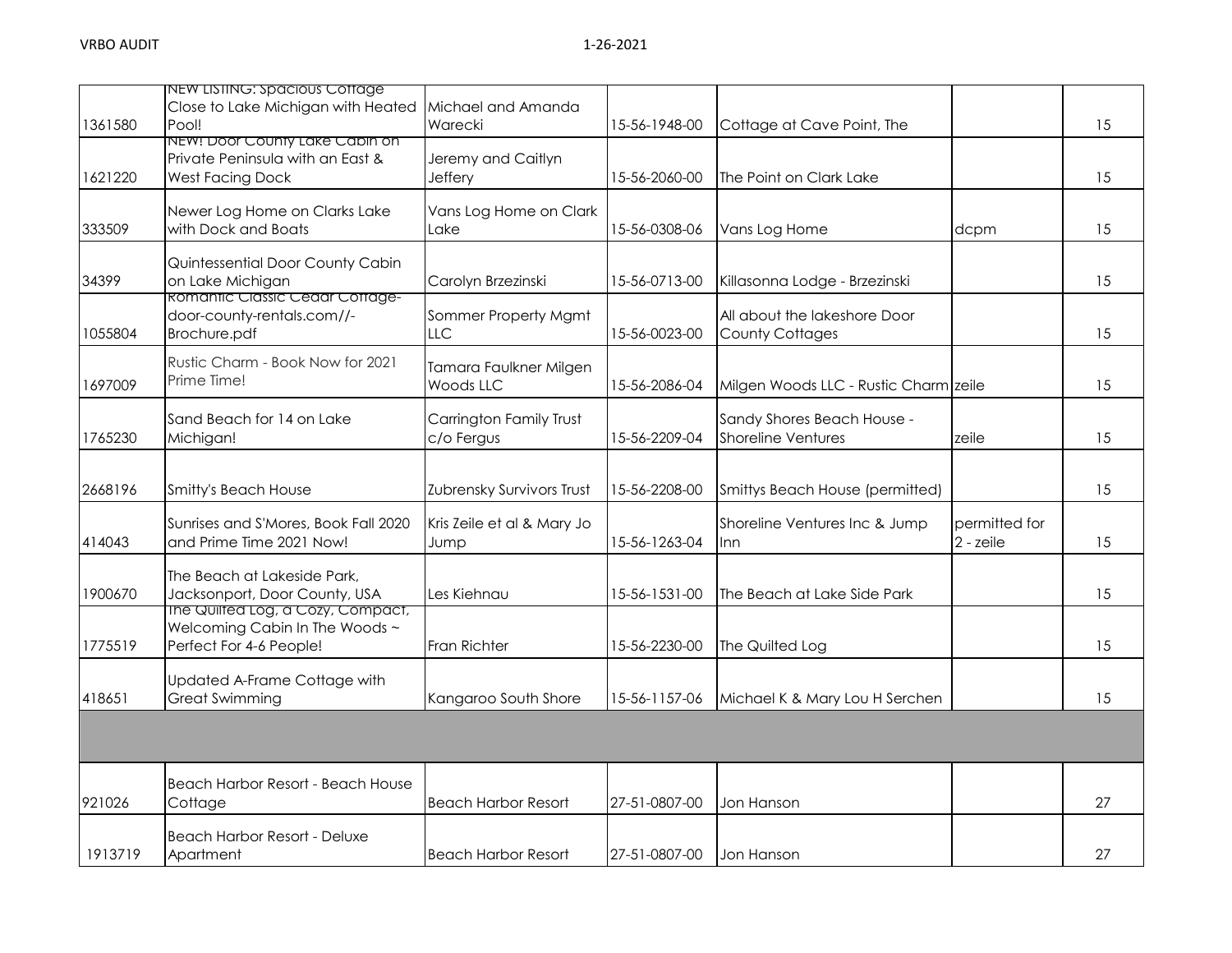| 1361580 | NEW LISTING: Spacious Cottage<br>Close to Lake Michigan with Heated<br>Pool!                   | Michael and Amanda<br>Warecki              | 15-56-1948-00 | Cottage at Cave Point, The                              |                            | 15 |
|---------|------------------------------------------------------------------------------------------------|--------------------------------------------|---------------|---------------------------------------------------------|----------------------------|----|
| 1621220 | NEW! Door County Lake Cabin on<br>Private Peninsula with an East &<br><b>West Facing Dock</b>  | Jeremy and Caitlyn<br>Jeffery              | 15-56-2060-00 | The Point on Clark Lake                                 |                            | 15 |
| 333509  | Newer Log Home on Clarks Lake<br>with Dock and Boats                                           | Vans Log Home on Clark<br>Lake             | 15-56-0308-06 | Vans Log Home                                           | dcpm                       | 15 |
| 34399   | Quintessential Door County Cabin<br>on Lake Michigan<br><b>Romantic Classic Cedar Cottage-</b> | Carolyn Brzezinski                         | 15-56-0713-00 | Killasonna Lodge - Brzezinski                           |                            | 15 |
| 1055804 | door-county-rentals.com//-<br>Brochure.pdf                                                     | Sommer Property Mgmt<br>LLC.               | 15-56-0023-00 | All about the lakeshore Door<br><b>County Cottages</b>  |                            | 15 |
| 1697009 | Rustic Charm - Book Now for 2021<br>Prime Time!                                                | Tamara Faulkner Milgen<br><b>Woods LLC</b> | 15-56-2086-04 | Milgen Woods LLC - Rustic Charm zeile                   |                            | 15 |
| 1765230 | Sand Beach for 14 on Lake<br>Michigan!                                                         | Carrington Family Trust<br>c/o Fergus      | 15-56-2209-04 | Sandy Shores Beach House -<br><b>Shoreline Ventures</b> | zeile                      | 15 |
| 2668196 | <b>Smitty's Beach House</b>                                                                    | Zubrensky Survivors Trust                  | 15-56-2208-00 | Smittys Beach House (permitted)                         |                            | 15 |
| 414043  | Sunrises and S'Mores, Book Fall 2020<br>and Prime Time 2021 Now!                               | Kris Zeile et al & Mary Jo<br>Jump         | 15-56-1263-04 | Shoreline Ventures Inc & Jump<br>Inn                    | permitted for<br>2 - zeile | 15 |
| 1900670 | The Beach at Lakeside Park,<br>Jacksonport, Door County, USA                                   | Les Kiehnau                                | 15-56-1531-00 | The Beach at Lake Side Park                             |                            | 15 |
| 1775519 | The Quilted Log, a Cozy, Compact,<br>Welcoming Cabin In The Woods ~<br>Perfect For 4-6 People! | <b>Fran Richter</b>                        | 15-56-2230-00 | The Quilted Log                                         |                            | 15 |
| 418651  | Updated A-Frame Cottage with<br><b>Great Swimming</b>                                          | Kangaroo South Shore                       | 15-56-1157-06 | Michael K & Mary Lou H Serchen                          |                            | 15 |
|         |                                                                                                |                                            |               |                                                         |                            |    |
| 921026  | Beach Harbor Resort - Beach House<br>Cottage                                                   | <b>Beach Harbor Resort</b>                 | 27-51-0807-00 | Jon Hanson                                              |                            | 27 |
| 1913719 | <b>Beach Harbor Resort - Deluxe</b><br>Apartment                                               | <b>Beach Harbor Resort</b>                 | 27-51-0807-00 | Jon Hanson                                              |                            | 27 |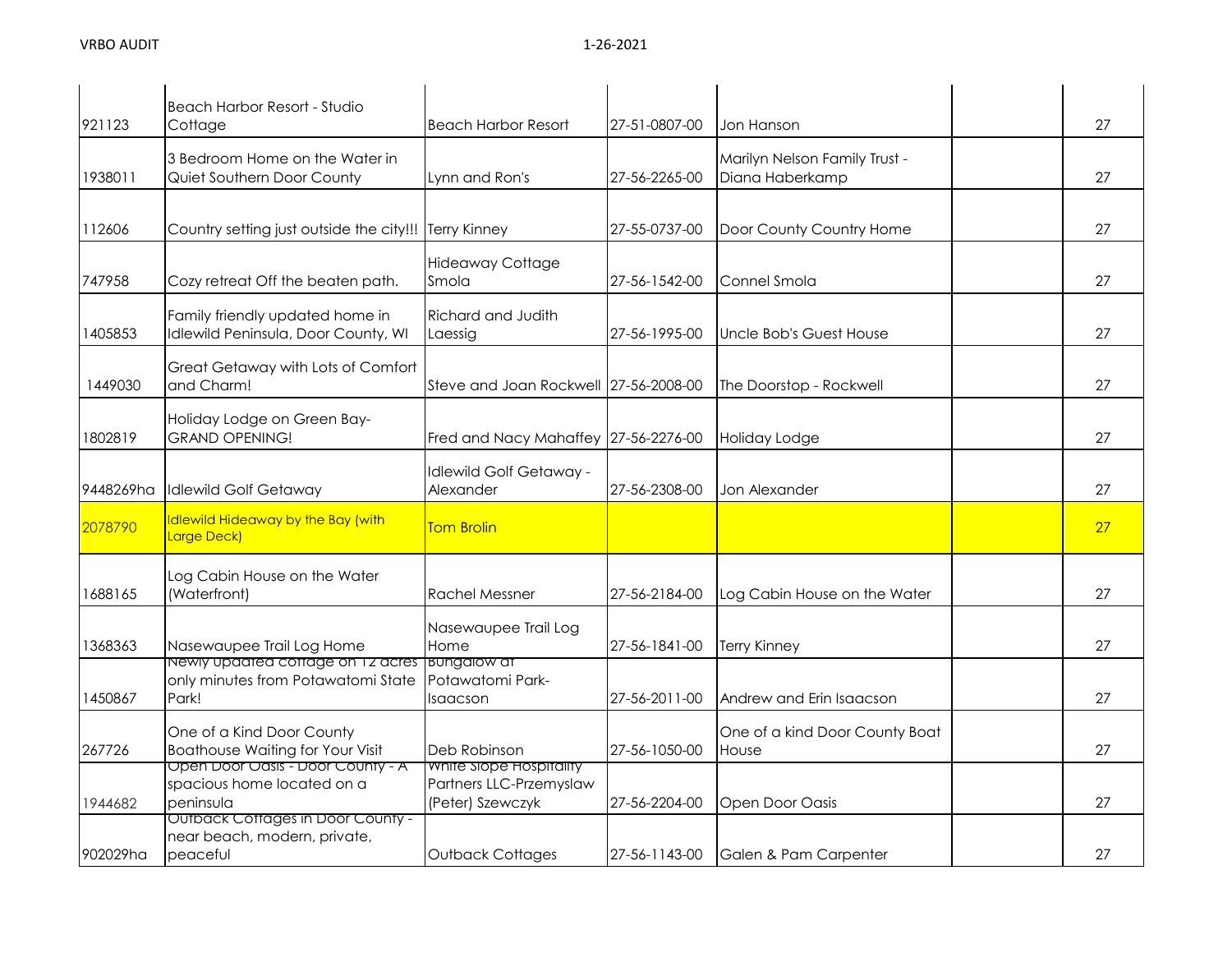| 921123    | Beach Harbor Resort - Studio<br>Cottage                                          | <b>Beach Harbor Resort</b>                                             | 27-51-0807-00 | Jon Hanson                                       | 27 |
|-----------|----------------------------------------------------------------------------------|------------------------------------------------------------------------|---------------|--------------------------------------------------|----|
| 1938011   | 3 Bedroom Home on the Water in<br>Quiet Southern Door County                     | Lynn and Ron's                                                         | 27-56-2265-00 | Marilyn Nelson Family Trust -<br>Diana Haberkamp | 27 |
| 112606    | Country setting just outside the city!!!                                         | <b>Terry Kinney</b>                                                    | 27-55-0737-00 | Door County Country Home                         | 27 |
| 747958    | Cozy retreat Off the beaten path.                                                | <b>Hideaway Cottage</b><br>Smola                                       | 27-56-1542-00 | Connel Smola                                     | 27 |
| 1405853   | Family friendly updated home in<br>Idlewild Peninsula, Door County, WI           | Richard and Judith<br>Laessig                                          | 27-56-1995-00 | Uncle Bob's Guest House                          | 27 |
| 1449030   | Great Getaway with Lots of Comfort<br>and Charm!                                 | Steve and Joan Rockwell 27-56-2008-00                                  |               | The Doorstop - Rockwell                          | 27 |
| 1802819   | Holiday Lodge on Green Bay-<br><b>GRAND OPENING!</b>                             | Fred and Nacy Mahaffey 27-56-2276-00                                   |               | Holiday Lodge                                    | 27 |
| 9448269ha | <b>Idlewild Golf Getaway</b>                                                     | <b>Idlewild Golf Getaway -</b><br>Alexander                            | 27-56-2308-00 | Jon Alexander                                    | 27 |
| 2078790   | Idlewild Hideaway by the Bay (with<br>Large Deck)                                | <b>Tom Brolin</b>                                                      |               |                                                  | 27 |
| 1688165   | Log Cabin House on the Water<br>(Waterfront)                                     | <b>Rachel Messner</b>                                                  | 27-56-2184-00 | Log Cabin House on the Water                     | 27 |
| 1368363   | Nasewaupee Trail Log Home                                                        | Nasewaupee Trail Log<br>Home                                           | 27-56-1841-00 | <b>Terry Kinney</b>                              | 27 |
| 1450867   | Newly updated cottage on 12 acres<br>only minutes from Potawatomi State<br>Park! | <b>BUNGAIOW at</b><br>Potawatomi Park-<br>Isaacson                     | 27-56-2011-00 | Andrew and Erin Isaacson                         | 27 |
| 267726    | One of a Kind Door County<br><b>Boathouse Waiting for Your Visit</b>             | Deb Robinson                                                           | 27-56-1050-00 | One of a kind Door County Boat<br>House          | 27 |
| 1944682   | Open Door Oasis - Door County - A<br>spacious home located on a<br>peninsula     | White Slope Hospitality<br>Partners LLC-Przemyslaw<br>(Peter) Szewczyk | 27-56-2204-00 | Open Door Oasis                                  | 27 |
| 902029ha  | Outback Cottages in Door County -<br>near beach, modern, private,<br>peaceful    | Outback Cottages                                                       | 27-56-1143-00 | Galen & Pam Carpenter                            | 27 |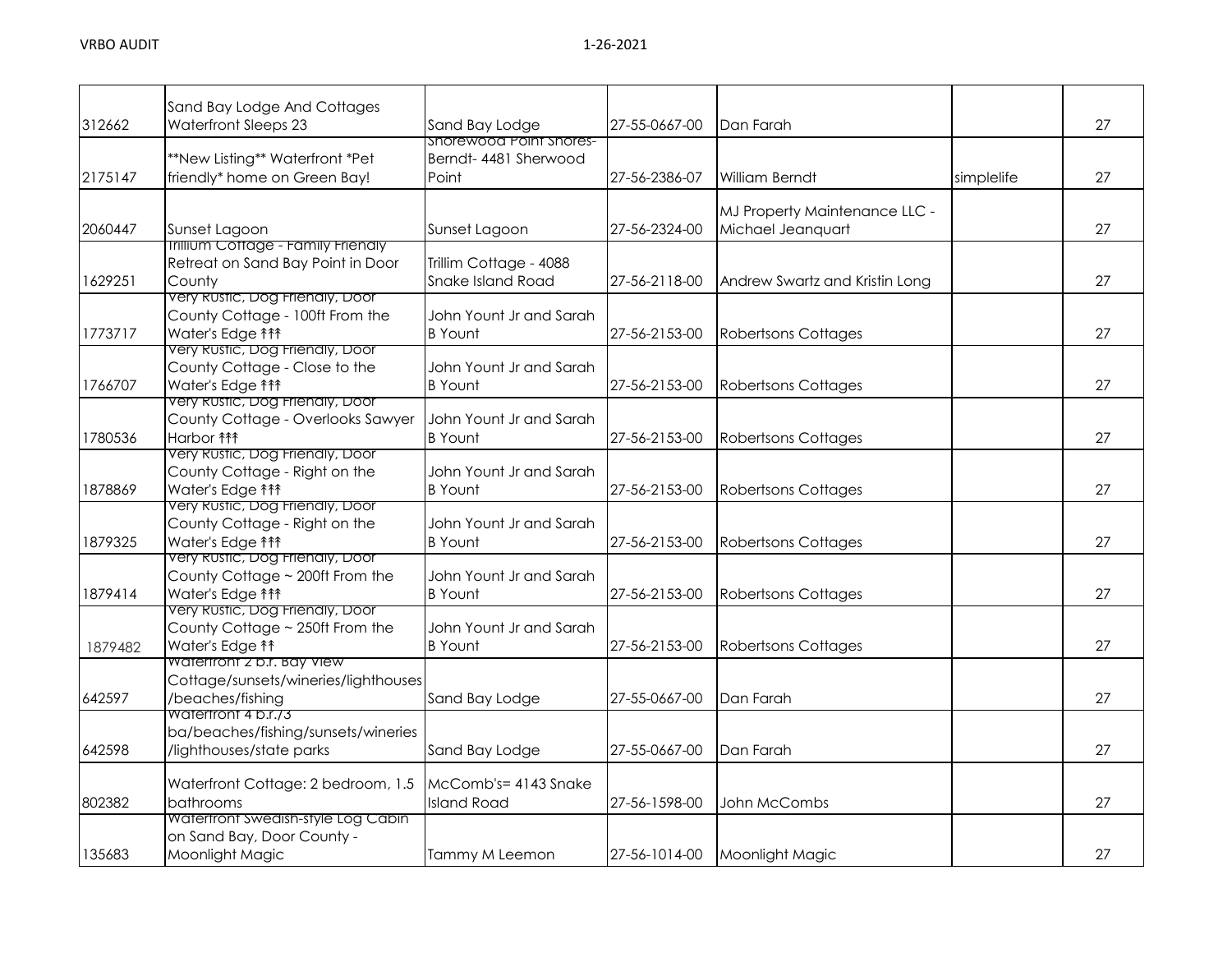|         | Sand Bay Lodge And Cottages                                   |                                           |               |                                |            |    |
|---------|---------------------------------------------------------------|-------------------------------------------|---------------|--------------------------------|------------|----|
| 312662  | Waterfront Sleeps 23                                          | Sand Bay Lodge<br>Shorewood Point Shores- | 27-55-0667-00 | Dan Farah                      |            | 27 |
|         | **New Listing** Waterfront *Pet                               | Berndt- 4481 Sherwood                     |               |                                |            |    |
| 2175147 | friendly* home on Green Bay!                                  | Point                                     | 27-56-2386-07 | William Berndt                 | simplelife | 27 |
|         |                                                               |                                           |               |                                |            |    |
|         |                                                               |                                           |               | MJ Property Maintenance LLC -  |            |    |
| 2060447 | Sunset Lagoon                                                 | Sunset Lagoon                             | 27-56-2324-00 | Michael Jeanquart              |            | 27 |
|         | <b>Inilium Cottage - Family Friendly</b>                      |                                           |               |                                |            |    |
|         | Retreat on Sand Bay Point in Door                             | Trillim Cottage - 4088                    |               |                                |            |    |
| 1629251 | County                                                        | <b>Snake Island Road</b>                  | 27-56-2118-00 | Andrew Swartz and Kristin Long |            | 27 |
|         | Very Rustic, Dog Friendly, Door                               |                                           |               |                                |            |    |
|         | County Cottage - 100ft From the                               | John Yount Jr and Sarah                   |               |                                |            |    |
| 1773717 | Water's Edge <sup>11</sup>                                    | <b>B</b> Yount                            | 27-56-2153-00 | <b>Robertsons Cottages</b>     |            | 27 |
|         | Very Rustic, Dog Friendly, Door                               |                                           |               |                                |            |    |
|         | County Cottage - Close to the                                 | John Yount Jr and Sarah                   |               |                                |            |    |
| 1766707 | Water's Edge <sup>11</sup>                                    | <b>B</b> Yount                            | 27-56-2153-00 | <b>Robertsons Cottages</b>     |            | 27 |
|         | very Rustic, Dog Frienaly, Door                               |                                           |               |                                |            |    |
|         | County Cottage - Overlooks Sawyer                             | John Yount Jr and Sarah                   |               |                                |            |    |
| 1780536 | Harbor <b>fff</b>                                             | <b>B</b> Yount                            | 27-56-2153-00 | <b>Robertsons Cottages</b>     |            | 27 |
|         | Very Rustic, Dog Friendly, Door                               |                                           |               |                                |            |    |
|         | County Cottage - Right on the                                 | John Yount Jr and Sarah                   | 27-56-2153-00 |                                |            | 27 |
| 1878869 | Water's Edge <sup>11</sup><br>Very Rustic, Dog Friendly, Door | <b>B</b> Yount                            |               | <b>Robertsons Cottages</b>     |            |    |
|         | County Cottage - Right on the                                 | John Yount Jr and Sarah                   |               |                                |            |    |
| 1879325 | Water's Edge <sup>11</sup>                                    | <b>B</b> Yount                            | 27-56-2153-00 | <b>Robertsons Cottages</b>     |            | 27 |
|         | very Rustic, Dog Frienaly, Door                               |                                           |               |                                |            |    |
|         | County Cottage ~ 200ft From the                               | John Yount Jr and Sarah                   |               |                                |            |    |
| 1879414 | Water's Edge <sup>11</sup>                                    | <b>B</b> Yount                            | 27-56-2153-00 | <b>Robertsons Cottages</b>     |            | 27 |
|         | Very Rustic, Dog Friendly, Door                               |                                           |               |                                |            |    |
|         | County Cottage ~ 250ft From the                               | John Yount Jr and Sarah                   |               |                                |            |    |
| 1879482 | Water's Edge <sup>11</sup>                                    | <b>B</b> Yount                            | 27-56-2153-00 | <b>Robertsons Cottages</b>     |            | 27 |
|         | Watertront 2 b.r. Bay View                                    |                                           |               |                                |            |    |
|         | Cottage/sunsets/wineries/lighthouses                          |                                           |               |                                |            |    |
| 642597  | /beaches/fishing                                              | Sand Bay Lodge                            | 27-55-0667-00 | Dan Farah                      |            | 27 |
|         | watertront 4 p.r.73                                           |                                           |               |                                |            |    |
|         | ba/beaches/fishing/sunsets/wineries                           |                                           |               |                                |            |    |
| 642598  | /lighthouses/state parks                                      | Sand Bay Lodge                            | 27-55-0667-00 | Dan Farah                      |            | 27 |
|         |                                                               | McComb's= 4143 Snake                      |               |                                |            |    |
|         | Waterfront Cottage: 2 bedroom, 1.5<br>bathrooms               | <b>Island Road</b>                        |               |                                |            |    |
| 802382  | Watertront Swedish-style Log Cabin                            |                                           | 27-56-1598-00 | John McCombs                   |            | 27 |
|         | on Sand Bay, Door County -                                    |                                           |               |                                |            |    |
| 135683  | Moonlight Magic                                               | Tammy M Leemon                            | 27-56-1014-00 | Moonlight Magic                |            | 27 |
|         |                                                               |                                           |               |                                |            |    |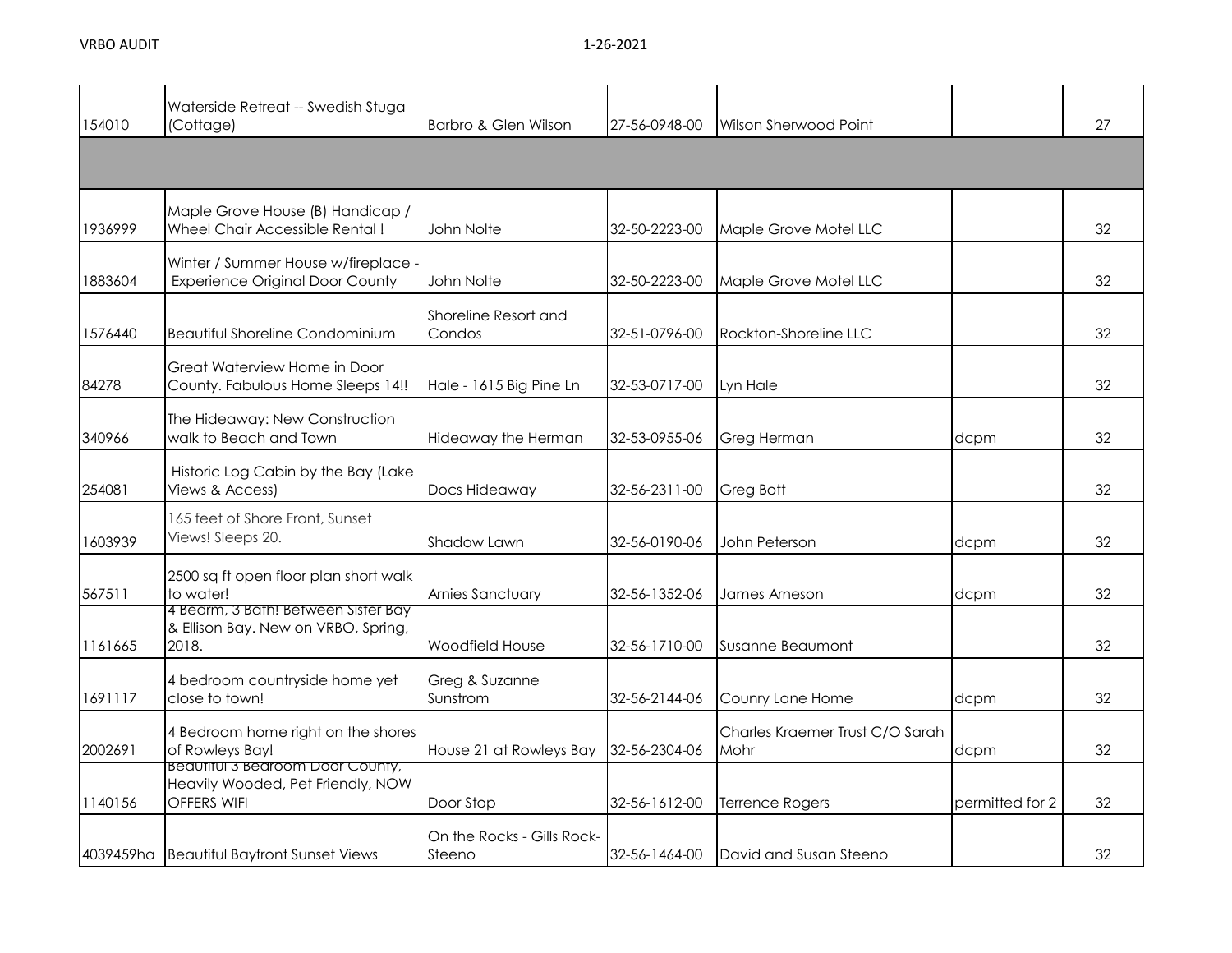| 154010  | Waterside Retreat -- Swedish Stuga<br>(Cottage)                                      | Barbro & Glen Wilson                 | 27-56-0948-00 | Wilson Sherwood Point                   |                 | 27 |
|---------|--------------------------------------------------------------------------------------|--------------------------------------|---------------|-----------------------------------------|-----------------|----|
|         |                                                                                      |                                      |               |                                         |                 |    |
| 1936999 | Maple Grove House (B) Handicap /<br>Wheel Chair Accessible Rental!                   | John Nolte                           | 32-50-2223-00 | Maple Grove Motel LLC                   |                 | 32 |
| 1883604 | Winter / Summer House w/fireplace -<br><b>Experience Original Door County</b>        | John Nolte                           | 32-50-2223-00 | Maple Grove Motel LLC                   |                 | 32 |
| 1576440 | <b>Beautiful Shoreline Condominium</b>                                               | Shoreline Resort and<br>Condos       | 32-51-0796-00 | Rockton-Shoreline LLC                   |                 | 32 |
| 84278   | Great Waterview Home in Door<br>County. Fabulous Home Sleeps 14!!                    | Hale - 1615 Big Pine Ln              | 32-53-0717-00 | Lyn Hale                                |                 | 32 |
| 340966  | The Hideaway: New Construction<br>walk to Beach and Town                             | Hideaway the Herman                  | 32-53-0955-06 | Greg Herman                             | dcpm            | 32 |
| 254081  | Historic Log Cabin by the Bay (Lake<br>Views & Access)                               | Docs Hideaway                        | 32-56-2311-00 | Greg Bott                               |                 | 32 |
| 1603939 | 165 feet of Shore Front, Sunset<br>Views! Sleeps 20.                                 | Shadow Lawn                          | 32-56-0190-06 | John Peterson                           | dcpm            | 32 |
| 567511  | 2500 sq ft open floor plan short walk<br>to water!                                   | Arnies Sanctuary                     | 32-56-1352-06 | James Arneson                           | dcpm            | 32 |
| 1161665 | 4 Bearm, 3 Bath! Between Sister Bay<br>& Ellison Bay. New on VRBO, Spring,<br>2018.  | Woodfield House                      | 32-56-1710-00 | <b>Susanne Beaumont</b>                 |                 | 32 |
| 1691117 | 4 bedroom countryside home yet<br>close to town!                                     | Greg & Suzanne<br>Sunstrom           | 32-56-2144-06 | Counry Lane Home                        | dcpm            | 32 |
| 2002691 | 4 Bedroom home right on the shores<br>of Rowleys Bay!                                | House 21 at Rowleys Bay              | 32-56-2304-06 | Charles Kraemer Trust C/O Sarah<br>Mohr | dcpm            | 32 |
| 1140156 | Beaufiful 3 Bearoom Door County,<br>Heavily Wooded, Pet Friendly, NOW<br>OFFERS WIFI | Door Stop                            | 32-56-1612-00 | <b>Terrence Rogers</b>                  | permitted for 2 | 32 |
|         | 4039459ha Beautiful Bayfront Sunset Views                                            | On the Rocks - Gills Rock-<br>Steeno | 32-56-1464-00 | David and Susan Steeno                  |                 | 32 |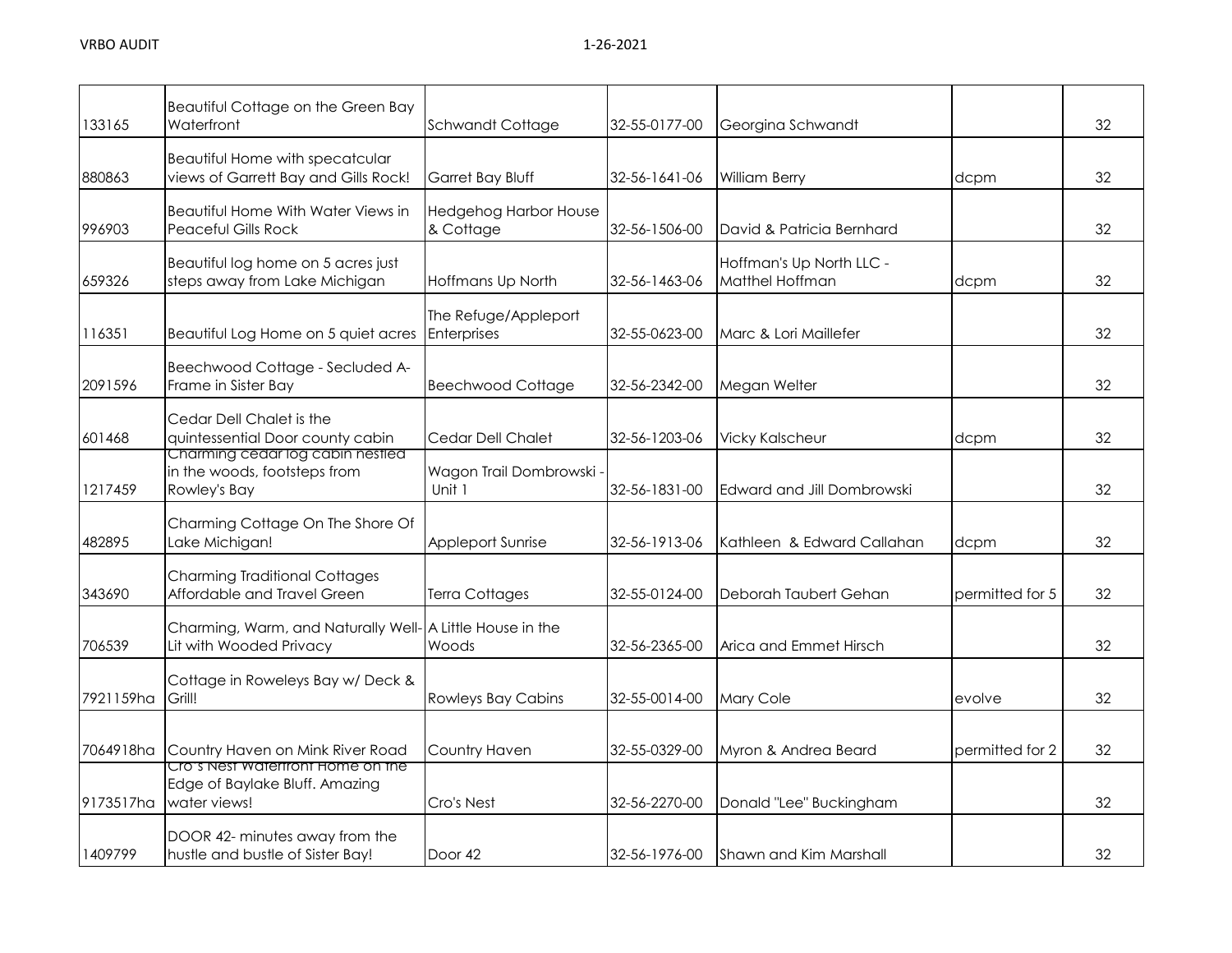| 133165    | Beautiful Cottage on the Green Bay<br>Waterfront                                     | <b>Schwandt Cottage</b>                   | 32-55-0177-00 | Georgina Schwandt                           |                 | 32 |
|-----------|--------------------------------------------------------------------------------------|-------------------------------------------|---------------|---------------------------------------------|-----------------|----|
| 880863    | Beautiful Home with specatcular<br>views of Garrett Bay and Gills Rock!              | Garret Bay Bluff                          | 32-56-1641-06 | <b>William Berry</b>                        | dcpm            | 32 |
| 996903    | <b>Beautiful Home With Water Views in</b><br>Peaceful Gills Rock                     | <b>Hedgehog Harbor House</b><br>& Cottage | 32-56-1506-00 | David & Patricia Bernhard                   |                 | 32 |
| 659326    | Beautiful log home on 5 acres just<br>steps away from Lake Michigan                  | Hoffmans Up North                         | 32-56-1463-06 | Hoffman's Up North LLC -<br>Matthel Hoffman | dcpm            | 32 |
| 116351    | Beautiful Log Home on 5 quiet acres                                                  | The Refuge/Appleport<br>Enterprises       | 32-55-0623-00 | Marc & Lori Maillefer                       |                 | 32 |
| 2091596   | Beechwood Cottage - Secluded A-<br>Frame in Sister Bay                               | <b>Beechwood Cottage</b>                  | 32-56-2342-00 | Megan Welter                                |                 | 32 |
| 601468    | Cedar Dell Chalet is the<br>quintessential Door county cabin                         | Cedar Dell Chalet                         | 32-56-1203-06 | <b>Vicky Kalscheur</b>                      | dcpm            | 32 |
| 1217459   | Charming cedar log cabin nestled<br>in the woods, footsteps from<br>Rowley's Bay     | Wagon Trail Dombrowski -<br>Unit 1        | 32-56-1831-00 | Edward and Jill Dombrowski                  |                 | 32 |
| 482895    | Charming Cottage On The Shore Of<br>Lake Michigan!                                   | <b>Appleport Sunrise</b>                  | 32-56-1913-06 | Kathleen & Edward Callahan                  | dcpm            | 32 |
| 343690    | <b>Charming Traditional Cottages</b><br>Affordable and Travel Green                  | <b>Terra Cottages</b>                     | 32-55-0124-00 | Deborah Taubert Gehan                       | permitted for 5 | 32 |
| 706539    | Charming, Warm, and Naturally Well- A Little House in the<br>Lit with Wooded Privacy | Woods                                     | 32-56-2365-00 | Arica and Emmet Hirsch                      |                 | 32 |
| 7921159ha | Cottage in Roweleys Bay w/ Deck &<br>Grill!                                          | <b>Rowleys Bay Cabins</b>                 | 32-55-0014-00 | Mary Cole                                   | evolve          | 32 |
| 7064918ha | Country Haven on Mink River Road                                                     | Country Haven                             | 32-55-0329-00 | Myron & Andrea Beard                        | permitted for 2 | 32 |
| 9173517ha | Cro's Nest Watertront Home on the<br>Edge of Baylake Bluff. Amazing<br>water views!  | Cro's Nest                                | 32-56-2270-00 | Donald "Lee" Buckingham                     |                 | 32 |
| 1409799   | DOOR 42- minutes away from the<br>hustle and bustle of Sister Bay!                   | Door 42                                   | 32-56-1976-00 | <b>Shawn and Kim Marshall</b>               |                 | 32 |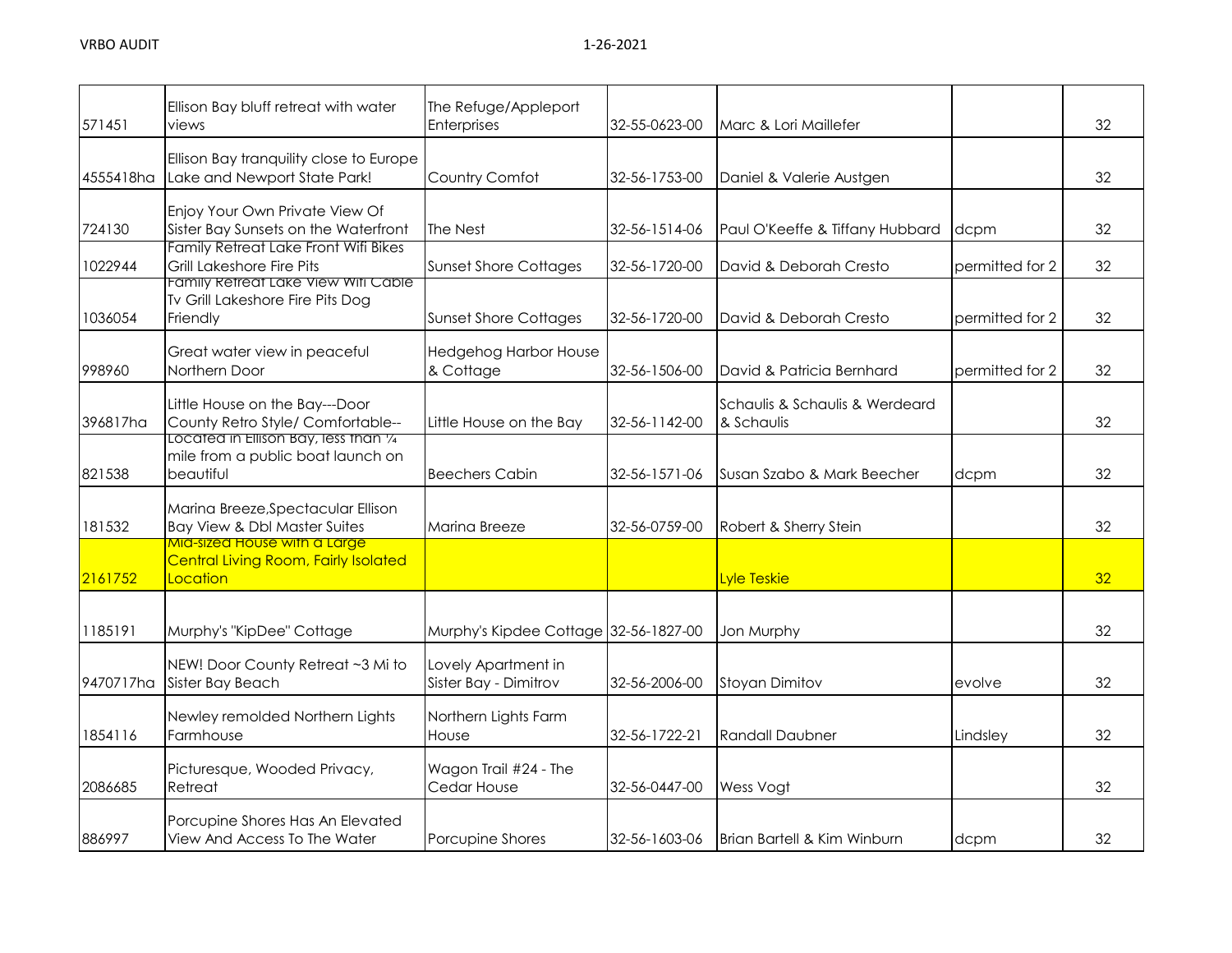| 571451    | Ellison Bay bluff retreat with water<br>views                                           | The Refuge/Appleport<br>Enterprises          | 32-55-0623-00 | Marc & Lori Maillefer                        |                 | 32 |
|-----------|-----------------------------------------------------------------------------------------|----------------------------------------------|---------------|----------------------------------------------|-----------------|----|
| 4555418ha | Ellison Bay tranquility close to Europe<br>Lake and Newport State Park!                 | Country Comfot                               | 32-56-1753-00 | Daniel & Valerie Austgen                     |                 | 32 |
| 724130    | Enjoy Your Own Private View Of<br>Sister Bay Sunsets on the Waterfront                  | The Nest                                     | 32-56-1514-06 | Paul O'Keeffe & Tiffany Hubbard              | dcpm            | 32 |
| 1022944   | Family Retreat Lake Front Wifi Bikes<br>Grill Lakeshore Fire Pits                       | <b>Sunset Shore Cottages</b>                 | 32-56-1720-00 | David & Deborah Cresto                       | permitted for 2 | 32 |
| 1036054   | Family Retreat Lake View Witi Cable<br>Tv Grill Lakeshore Fire Pits Dog<br>Friendly     | <b>Sunset Shore Cottages</b>                 | 32-56-1720-00 | David & Deborah Cresto                       | permitted for 2 | 32 |
| 998960    | Great water view in peaceful<br>Northern Door                                           | <b>Hedgehog Harbor House</b><br>& Cottage    | 32-56-1506-00 | David & Patricia Bernhard                    | permitted for 2 | 32 |
| 396817ha  | Little House on the Bay---Door<br>County Retro Style/ Comfortable--                     | Little House on the Bay                      | 32-56-1142-00 | Schaulis & Schaulis & Werdeard<br>& Schaulis |                 | 32 |
| 821538    | Located in Ellison Bay, less than 1/4<br>mile from a public boat launch on<br>beautiful | <b>Beechers Cabin</b>                        | 32-56-1571-06 | Susan Szabo & Mark Beecher                   | dcpm            | 32 |
| 181532    | Marina Breeze, Spectacular Ellison<br><b>Bay View &amp; Dbl Master Suites</b>           | Marina Breeze                                | 32-56-0759-00 | Robert & Sherry Stein                        |                 | 32 |
| 2161752   | Mid-sized House with a Large<br><b>Central Living Room, Fairly Isolated</b><br>Location |                                              |               | <b>Lyle Teskie</b>                           |                 | 32 |
| 1185191   | Murphy's "KipDee" Cottage                                                               | Murphy's Kipdee Cottage 32-56-1827-00        |               | Jon Murphy                                   |                 | 32 |
| 9470717ha | NEW! Door County Retreat ~3 Mi to<br>Sister Bay Beach                                   | Lovely Apartment in<br>Sister Bay - Dimitrov | 32-56-2006-00 | <b>Stoyan Dimitov</b>                        | evolve          | 32 |
| 1854116   | Newley remolded Northern Lights<br>Farmhouse                                            | Northern Lights Farm<br>House                | 32-56-1722-21 | <b>Randall Daubner</b>                       | Lindsley        | 32 |
| 2086685   | Picturesque, Wooded Privacy,<br>Retreat                                                 | Wagon Trail #24 - The<br>Cedar House         | 32-56-0447-00 | Wess Vogt                                    |                 | 32 |
| 886997    | Porcupine Shores Has An Elevated<br>View And Access To The Water                        | Porcupine Shores                             | 32-56-1603-06 | <b>Brian Bartell &amp; Kim Winburn</b>       | dcpm            | 32 |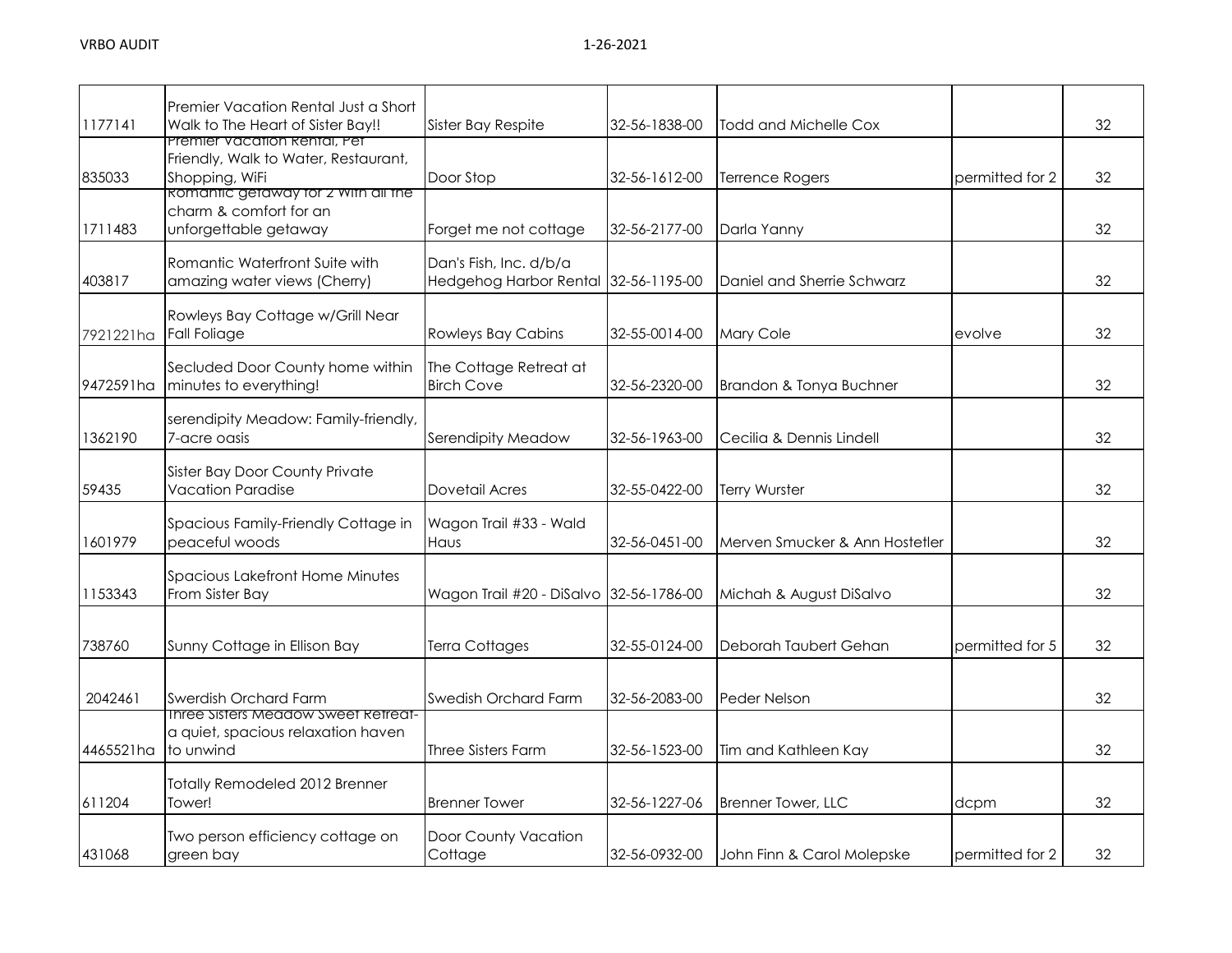| 1177141   | Premier Vacation Rental Just a Short<br>Walk to The Heart of Sister Bay!!                                                     | Sister Bay Respite                                             | 32-56-1838-00 | <b>Todd and Michelle Cox</b>   |                 | 32 |
|-----------|-------------------------------------------------------------------------------------------------------------------------------|----------------------------------------------------------------|---------------|--------------------------------|-----------------|----|
| 835033    | Premier Vacation Rental, Pet<br>Friendly, Walk to Water, Restaurant,<br>Shopping, WiFi<br>komantic getaway tor 2 with all the | Door Stop                                                      | 32-56-1612-00 | <b>Terrence Rogers</b>         | permitted for 2 | 32 |
| 1711483   | charm & comfort for an<br>unforgettable getaway                                                                               | Forget me not cottage                                          | 32-56-2177-00 | Darla Yanny                    |                 | 32 |
| 403817    | Romantic Waterfront Suite with<br>amazing water views (Cherry)                                                                | Dan's Fish, Inc. d/b/a<br>Hedgehog Harbor Rental 32-56-1195-00 |               | Daniel and Sherrie Schwarz     |                 | 32 |
| 7921221ha | Rowleys Bay Cottage w/Grill Near<br>Fall Foliage                                                                              | <b>Rowleys Bay Cabins</b>                                      | 32-55-0014-00 | Mary Cole                      | evolve          | 32 |
| 9472591ha | Secluded Door County home within<br>minutes to everything!                                                                    | The Cottage Retreat at<br><b>Birch Cove</b>                    | 32-56-2320-00 | Brandon & Tonya Buchner        |                 | 32 |
| 1362190   | serendipity Meadow: Family-friendly,<br>7-acre oasis                                                                          | Serendipity Meadow                                             | 32-56-1963-00 | Cecilia & Dennis Lindell       |                 | 32 |
| 59435     | Sister Bay Door County Private<br><b>Vacation Paradise</b>                                                                    | Dovetail Acres                                                 | 32-55-0422-00 | Terry Wurster                  |                 | 32 |
| 1601979   | Spacious Family-Friendly Cottage in<br>peaceful woods                                                                         | Wagon Trail #33 - Wald<br><b>Haus</b>                          | 32-56-0451-00 | Merven Smucker & Ann Hostetler |                 | 32 |
| 1153343   | Spacious Lakefront Home Minutes<br>From Sister Bay                                                                            | Wagon Trail #20 - DiSalvo 32-56-1786-00                        |               | Michah & August DiSalvo        |                 | 32 |
| 738760    | Sunny Cottage in Ellison Bay                                                                                                  | Terra Cottages                                                 | 32-55-0124-00 | Deborah Taubert Gehan          | permitted for 5 | 32 |
| 2042461   | Swerdish Orchard Farm<br>inree sisters meadow sweet ketreat-                                                                  | Swedish Orchard Farm                                           | 32-56-2083-00 | <b>Peder Nelson</b>            |                 | 32 |
| 4465521ha | a quiet, spacious relaxation haven<br>to unwind                                                                               | Three Sisters Farm                                             | 32-56-1523-00 | Tim and Kathleen Kay           |                 | 32 |
| 611204    | Totally Remodeled 2012 Brenner<br>Tower!                                                                                      | <b>Brenner Tower</b>                                           | 32-56-1227-06 | <b>Brenner Tower, LLC</b>      | dcpm            | 32 |
| 431068    | Two person efficiency cottage on<br>green bay                                                                                 | Door County Vacation<br>Cottage                                | 32-56-0932-00 | John Finn & Carol Molepske     | permitted for 2 | 32 |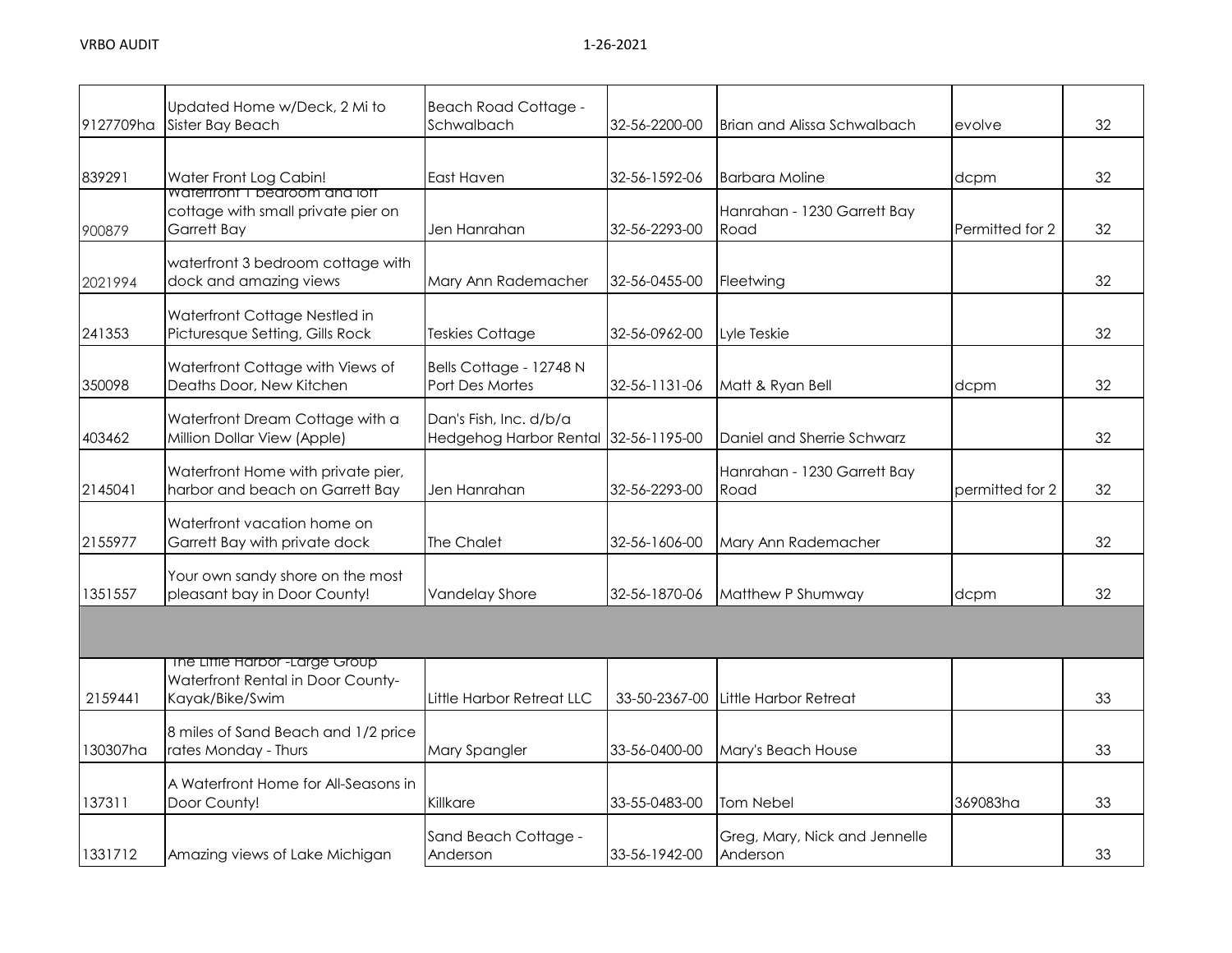| 9127709ha | Updated Home w/Deck, 2 Mi to<br>Sister Bay Beach                                                  | <b>Beach Road Cottage -</b><br>Schwalbach        | 32-56-2200-00 | Brian and Alissa Schwalbach               | evolve          | 32 |
|-----------|---------------------------------------------------------------------------------------------------|--------------------------------------------------|---------------|-------------------------------------------|-----------------|----|
|           |                                                                                                   |                                                  |               |                                           |                 |    |
| 839291    | Water Front Log Cabin!<br>watertront I bearcom and lott                                           | East Haven                                       | 32-56-1592-06 | <b>Barbara Moline</b>                     | dcpm            | 32 |
| 900879    | cottage with small private pier on<br>Garrett Bay                                                 | Jen Hanrahan                                     | 32-56-2293-00 | Hanrahan - 1230 Garrett Bay<br>Road       | Permitted for 2 | 32 |
| 2021994   | waterfront 3 bedroom cottage with<br>dock and amazing views                                       | Mary Ann Rademacher                              | 32-56-0455-00 | Fleetwing                                 |                 | 32 |
| 241353    | Waterfront Cottage Nestled in<br>Picturesque Setting, Gills Rock                                  | <b>Teskies Cottage</b>                           | 32-56-0962-00 | Lyle Teskie                               |                 | 32 |
| 350098    | Waterfront Cottage with Views of<br>Deaths Door, New Kitchen                                      | Bells Cottage - 12748 N<br>Port Des Mortes       | 32-56-1131-06 | Matt & Ryan Bell                          | dcpm            | 32 |
| 403462    | Waterfront Dream Cottage with a<br>Million Dollar View (Apple)                                    | Dan's Fish, Inc. d/b/a<br>Hedgehog Harbor Rental | 32-56-1195-00 | Daniel and Sherrie Schwarz                |                 | 32 |
| 2145041   | Waterfront Home with private pier,<br>harbor and beach on Garrett Bay                             | Jen Hanrahan                                     | 32-56-2293-00 | Hanrahan - 1230 Garrett Bay<br>Road       | permitted for 2 | 32 |
| 2155977   | Waterfront vacation home on<br>Garrett Bay with private dock                                      | The Chalet                                       | 32-56-1606-00 | Mary Ann Rademacher                       |                 | 32 |
| 1351557   | Your own sandy shore on the most<br>pleasant bay in Door County!                                  | <b>Vandelay Shore</b>                            | 32-56-1870-06 | Matthew P Shumway                         | dcpm            | 32 |
|           |                                                                                                   |                                                  |               |                                           |                 |    |
| 2159441   | The Liffle Harbor <sup>-Large</sup> Group<br>Waterfront Rental in Door County-<br>Kayak/Bike/Swim | Little Harbor Retreat LLC                        | 33-50-2367-00 | Little Harbor Retreat                     |                 | 33 |
| 130307ha  | 8 miles of Sand Beach and 1/2 price<br>rates Monday - Thurs                                       | Mary Spangler                                    | 33-56-0400-00 | Mary's Beach House                        |                 | 33 |
| 137311    | A Waterfront Home for All-Seasons in<br>Door County!                                              | Killkare                                         | 33-55-0483-00 | <b>Tom Nebel</b>                          | 369083ha        | 33 |
| 1331712   | Amazing views of Lake Michigan                                                                    | Sand Beach Cottage -<br>Anderson                 | 33-56-1942-00 | Greg, Mary, Nick and Jennelle<br>Anderson |                 | 33 |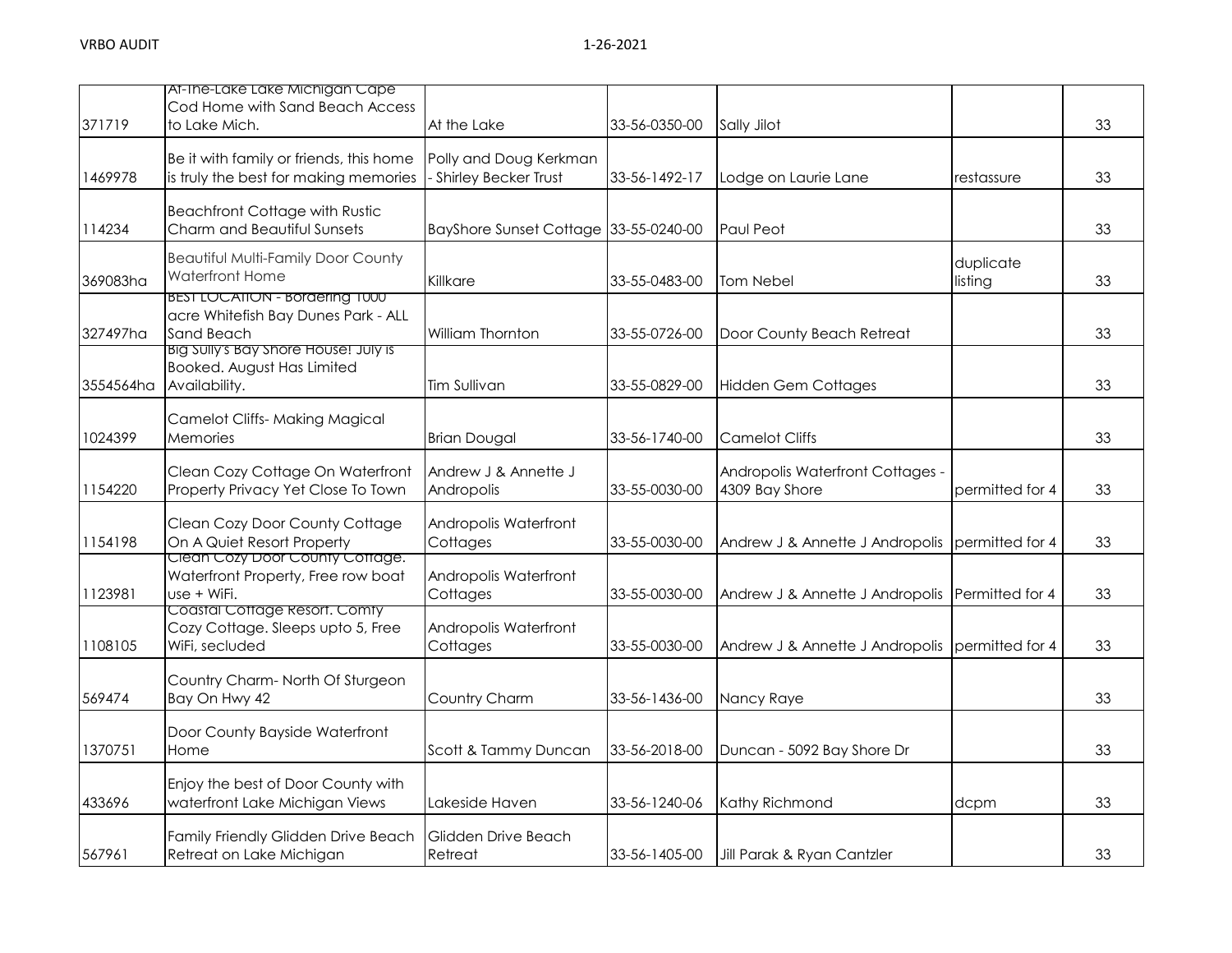|           | Af-Ine-Lake Lake Michigan Cape<br>Cod Home with Sand Beach Access                          |                                                |               |                                                    |                      |    |
|-----------|--------------------------------------------------------------------------------------------|------------------------------------------------|---------------|----------------------------------------------------|----------------------|----|
| 371719    | to Lake Mich.                                                                              | At the Lake                                    | 33-56-0350-00 | Sally Jilot                                        |                      | 33 |
| 1469978   | Be it with family or friends, this home<br>is truly the best for making memories           | Polly and Doug Kerkman<br>Shirley Becker Trust | 33-56-1492-17 | Lodge on Laurie Lane                               | restassure           | 33 |
| 114234    | <b>Beachfront Cottage with Rustic</b><br>Charm and Beautiful Sunsets                       | BayShore Sunset Cottage 33-55-0240-00          |               | Paul Peot                                          |                      | 33 |
| 369083ha  | Beautiful Multi-Family Door County<br><b>Waterfront Home</b>                               | Killkare                                       | 33-55-0483-00 | <b>Tom Nebel</b>                                   | duplicate<br>listing | 33 |
| 327497ha  | <b>BEST LOCATION - Bordering T000</b><br>acre Whitefish Bay Dunes Park - ALL<br>Sand Beach | William Thornton                               | 33-55-0726-00 | Door County Beach Retreat                          |                      | 33 |
| 3554564ha | Big Sully's Bay Shore House! July is<br>Booked. August Has Limited<br>Availability.        | Tim Sullivan                                   | 33-55-0829-00 | <b>Hidden Gem Cottages</b>                         |                      | 33 |
| 1024399   | <b>Camelot Cliffs- Making Magical</b><br>Memories                                          | <b>Brian Dougal</b>                            | 33-56-1740-00 | <b>Camelot Cliffs</b>                              |                      | 33 |
| 1154220   | Clean Cozy Cottage On Waterfront<br>Property Privacy Yet Close To Town                     | Andrew J & Annette J<br>Andropolis             | 33-55-0030-00 | Andropolis Waterfront Cottages -<br>4309 Bay Shore | permitted for 4      | 33 |
| 1154198   | Clean Cozy Door County Cottage<br>On A Quiet Resort Property                               | Andropolis Waterfront<br>Cottages              | 33-55-0030-00 | Andrew J & Annette J Andropolis                    | permitted for 4      | 33 |
| 1123981   | Clean Cozy Door County Cottage.<br>Waterfront Property, Free row boat<br>use + WiFi.       | Andropolis Waterfront<br>Cottages              | 33-55-0030-00 | Andrew J & Annette J Andropolis                    | Permitted for 4      | 33 |
| 1108105   | Coastal Cottage Resort. Comty<br>Cozy Cottage. Sleeps upto 5, Free<br>WiFi, secluded       | Andropolis Waterfront<br>Cottages              | 33-55-0030-00 | Andrew J & Annette J Andropolis                    | permitted for 4      | 33 |
| 569474    | Country Charm-North Of Sturgeon<br>Bay On Hwy 42                                           | Country Charm                                  | 33-56-1436-00 | Nancy Raye                                         |                      | 33 |
| 1370751   | Door County Bayside Waterfront<br>Home                                                     | Scott & Tammy Duncan                           | 33-56-2018-00 | Duncan - 5092 Bay Shore Dr                         |                      | 33 |
| 433696    | Enjoy the best of Door County with<br>waterfront Lake Michigan Views                       | Lakeside Haven                                 | 33-56-1240-06 | Kathy Richmond                                     | dcpm                 | 33 |
| 567961    | Family Friendly Glidden Drive Beach<br>Retreat on Lake Michigan                            | Glidden Drive Beach<br>Retreat                 | 33-56-1405-00 | Jill Parak & Ryan Cantzler                         |                      | 33 |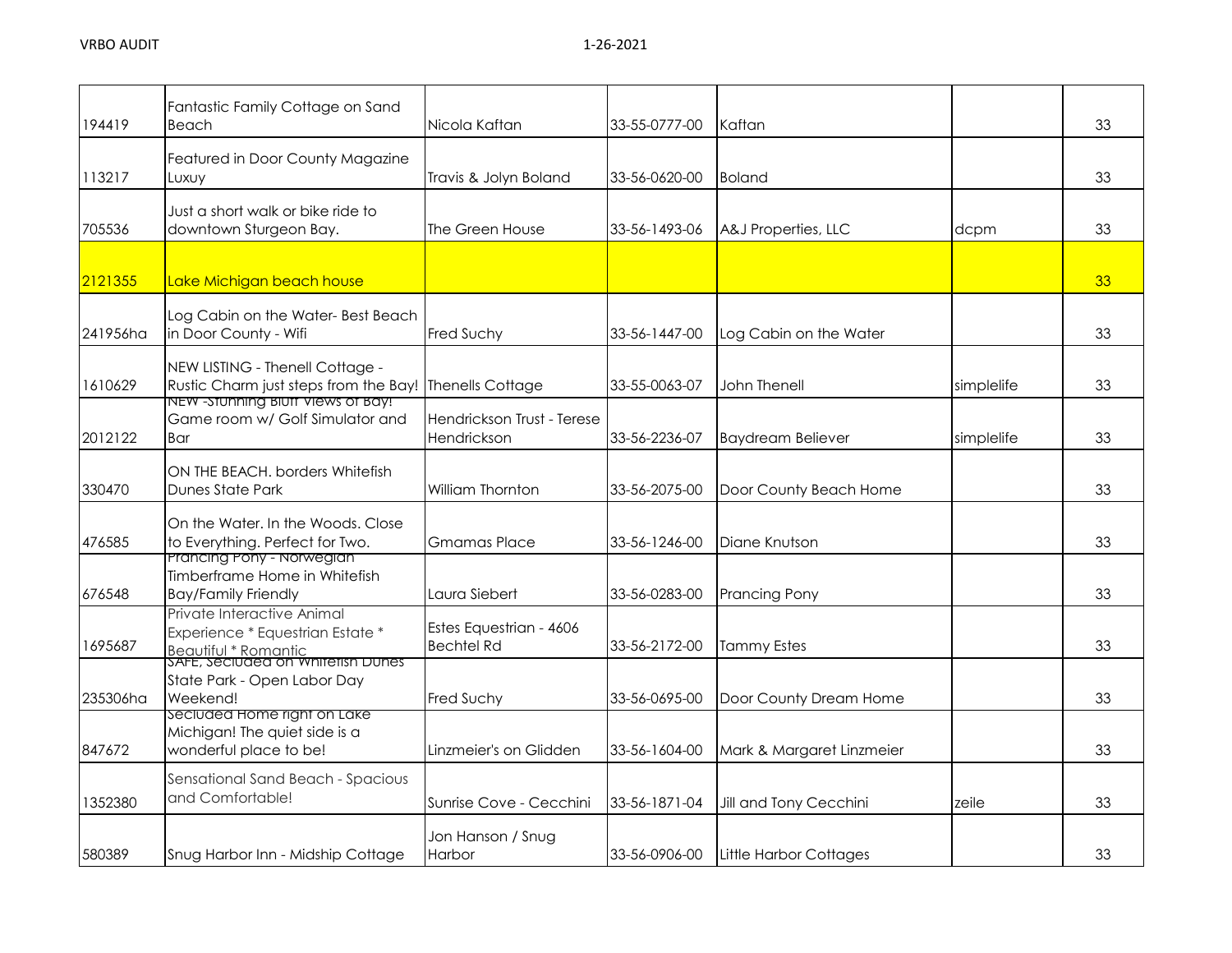| 194419   | Fantastic Family Cottage on Sand<br>Beach                                                                                   | Nicola Kaftan                                | 33-55-0777-00 | Kaftan                    |            | 33 |
|----------|-----------------------------------------------------------------------------------------------------------------------------|----------------------------------------------|---------------|---------------------------|------------|----|
| 113217   | Featured in Door County Magazine<br>Luxuy                                                                                   | Travis & Jolyn Boland                        | 33-56-0620-00 | <b>Boland</b>             |            | 33 |
| 705536   | Just a short walk or bike ride to<br>downtown Sturgeon Bay.                                                                 | The Green House                              | 33-56-1493-06 | A&J Properties, LLC       | dcpm       | 33 |
| 2121355  | Lake Michigan beach house                                                                                                   |                                              |               |                           |            | 33 |
| 241956ha | Log Cabin on the Water-Best Beach<br>in Door County - Wifi                                                                  | <b>Fred Suchy</b>                            | 33-56-1447-00 | Log Cabin on the Water    |            | 33 |
| 1610629  | NEW LISTING - Thenell Cottage -<br>Rustic Charm just steps from the Bay! Thenells Cottage                                   |                                              | 33-55-0063-07 | John Thenell              | simplelife | 33 |
| 2012122  | NEW - STUNNING BIUTT VIEWS OT BAY!<br>Game room w/ Golf Simulator and<br>Bar                                                | Hendrickson Trust - Terese<br>Hendrickson    | 33-56-2236-07 | <b>Baydream Believer</b>  | simplelife | 33 |
| 330470   | ON THE BEACH. borders Whitefish<br>Dunes State Park                                                                         | William Thornton                             | 33-56-2075-00 | Door County Beach Home    |            | 33 |
| 476585   | On the Water, In the Woods, Close<br>to Everything. Perfect for Two.                                                        | <b>Gmamas Place</b>                          | 33-56-1246-00 | Diane Knutson             |            | 33 |
| 676548   | <b>Prancing Pony - Norwegian</b><br>Timberframe Home in Whitefish<br><b>Bay/Family Friendly</b>                             | Laura Siebert                                | 33-56-0283-00 | <b>Prancing Pony</b>      |            | 33 |
| 1695687  | Private Interactive Animal<br>Experience * Equestrian Estate *<br>Beautiful * Romantic<br>SAFE, Seciuded on Whitetish Dunes | Estes Equestrian - 4606<br><b>Bechtel Rd</b> | 33-56-2172-00 | <b>Tammy Estes</b>        |            | 33 |
| 235306ha | State Park - Open Labor Day<br>Weekend!                                                                                     | <b>Fred Suchy</b>                            | 33-56-0695-00 | Door County Dream Home    |            | 33 |
| 847672   | seciuded Home right on Lake<br>Michigan! The quiet side is a<br>wonderful place to be!                                      | Linzmeier's on Glidden                       | 33-56-1604-00 | Mark & Margaret Linzmeier |            | 33 |
| 1352380  | Sensational Sand Beach - Spacious<br>and Comfortable!                                                                       | Sunrise Cove - Cecchini                      | 33-56-1871-04 | Jill and Tony Cecchini    | zeile      | 33 |
| 580389   | Snug Harbor Inn - Midship Cottage                                                                                           | Jon Hanson / Snug<br>Harbor                  | 33-56-0906-00 | Little Harbor Cottages    |            | 33 |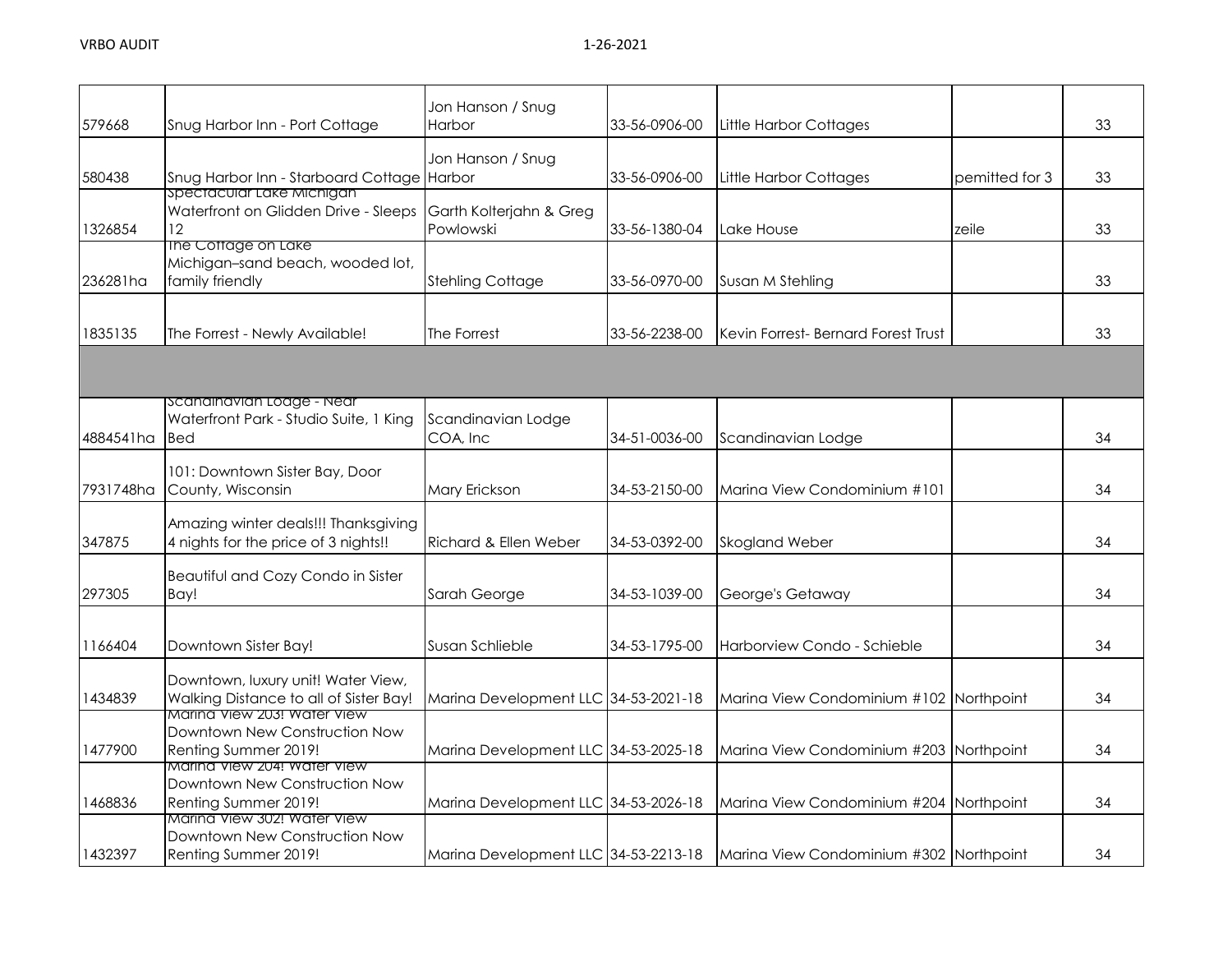|           |                                                                                             | Jon Hanson / Snug                    |               |                                              |                |    |
|-----------|---------------------------------------------------------------------------------------------|--------------------------------------|---------------|----------------------------------------------|----------------|----|
| 579668    | Snug Harbor Inn - Port Cottage                                                              | Harbor                               | 33-56-0906-00 | Little Harbor Cottages                       |                | 33 |
| 580438    | Snug Harbor Inn - Starboard Cottage Harbor<br>spectacular Lake Michigan                     | Jon Hanson / Snug                    | 33-56-0906-00 | Little Harbor Cottages                       | pemitted for 3 | 33 |
| 1326854   | Waterfront on Glidden Drive - Sleeps<br>12.                                                 | Garth Kolterjahn & Greg<br>Powlowski | 33-56-1380-04 | Lake House                                   | zeile          | 33 |
| 236281ha  | The Cottage on Lake<br>Michigan-sand beach, wooded lot,<br>family friendly                  | <b>Stehling Cottage</b>              | 33-56-0970-00 | Susan M Stehling                             |                | 33 |
| 1835135   | The Forrest - Newly Available!                                                              | The Forrest                          | 33-56-2238-00 | <b>I</b> Kevin Forrest- Bernard Forest Trust |                | 33 |
|           |                                                                                             |                                      |               |                                              |                |    |
| 4884541ha | scanainavian Loage - Near<br>Waterfront Park - Studio Suite, 1 King<br><b>Bed</b>           | Scandinavian Lodge<br>COA, Inc       | 34-51-0036-00 | Scandinavian Lodge                           |                | 34 |
| 7931748ha | 101: Downtown Sister Bay, Door<br>County, Wisconsin                                         | Mary Erickson                        | 34-53-2150-00 | Marina View Condominium #101                 |                | 34 |
| 347875    | Amazing winter deals!!! Thanksgiving<br>4 nights for the price of 3 nights!!                | Richard & Ellen Weber                | 34-53-0392-00 | <b>Skogland Weber</b>                        |                | 34 |
| 297305    | Beautiful and Cozy Condo in Sister<br>Bay!                                                  | Sarah George                         | 34-53-1039-00 | George's Getaway                             |                | 34 |
| 1166404   | Downtown Sister Bay!                                                                        | Susan Schlieble                      | 34-53-1795-00 | Harborview Condo - Schieble                  |                | 34 |
| 1434839   | Downtown, luxury unit! Water View,<br>Walking Distance to all of Sister Bay!                | Marina Development LLC 34-53-2021-18 |               | Marina View Condominium #102 Northpoint      |                | 34 |
| 1477900   | <u>Marina view 203. water view</u><br>Downtown New Construction Now<br>Renting Summer 2019! | Marina Development LLC 34-53-2025-18 |               | Marina View Condominium #203 Northpoint      |                | 34 |
| 1468836   | Marina View 204! Water View<br>Downtown New Construction Now<br>Renting Summer 2019!        | Marina Development LLC 34-53-2026-18 |               | Marina View Condominium #204 Northpoint      |                | 34 |
| 1432397   | Marina View 302! Water View<br>Downtown New Construction Now<br>Renting Summer 2019!        | Marina Development LLC 34-53-2213-18 |               | Marina View Condominium #302 Northpoint      |                | 34 |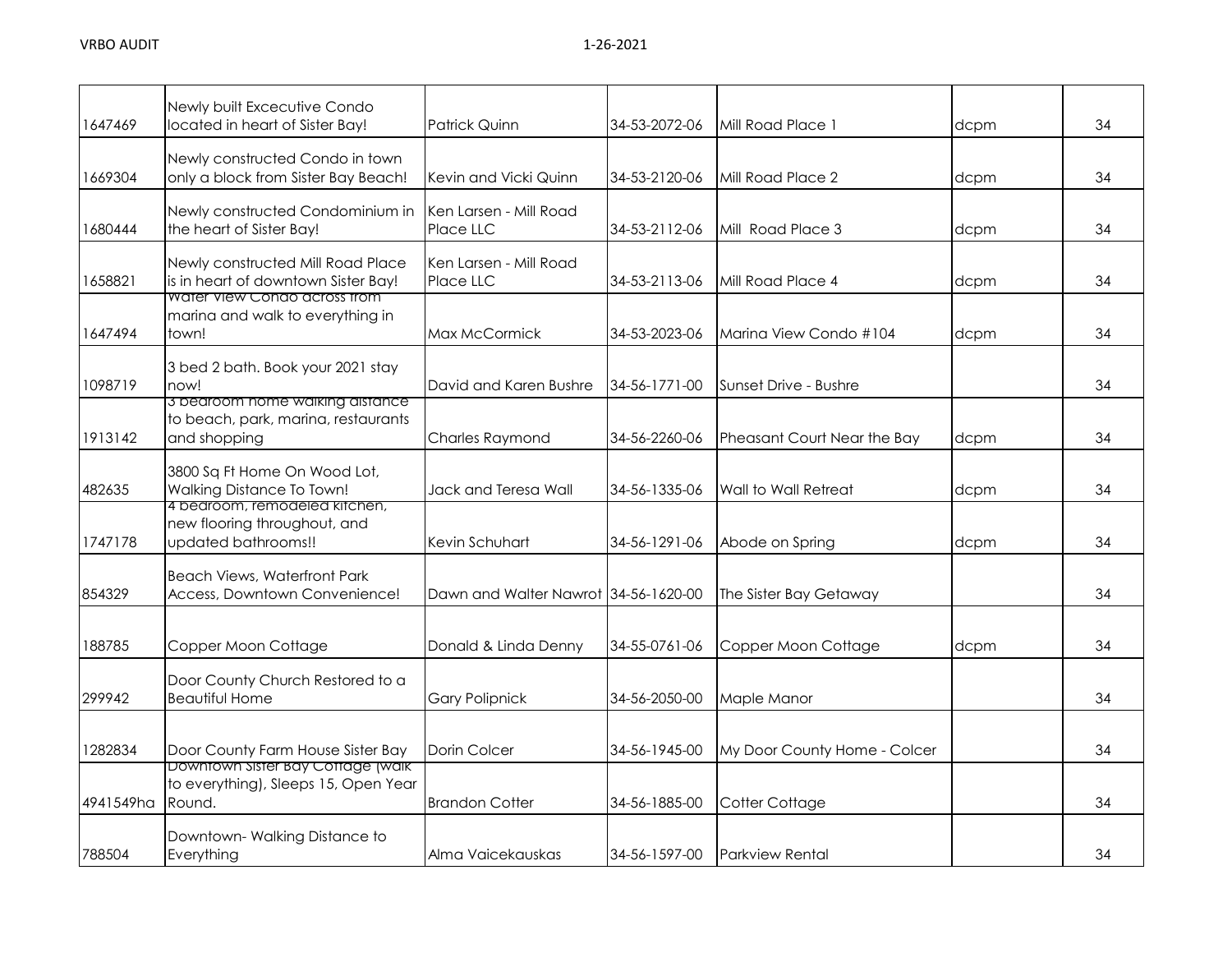| 1647469   | Newly built Excecutive Condo<br>located in heart of Sister Bay!                                          | <b>Patrick Quinn</b>                 | 34-53-2072-06 | Mill Road Place 1            | dcpm | 34 |
|-----------|----------------------------------------------------------------------------------------------------------|--------------------------------------|---------------|------------------------------|------|----|
| 1669304   | Newly constructed Condo in town<br>only a block from Sister Bay Beach!                                   | Kevin and Vicki Quinn                | 34-53-2120-06 | Mill Road Place 2            | dcpm | 34 |
| 1680444   | Newly constructed Condominium in<br>the heart of Sister Bay!                                             | Ken Larsen - Mill Road<br>Place LLC  | 34-53-2112-06 | Mill Road Place 3            | dcpm | 34 |
| 1658821   | Newly constructed Mill Road Place<br>is in heart of downtown Sister Bay!<br>Water View Condo across from | Ken Larsen - Mill Road<br>Place LLC  | 34-53-2113-06 | Mill Road Place 4            | dcpm | 34 |
| 1647494   | marina and walk to everything in<br>town!                                                                | Max McCormick                        | 34-53-2023-06 | Marina View Condo #104       | dcpm | 34 |
| 1098719   | 3 bed 2 bath. Book your 2021 stay<br>now!                                                                | David and Karen Bushre               | 34-56-1771-00 | Sunset Drive - Bushre        |      | 34 |
| 1913142   | 3 bearoom nome waiking aistance<br>to beach, park, marina, restaurants<br>and shopping                   | <b>Charles Raymond</b>               | 34-56-2260-06 | Pheasant Court Near the Bay  | dcpm | 34 |
| 482635    | 3800 Sq Ft Home On Wood Lot,<br>Walking Distance To Town!                                                | Jack and Teresa Wall                 | 34-56-1335-06 | Wall to Wall Retreat         | dcpm | 34 |
| 1747178   | 4 bearcom, remodeled kitchen,<br>new flooring throughout, and<br>updated bathrooms!!                     | Kevin Schuhart                       | 34-56-1291-06 | Abode on Spring              | dcpm | 34 |
| 854329    | <b>Beach Views, Waterfront Park</b><br>Access, Downtown Convenience!                                     | Dawn and Walter Nawrot 34-56-1620-00 |               | The Sister Bay Getaway       |      | 34 |
| 188785    | Copper Moon Cottage                                                                                      | Donald & Linda Denny                 | 34-55-0761-06 | Copper Moon Cottage          | dcpm | 34 |
| 299942    | Door County Church Restored to a<br><b>Beautiful Home</b>                                                | <b>Gary Polipnick</b>                | 34-56-2050-00 | Maple Manor                  |      | 34 |
| 1282834   | Door County Farm House Sister Bay                                                                        | Dorin Colcer                         | 34-56-1945-00 | My Door County Home - Colcer |      | 34 |
| 4941549ha | Downtown Sister Bay Cottage (walk<br>to everything), Sleeps 15, Open Year<br>Round.                      | <b>Brandon Cotter</b>                | 34-56-1885-00 | Cotter Cottage               |      | 34 |
| 788504    | Downtown-Walking Distance to<br>Everything                                                               | Alma Vaicekauskas                    | 34-56-1597-00 | <b>Parkview Rental</b>       |      | 34 |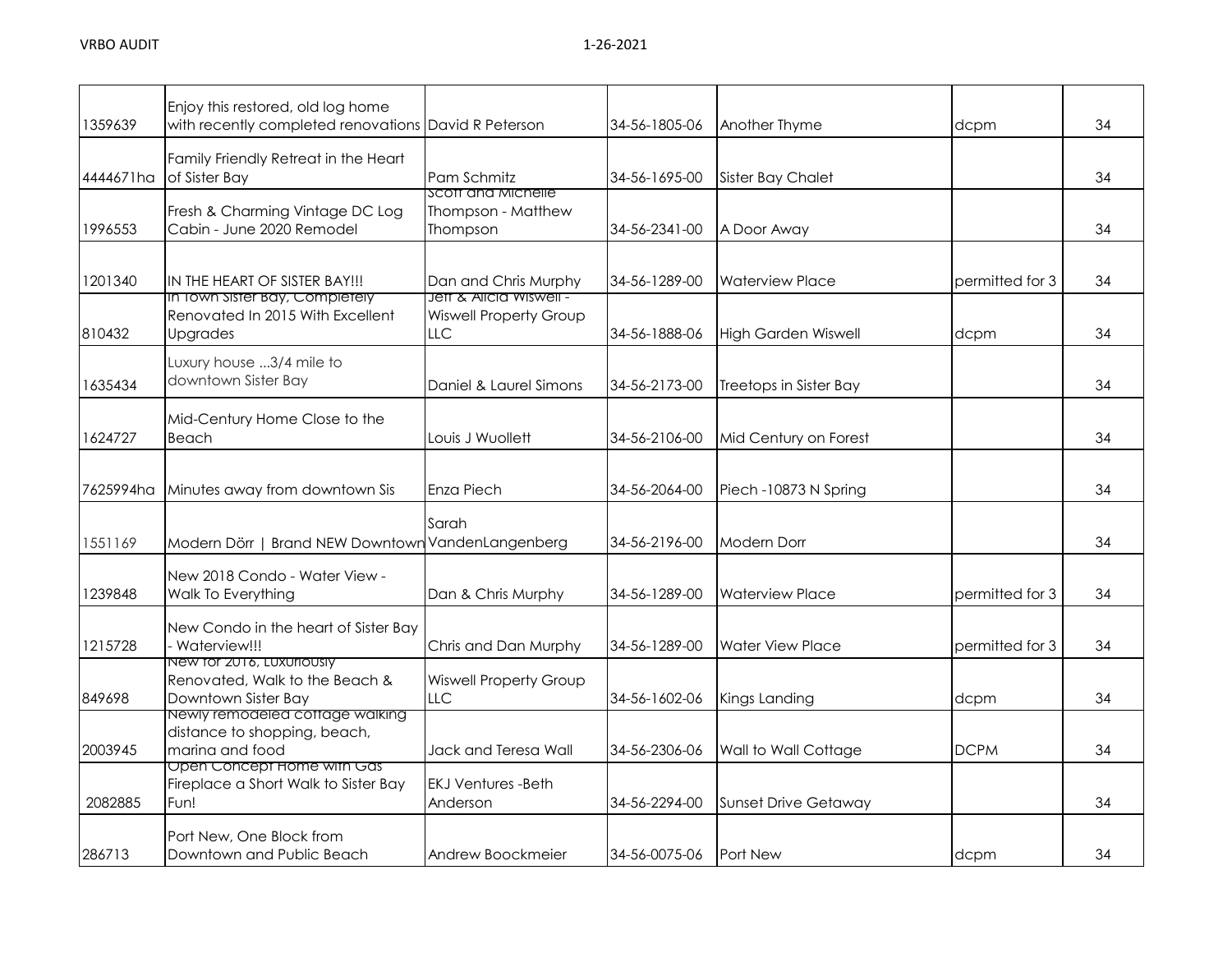| 1359639   | Enjoy this restored, old log home<br>with recently completed renovations David R Peterson |                                                      | 34-56-1805-06 | Another Thyme               | dcpm            | 34 |
|-----------|-------------------------------------------------------------------------------------------|------------------------------------------------------|---------------|-----------------------------|-----------------|----|
| 4444671ha | Family Friendly Retreat in the Heart<br>of Sister Bay                                     | Pam Schmitz                                          | 34-56-1695-00 | <b>Sister Bay Chalet</b>    |                 | 34 |
| 1996553   | Fresh & Charming Vintage DC Log<br>Cabin - June 2020 Remodel                              | SCOTT AND MICHELLE<br>Thompson - Matthew<br>Thompson | 34-56-2341-00 | A Door Away                 |                 | 34 |
| 1201340   | IN THE HEART OF SISTER BAY!!!<br>In Iown Sister Bay, Completely                           | Dan and Chris Murphy<br>Jett & Alicia Wiswell -      | 34-56-1289-00 | <b>Waterview Place</b>      | permitted for 3 | 34 |
| 810432    | Renovated In 2015 With Excellent<br>Upgrades                                              | <b>Wiswell Property Group</b><br>LLC                 | 34-56-1888-06 | <b>High Garden Wiswell</b>  | dcpm            | 34 |
| 1635434   | Luxury house 3/4 mile to<br>downtown Sister Bay                                           | Daniel & Laurel Simons                               | 34-56-2173-00 | Treetops in Sister Bay      |                 | 34 |
| 1624727   | Mid-Century Home Close to the<br>Beach                                                    | Louis J Wuollett                                     | 34-56-2106-00 | Mid Century on Forest       |                 | 34 |
| 7625994ha | Minutes away from downtown Sis                                                            | <b>Enza Piech</b>                                    | 34-56-2064-00 | Piech -10873 N Spring       |                 | 34 |
| 1551169   | Modern Dörr   Brand NEW Downtown                                                          | Sarah<br>VandenLangenberg                            | 34-56-2196-00 | <b>Modern Dorr</b>          |                 | 34 |
| 1239848   | New 2018 Condo - Water View -<br>Walk To Everything                                       | Dan & Chris Murphy                                   | 34-56-1289-00 | <b>Waterview Place</b>      | permitted for 3 | 34 |
| 1215728   | New Condo in the heart of Sister Bay<br>Waterview!!!                                      | Chris and Dan Murphy                                 | 34-56-1289-00 | <b>Water View Place</b>     | permitted for 3 | 34 |
| 849698    | New for 2016, Luxuriously<br>Renovated, Walk to the Beach &<br>Downtown Sister Bay        | <b>Wiswell Property Group</b><br><b>LLC</b>          | 34-56-1602-06 | Kings Landing               | dcpm            | 34 |
| 2003945   | Newly remodeled coffage walking<br>distance to shopping, beach,<br>marina and food        | Jack and Teresa Wall                                 | 34-56-2306-06 | Wall to Wall Cottage        | <b>DCPM</b>     | 34 |
| 2082885   | Open Concept Home with Gas<br>Fireplace a Short Walk to Sister Bay<br>Fun!                | <b>EKJ Ventures -Beth</b><br>Anderson                | 34-56-2294-00 | <b>Sunset Drive Getaway</b> |                 | 34 |
| 286713    | Port New, One Block from<br>Downtown and Public Beach                                     | Andrew Boockmeier                                    | 34-56-0075-06 | <b>Port New</b>             | dcpm            | 34 |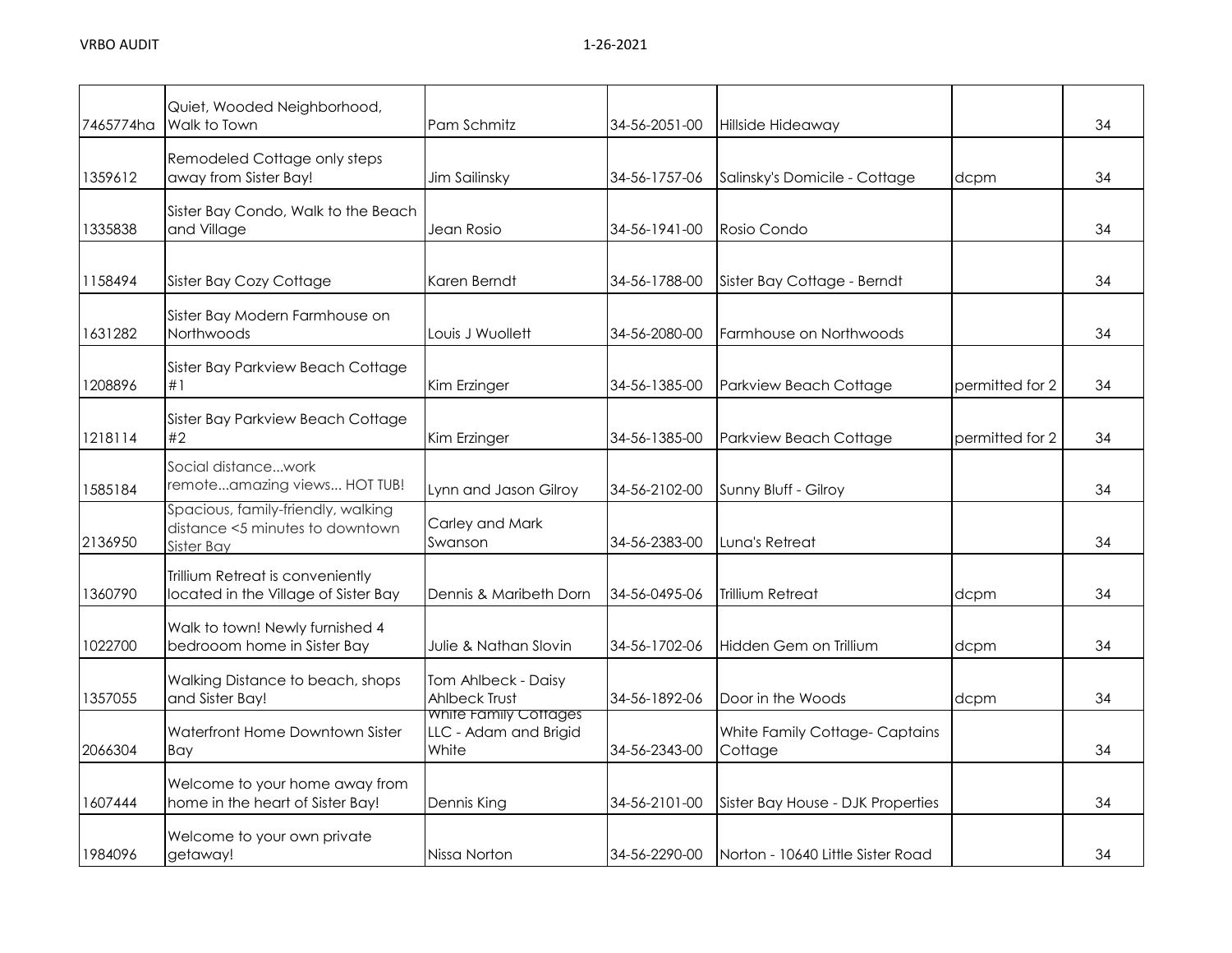| 7465774ha | Quiet, Wooded Neighborhood,<br>Walk to Town                                         | Pam Schmitz                                             | 34-56-2051-00 | Hillside Hideaway                        |                 | 34 |
|-----------|-------------------------------------------------------------------------------------|---------------------------------------------------------|---------------|------------------------------------------|-----------------|----|
| 1359612   | Remodeled Cottage only steps<br>away from Sister Bay!                               | Jim Sailinsky                                           | 34-56-1757-06 | Salinsky's Domicile - Cottage            | dcpm            | 34 |
| 1335838   | Sister Bay Condo, Walk to the Beach<br>and Village                                  | Jean Rosio                                              | 34-56-1941-00 | Rosio Condo                              |                 | 34 |
| 1158494   | Sister Bay Cozy Cottage                                                             | Karen Berndt                                            | 34-56-1788-00 | Sister Bay Cottage - Berndt              |                 | 34 |
| 1631282   | Sister Bay Modern Farmhouse on<br>Northwoods                                        | Louis J Wuollett                                        | 34-56-2080-00 | Farmhouse on Northwoods                  |                 | 34 |
| 1208896   | Sister Bay Parkview Beach Cottage<br>#1                                             | Kim Erzinger                                            | 34-56-1385-00 | Parkview Beach Cottage                   | permitted for 2 | 34 |
| 1218114   | Sister Bay Parkview Beach Cottage<br>#2                                             | Kim Erzinger                                            | 34-56-1385-00 | Parkview Beach Cottage                   | permitted for 2 | 34 |
| 1585184   | Social distancework<br>remoteamazing views HOT TUB!                                 | Lynn and Jason Gilroy                                   | 34-56-2102-00 | Sunny Bluff - Gilroy                     |                 | 34 |
| 2136950   | Spacious, family-friendly, walking<br>distance <5 minutes to downtown<br>Sister Bay | Carley and Mark<br>Swanson                              | 34-56-2383-00 | Luna's Retreat                           |                 | 34 |
| 1360790   | Trillium Retreat is conveniently<br>located in the Village of Sister Bay            | Dennis & Maribeth Dorn                                  | 34-56-0495-06 | <b>Trillium Retreat</b>                  | dcpm            | 34 |
| 1022700   | Walk to town! Newly furnished 4<br>bedrooom home in Sister Bay                      | Julie & Nathan Slovin                                   | 34-56-1702-06 | Hidden Gem on Trillium                   | dcpm            | 34 |
| 1357055   | Walking Distance to beach, shops<br>and Sister Bay!                                 | Tom Ahlbeck - Daisy<br><b>Ahlbeck Trust</b>             | 34-56-1892-06 | Door in the Woods                        | dcpm            | 34 |
| 2066304   | Waterfront Home Downtown Sister<br>Bay                                              | white Family Cottages<br>LLC - Adam and Brigid<br>White | 34-56-2343-00 | White Family Cottage-Captains<br>Cottage |                 | 34 |
| 1607444   | Welcome to your home away from<br>home in the heart of Sister Bay!                  | Dennis King                                             | 34-56-2101-00 | Sister Bay House - DJK Properties        |                 | 34 |
| 1984096   | Welcome to your own private<br>getaway!                                             | Nissa Norton                                            | 34-56-2290-00 | Norton - 10640 Little Sister Road        |                 | 34 |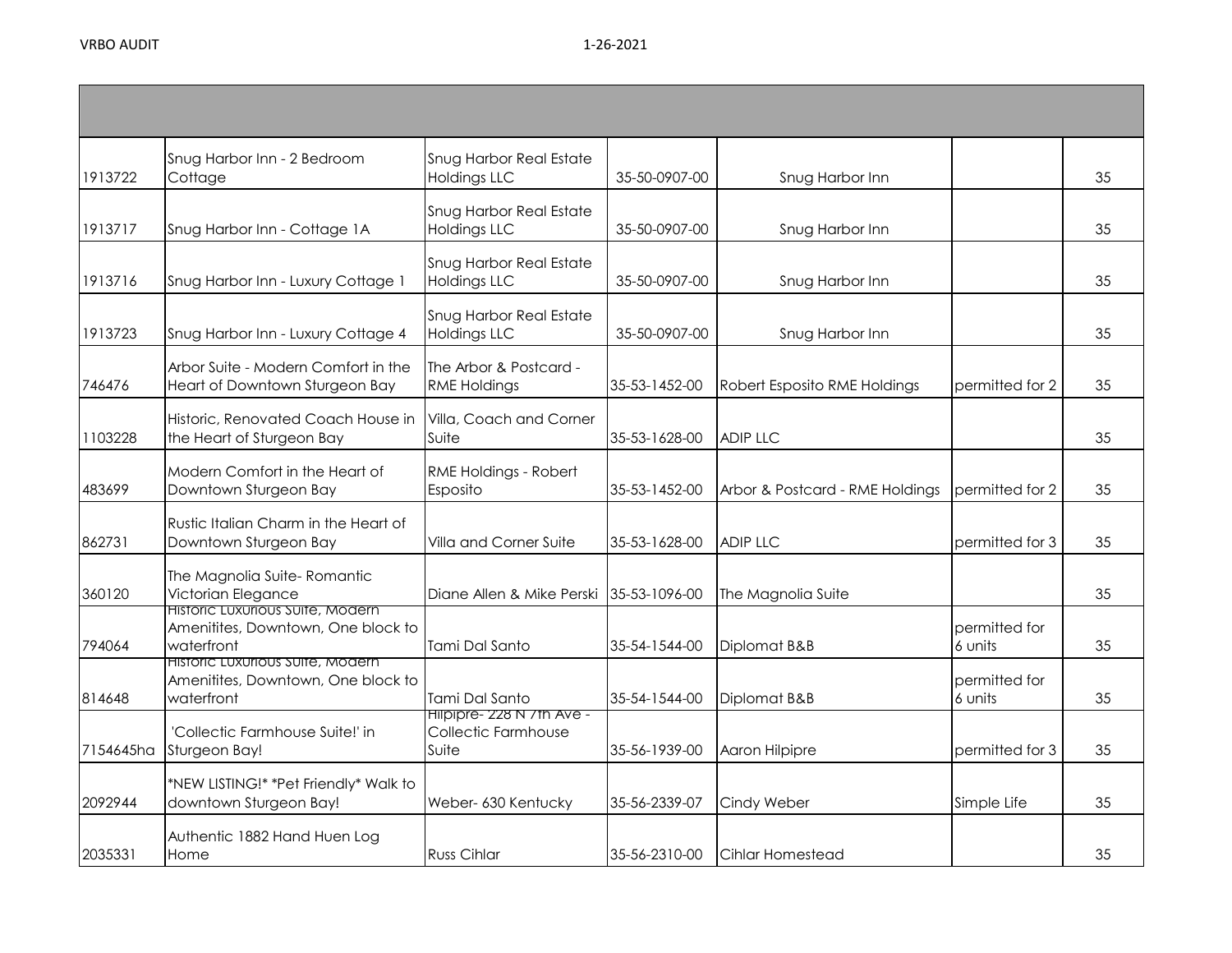| 1913722   | Snug Harbor Inn - 2 Bedroom<br>Cottage                                               | Snug Harbor Real Estate<br><b>Holdings LLC</b>             | 35-50-0907-00 | Snug Harbor Inn                 |                          | 35 |
|-----------|--------------------------------------------------------------------------------------|------------------------------------------------------------|---------------|---------------------------------|--------------------------|----|
| 1913717   | Snug Harbor Inn - Cottage 1A                                                         | <b>Snug Harbor Real Estate</b><br><b>Holdings LLC</b>      | 35-50-0907-00 | Snug Harbor Inn                 |                          | 35 |
| 1913716   | Snug Harbor Inn - Luxury Cottage 1                                                   | <b>Snug Harbor Real Estate</b><br><b>Holdings LLC</b>      | 35-50-0907-00 | Snug Harbor Inn                 |                          | 35 |
| 1913723   | Snug Harbor Inn - Luxury Cottage 4                                                   | Snug Harbor Real Estate<br><b>Holdings LLC</b>             | 35-50-0907-00 | Snug Harbor Inn                 |                          | 35 |
| 746476    | Arbor Suite - Modern Comfort in the<br>Heart of Downtown Sturgeon Bay                | The Arbor & Postcard -<br><b>RME Holdings</b>              | 35-53-1452-00 | Robert Esposito RME Holdings    | permitted for 2          | 35 |
| 1103228   | Historic, Renovated Coach House in<br>the Heart of Sturgeon Bay                      | Villa, Coach and Corner<br>Suite                           | 35-53-1628-00 | <b>ADIP LLC</b>                 |                          | 35 |
| 483699    | Modern Comfort in the Heart of<br>Downtown Sturgeon Bay                              | RME Holdings - Robert<br>Esposito                          | 35-53-1452-00 | Arbor & Postcard - RME Holdings | permitted for 2          | 35 |
| 862731    | Rustic Italian Charm in the Heart of<br>Downtown Sturgeon Bay                        | Villa and Corner Suite                                     | 35-53-1628-00 | <b>ADIP LLC</b>                 | permitted for 3          | 35 |
| 360120    | The Magnolia Suite-Romantic<br>Victorian Elegance                                    | Diane Allen & Mike Perski 35-53-1096-00                    |               | The Magnolia Suite              |                          | 35 |
| 794064    | Historic Luxurious Suite, Modern<br>Amenitites, Downtown, One block to<br>waterfront | Tami Dal Santo                                             | 35-54-1544-00 | Diplomat B&B                    | permitted for<br>6 units | 35 |
| 814648    | Historic Luxurious Suite, Modern<br>Amenitites, Downtown, One block to<br>waterfront | Tami Dal Santo                                             | 35-54-1544-00 | Diplomat B&B                    | permitted for<br>6 units | 35 |
| 7154645ha | 'Collectic Farmhouse Suite!' in<br>Sturgeon Bay!                                     | Hilpipre- 228 N / In Ave -<br>Collectic Farmhouse<br>Suite | 35-56-1939-00 | Aaron Hilpipre                  | permitted for 3          | 35 |
| 2092944   | *NEW LISTING!* *Pet Friendly* Walk to<br>downtown Sturgeon Bay!                      | Weber- 630 Kentucky                                        | 35-56-2339-07 | Cindy Weber                     | Simple Life              | 35 |
| 2035331   | Authentic 1882 Hand Huen Log<br>Home                                                 | <b>Russ Cihlar</b>                                         | 35-56-2310-00 | Cihlar Homestead                |                          | 35 |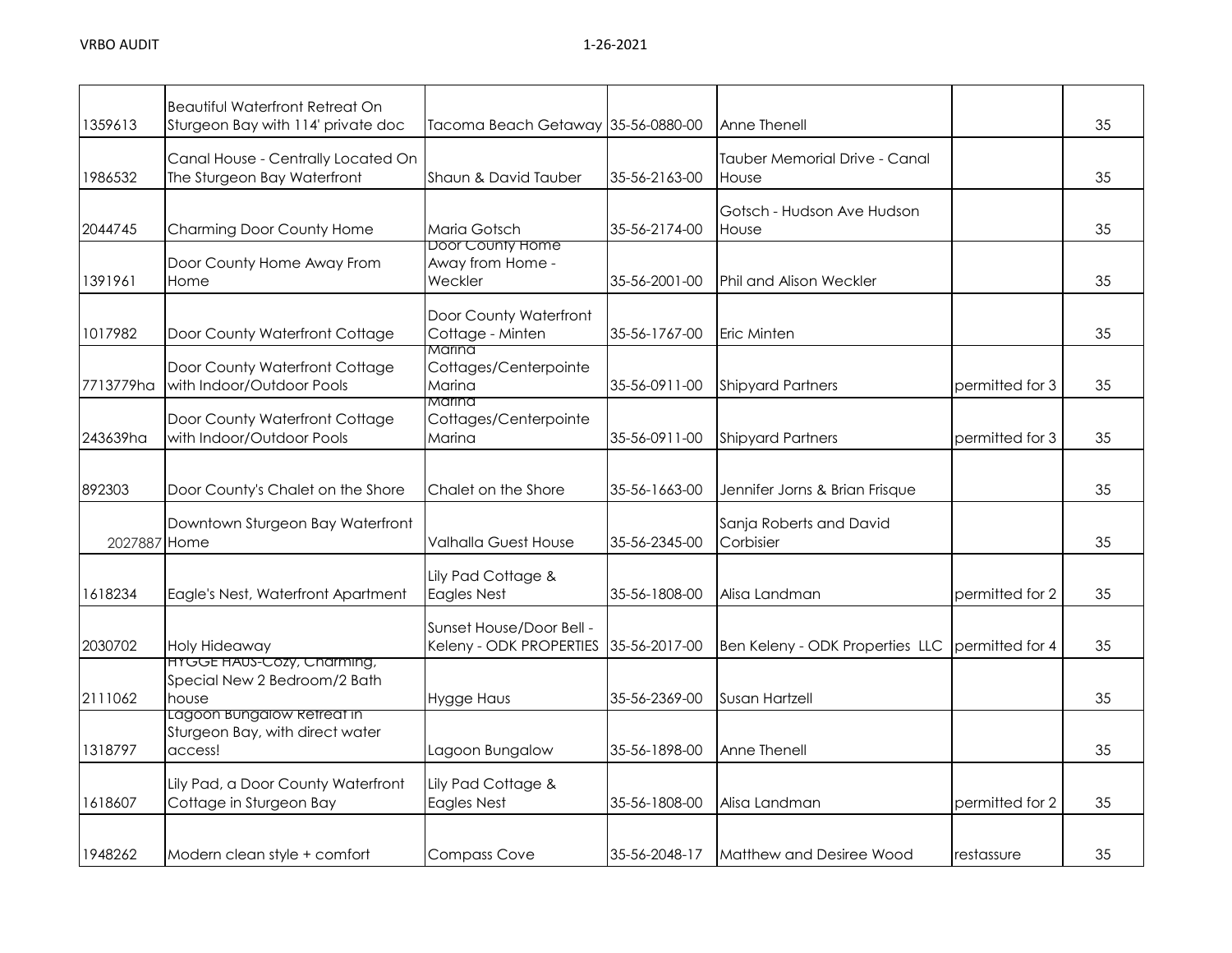|              | <b>Beautiful Waterfront Retreat On</b>                                   |                                                      |               |                                        |                 |    |
|--------------|--------------------------------------------------------------------------|------------------------------------------------------|---------------|----------------------------------------|-----------------|----|
| 1359613      | Sturgeon Bay with 114' private doc                                       | Tacoma Beach Getaway 35-56-0880-00                   |               | Anne Thenell                           |                 | 35 |
| 1986532      | Canal House - Centrally Located On<br>The Sturgeon Bay Waterfront        | Shaun & David Tauber                                 | 35-56-2163-00 | Tauber Memorial Drive - Canal<br>House |                 | 35 |
| 2044745      | Charming Door County Home                                                | Maria Gotsch                                         | 35-56-2174-00 | Gotsch - Hudson Ave Hudson<br>House    |                 | 35 |
| 1391961      | Door County Home Away From<br>Home                                       | Door County Home<br>Away from Home -<br>Weckler      | 35-56-2001-00 | Phil and Alison Weckler                |                 | 35 |
| 1017982      | Door County Waterfront Cottage                                           | Door County Waterfront<br>Cottage - Minten<br>Marina | 35-56-1767-00 | Eric Minten                            |                 | 35 |
| 7713779ha    | Door County Waterfront Cottage<br>with Indoor/Outdoor Pools              | Cottages/Centerpointe<br>Marina<br>Marina            | 35-56-0911-00 | <b>Shipyard Partners</b>               | permitted for 3 | 35 |
| 243639ha     | Door County Waterfront Cottage<br>with Indoor/Outdoor Pools              | Cottages/Centerpointe<br>Marina                      | 35-56-0911-00 | <b>Shipyard Partners</b>               | permitted for 3 | 35 |
| 892303       | Door County's Chalet on the Shore                                        | Chalet on the Shore                                  | 35-56-1663-00 | Jennifer Jorns & Brian Frisque         |                 | 35 |
| 2027887 Home | Downtown Sturgeon Bay Waterfront                                         | <b>Valhalla Guest House</b>                          | 35-56-2345-00 | Sanja Roberts and David<br>Corbisier   |                 | 35 |
| 1618234      | Eagle's Nest, Waterfront Apartment                                       | Lily Pad Cottage &<br><b>Eagles Nest</b>             | 35-56-1808-00 | Alisa Landman                          | permitted for 2 | 35 |
| 2030702      | Holy Hideaway                                                            | Sunset House/Door Bell -<br>Keleny - ODK PROPERTIES  | 35-56-2017-00 | Ben Keleny - ODK Properties LLC        | permitted for 4 | 35 |
| 2111062      | HYGGE HAUS-COZY, Charming,<br>Special New 2 Bedroom/2 Bath<br>house      | <b>Hygge Haus</b>                                    | 35-56-2369-00 | Susan Hartzell                         |                 | 35 |
| 1318797      | Lagoon bungalow ketreat in<br>Sturgeon Bay, with direct water<br>access! | Lagoon Bungalow                                      | 35-56-1898-00 | Anne Thenell                           |                 | 35 |
| 1618607      | Lily Pad, a Door County Waterfront<br>Cottage in Sturgeon Bay            | Lily Pad Cottage &<br><b>Eagles Nest</b>             | 35-56-1808-00 | Alisa Landman                          | permitted for 2 | 35 |
| 1948262      | Modern clean style + comfort                                             | <b>Compass Cove</b>                                  | 35-56-2048-17 | Matthew and Desiree Wood               | restassure      | 35 |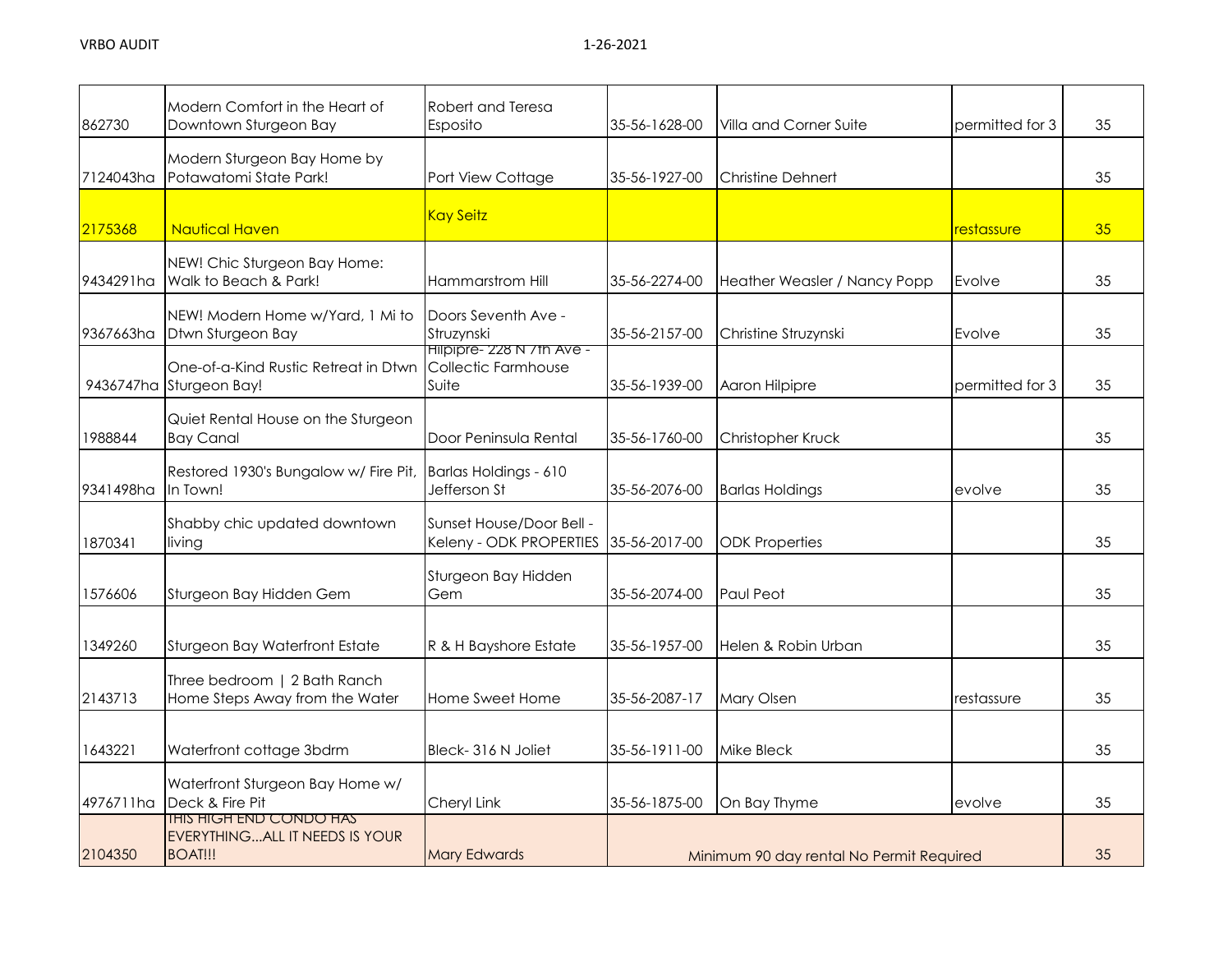| 862730    | Modern Comfort in the Heart of<br>Downtown Sturgeon Bay                      | Robert and Teresa<br>Esposito                              | 35-56-1628-00 | Villa and Corner Suite                   | permitted for 3 | 35 |
|-----------|------------------------------------------------------------------------------|------------------------------------------------------------|---------------|------------------------------------------|-----------------|----|
| 7124043ha | Modern Sturgeon Bay Home by<br>Potawatomi State Park!                        | Port View Cottage                                          | 35-56-1927-00 | <b>Christine Dehnert</b>                 |                 | 35 |
| 2175368   | <b>Nautical Haven</b>                                                        | <b>Kay Seitz</b>                                           |               |                                          | restassure      | 35 |
| 9434291ha | NEW! Chic Sturgeon Bay Home:<br>Walk to Beach & Park!                        | Hammarstrom Hill                                           | 35-56-2274-00 | Heather Weasler / Nancy Popp             | Evolve          | 35 |
| 9367663ha | NEW! Modern Home w/Yard, 1 Mi to<br>Dtwn Sturgeon Bay                        | Doors Seventh Ave -<br>Struzynski                          | 35-56-2157-00 | Christine Struzynski                     | Evolve          | 35 |
|           | One-of-a-Kind Rustic Retreat in Dtwn<br>9436747ha Sturgeon Bay!              | Hilpipre- 228 N / th Ave -<br>Collectic Farmhouse<br>Suite | 35-56-1939-00 | Aaron Hilpipre                           | permitted for 3 | 35 |
| 1988844   | Quiet Rental House on the Sturgeon<br><b>Bay Canal</b>                       | Door Peninsula Rental                                      | 35-56-1760-00 | Christopher Kruck                        |                 | 35 |
| 9341498ha | Restored 1930's Bungalow w/ Fire Pit,<br>In Town!                            | Barlas Holdings - 610<br>Jefferson St                      | 35-56-2076-00 | <b>Barlas Holdings</b>                   | evolve          | 35 |
| 1870341   | Shabby chic updated downtown<br>living                                       | Sunset House/Door Bell -<br>Keleny - ODK PROPERTIES        | 35-56-2017-00 | <b>ODK Properties</b>                    |                 | 35 |
| 1576606   | Sturgeon Bay Hidden Gem                                                      | Sturgeon Bay Hidden<br>Gem                                 | 35-56-2074-00 | Paul Peot                                |                 | 35 |
| 1349260   | Sturgeon Bay Waterfront Estate                                               | R & H Bayshore Estate                                      | 35-56-1957-00 | Helen & Robin Urban                      |                 | 35 |
| 2143713   | Three bedroom   2 Bath Ranch<br>Home Steps Away from the Water               | Home Sweet Home                                            | 35-56-2087-17 | Mary Olsen                               | restassure      | 35 |
| 1643221   | Waterfront cottage 3bdrm                                                     | Bleck-316 N Joliet                                         | 35-56-1911-00 | Mike Bleck                               |                 | 35 |
| 4976711ha | Waterfront Sturgeon Bay Home w/<br>Deck & Fire Pit                           | Cheryl Link                                                | 35-56-1875-00 | On Bay Thyme                             | evolve          | 35 |
| 2104350   | IHIS HIGH END CONDO HAS<br>EVERYTHING ALL IT NEEDS IS YOUR<br><b>BOAT!!!</b> | <b>Mary Edwards</b>                                        |               | Minimum 90 day rental No Permit Required |                 | 35 |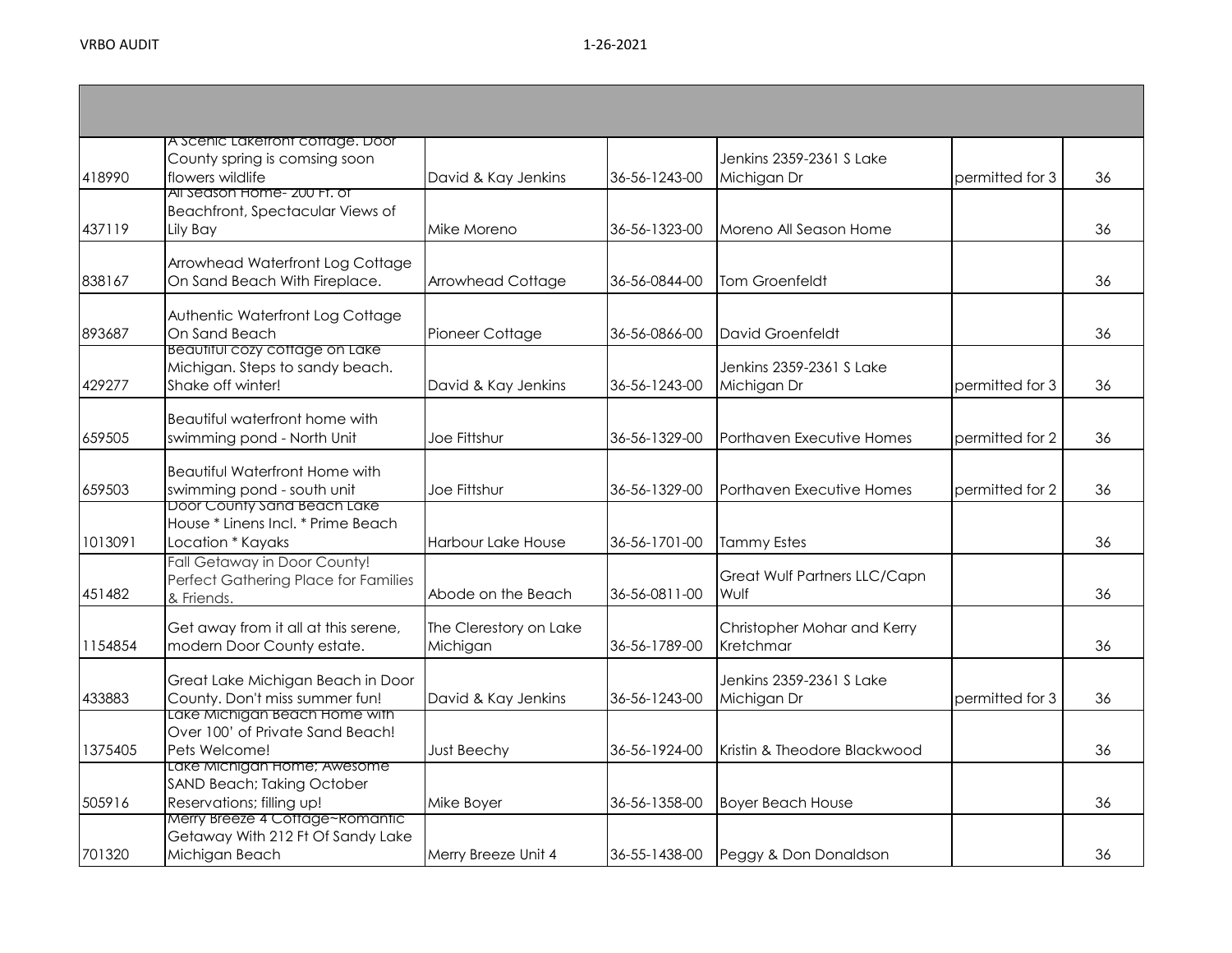| 418990  | A Scenic Lakefront cottage. Door<br>County spring is comsing soon<br>flowers wildlife              | David & Kay Jenkins                | 36-56-1243-00 | Jenkins 2359-2361 S Lake<br>Michigan Dr  | permitted for 3 | 36 |
|---------|----------------------------------------------------------------------------------------------------|------------------------------------|---------------|------------------------------------------|-----------------|----|
| 437119  | All Season Home- 200 FT, of<br>Beachfront, Spectacular Views of<br>Lily Bay                        | Mike Moreno                        | 36-56-1323-00 | Moreno All Season Home                   |                 | 36 |
| 838167  | Arrowhead Waterfront Log Cottage<br>On Sand Beach With Fireplace.                                  | Arrowhead Cottage                  | 36-56-0844-00 | <b>Tom Groenfeldt</b>                    |                 | 36 |
| 893687  | Authentic Waterfront Log Cottage<br>On Sand Beach<br>Beautiful cozy cottage on Lake                | Pioneer Cottage                    | 36-56-0866-00 | <b>David Groenfeldt</b>                  |                 | 36 |
| 429277  | Michigan. Steps to sandy beach.<br>Shake off winter!                                               | David & Kay Jenkins                | 36-56-1243-00 | Jenkins 2359-2361 S Lake<br>Michigan Dr  | permitted for 3 | 36 |
| 659505  | Beautiful waterfront home with<br>swimming pond - North Unit                                       | Joe Fittshur                       | 36-56-1329-00 | Porthaven Executive Homes                | permitted for 2 | 36 |
| 659503  | <b>Beautiful Waterfront Home with</b><br>swimming pond - south unit<br>Door County Sand Beach Lake | Joe Fittshur                       | 36-56-1329-00 | Porthaven Executive Homes                | permitted for 2 | 36 |
| 1013091 | House * Linens Incl. * Prime Beach<br>Location * Kayaks                                            | <b>Harbour Lake House</b>          | 36-56-1701-00 | <b>Tammy Estes</b>                       |                 | 36 |
| 451482  | Fall Getaway in Door County!<br>Perfect Gathering Place for Families<br>& Friends.                 | Abode on the Beach                 | 36-56-0811-00 | Great Wulf Partners LLC/Capn<br>Wulf     |                 | 36 |
| 1154854 | Get away from it all at this serene,<br>modern Door County estate.                                 | The Clerestory on Lake<br>Michigan | 36-56-1789-00 | Christopher Mohar and Kerry<br>Kretchmar |                 | 36 |
| 433883  | Great Lake Michigan Beach in Door<br>County. Don't miss summer fun!                                | David & Kay Jenkins                | 36-56-1243-00 | Jenkins 2359-2361 S Lake<br>Michigan Dr  | permitted for 3 | 36 |
| 1375405 | <u>Lake Michigan Beach Home With </u><br>Over 100' of Private Sand Beach!<br>Pets Welcome!         | <b>Just Beechy</b>                 | 36-56-1924-00 | Kristin & Theodore Blackwood             |                 | 36 |
| 505916  | Lake Michigan Home; Awesome<br><b>SAND Beach; Taking October</b><br>Reservations; filling up!      | Mike Boyer                         | 36-56-1358-00 | <b>Boyer Beach House</b>                 |                 | 36 |
| 701320  | Merry Breeze 4 Cottage~Romantic<br>Getaway With 212 Ft Of Sandy Lake<br>Michigan Beach             | Merry Breeze Unit 4                |               | 36-55-1438-00 Peggy & Don Donaldson      |                 | 36 |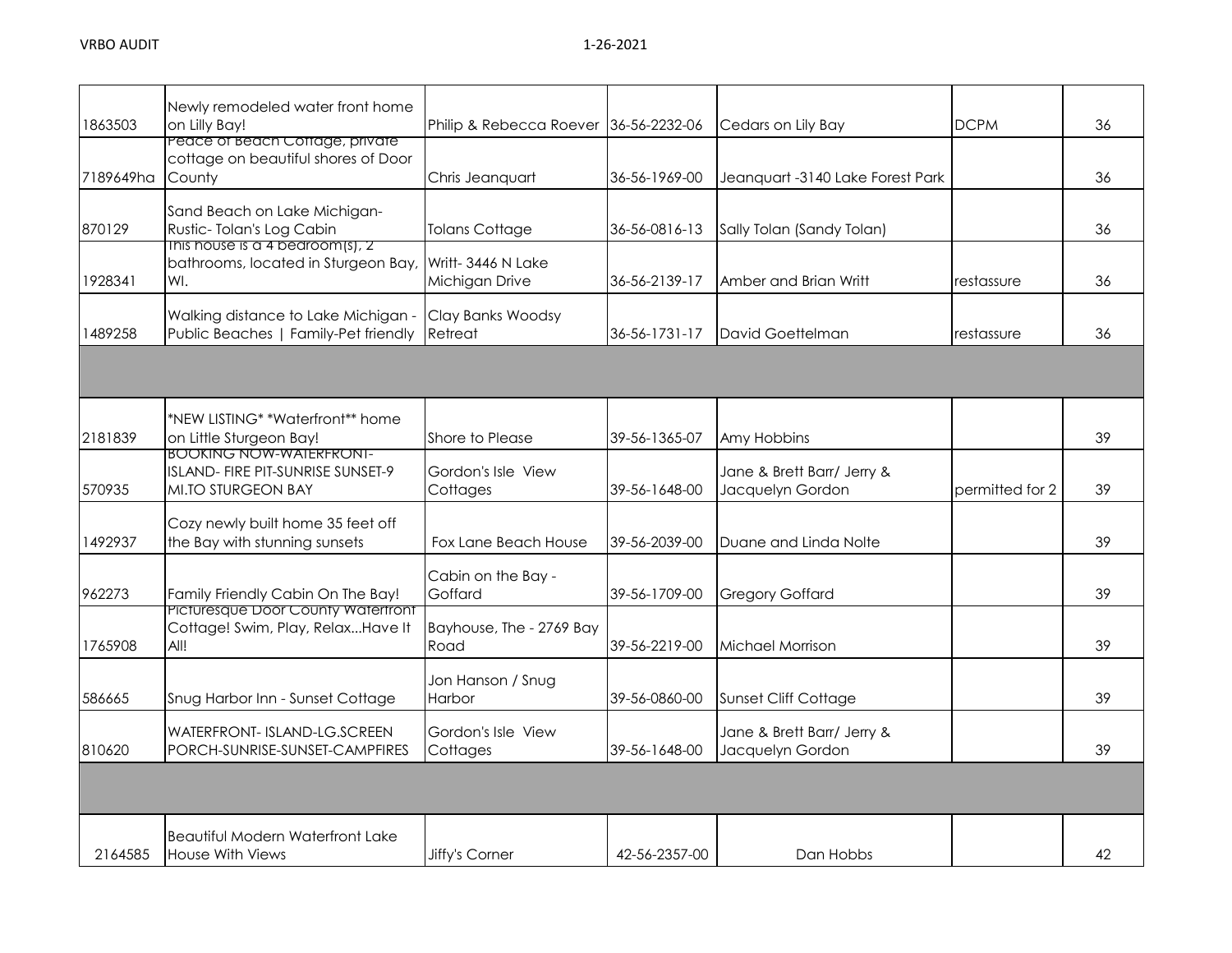| 1863503   | Newly remodeled water front home<br>on Lilly Bay!                                                | Philip & Rebecca Roever 36-56-2232-06 |               | Cedars on Lily Bay                             | <b>DCPM</b>     | 36 |
|-----------|--------------------------------------------------------------------------------------------------|---------------------------------------|---------------|------------------------------------------------|-----------------|----|
| 7189649ha | Peace of Beach Coffage, private<br>cottage on beautiful shores of Door<br>County                 | Chris Jeanquart                       | 36-56-1969-00 | Jeanquart -3140 Lake Forest Park               |                 | 36 |
| 870129    | Sand Beach on Lake Michigan-<br>Rustic-Tolan's Log Cabin                                         | <b>Tolans Cottage</b>                 | 36-56-0816-13 | Sally Tolan (Sandy Tolan)                      |                 | 36 |
| 1928341   | This house is a 4 bedroom(s), $2$<br>bathrooms, located in Sturgeon Bay,<br>WI.                  | Writt-3446 N Lake<br>Michigan Drive   | 36-56-2139-17 | Amber and Brian Writt                          | restassure      | 36 |
| 1489258   | Walking distance to Lake Michigan -<br>Public Beaches   Family-Pet friendly                      | Clay Banks Woodsy<br>Retreat          | 36-56-1731-17 | David Goettelman                               | restassure      | 36 |
|           |                                                                                                  |                                       |               |                                                |                 |    |
| 2181839   | *NEW LISTING* *Waterfront** home<br>on Little Sturgeon Bay!                                      | Shore to Please                       | 39-56-1365-07 | Amy Hobbins                                    |                 | 39 |
| 570935    | <b>BOOKING NOW-WAIERFRONI-</b><br>ISLAND- FIRE PIT-SUNRISE SUNSET-9<br><b>MI.TO STURGEON BAY</b> | Gordon's Isle View<br>Cottages        | 39-56-1648-00 | Jane & Brett Barr/ Jerry &<br>Jacquelyn Gordon | permitted for 2 | 39 |
| 1492937   | Cozy newly built home 35 feet off<br>the Bay with stunning sunsets                               | Fox Lane Beach House                  | 39-56-2039-00 | Duane and Linda Nolte                          |                 | 39 |
| 962273    | Family Friendly Cabin On The Bay!                                                                | Cabin on the Bay -<br>Goffard         | 39-56-1709-00 | <b>Gregory Goffard</b>                         |                 | 39 |
| 1765908   | Picturesque Door County Waterfront<br>Cottage! Swim, Play, RelaxHave It<br>All!                  | Bayhouse, The - 2769 Bay<br>Road      | 39-56-2219-00 | <b>Michael Morrison</b>                        |                 | 39 |
| 586665    | Snug Harbor Inn - Sunset Cottage                                                                 | Jon Hanson / Snug<br>Harbor           | 39-56-0860-00 | <b>Sunset Cliff Cottage</b>                    |                 | 39 |
| 810620    | WATERFRONT- ISLAND-LG.SCREEN<br>PORCH-SUNRISE-SUNSET-CAMPFIRES                                   | Gordon's Isle View<br>Cottages        | 39-56-1648-00 | Jane & Brett Barr/ Jerry &<br>Jacquelyn Gordon |                 | 39 |
|           |                                                                                                  |                                       |               |                                                |                 |    |
| 2164585   | <b>Beautiful Modern Waterfront Lake</b><br>House With Views                                      | Jiffy's Corner                        | 42-56-2357-00 | Dan Hobbs                                      |                 | 42 |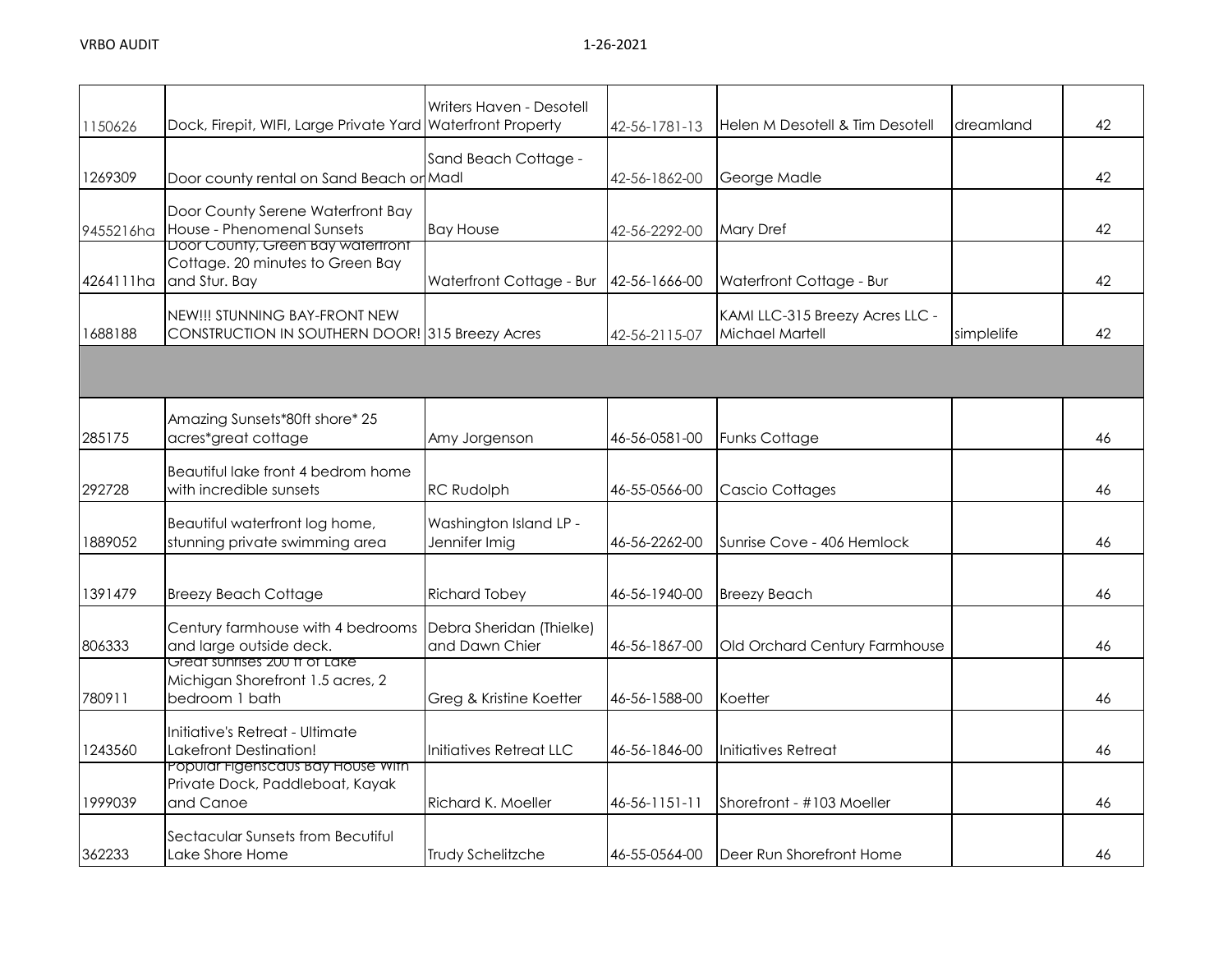| 1150626   | Dock, Firepit, WIFI, Large Private Yard Waterfront Property                            | Writers Haven - Desotell                   | 42-56-1781-13 | Helen M Desotell & Tim Desotell                    | dreamland  | 42 |
|-----------|----------------------------------------------------------------------------------------|--------------------------------------------|---------------|----------------------------------------------------|------------|----|
| 1269309   | Door county rental on Sand Beach or Madl                                               | Sand Beach Cottage -                       | 42-56-1862-00 | George Madle                                       |            | 42 |
| 9455216ha | Door County Serene Waterfront Bay<br>House - Phenomenal Sunsets                        | <b>Bay House</b>                           | 42-56-2292-00 | <b>Mary Dref</b>                                   |            | 42 |
| 4264111ha | Door County, Green Bay watertront<br>Cottage. 20 minutes to Green Bay<br>and Stur. Bay | Waterfront Cottage - Bur                   | 42-56-1666-00 | Waterfront Cottage - Bur                           |            | 42 |
| 1688188   | NEW!!! STUNNING BAY-FRONT NEW<br>CONSTRUCTION IN SOUTHERN DOOR! 315 Breezy Acres       |                                            | 42-56-2115-07 | KAMI LLC-315 Breezy Acres LLC -<br>Michael Martell | simplelife | 42 |
|           |                                                                                        |                                            |               |                                                    |            |    |
| 285175    | Amazing Sunsets*80ft shore* 25<br>acres*great cottage                                  | Amy Jorgenson                              | 46-56-0581-00 | <b>Funks Cottage</b>                               |            | 46 |
| 292728    | Beautiful lake front 4 bedrom home<br>with incredible sunsets                          | <b>RC Rudolph</b>                          | 46-55-0566-00 | <b>Cascio Cottages</b>                             |            | 46 |
| 1889052   | Beautiful waterfront log home,<br>stunning private swimming area                       | Washington Island LP -<br>Jennifer Imig    | 46-56-2262-00 | Sunrise Cove - 406 Hemlock                         |            | 46 |
| 1391479   | <b>Breezy Beach Cottage</b>                                                            | <b>Richard Tobey</b>                       | 46-56-1940-00 | <b>Breezy Beach</b>                                |            | 46 |
| 806333    | Century farmhouse with 4 bedrooms<br>and large outside deck.                           | Debra Sheridan (Thielke)<br>and Dawn Chier | 46-56-1867-00 | Old Orchard Century Farmhouse                      |            | 46 |
| 780911    | Great sunrises 200 ft of Lake<br>Michigan Shorefront 1.5 acres, 2<br>bedroom 1 bath    | Greg & Kristine Koetter                    | 46-56-1588-00 | Koetter                                            |            | 46 |
| 1243560   | Initiative's Retreat - Ultimate<br>Lakefront Destination!                              | Initiatives Retreat LLC                    | 46-56-1846-00 | Initiatives Retreat                                |            | 46 |
| 1999039   | Popular Figenscaus Bay House With<br>Private Dock, Paddleboat, Kayak<br>and Canoe      | Richard K. Moeller                         | 46-56-1151-11 | Shorefront - #103 Moeller                          |            | 46 |
| 362233    | Sectacular Sunsets from Becutiful<br>Lake Shore Home                                   | Trudy Schelitzche                          | 46-55-0564-00 | Deer Run Shorefront Home                           |            | 46 |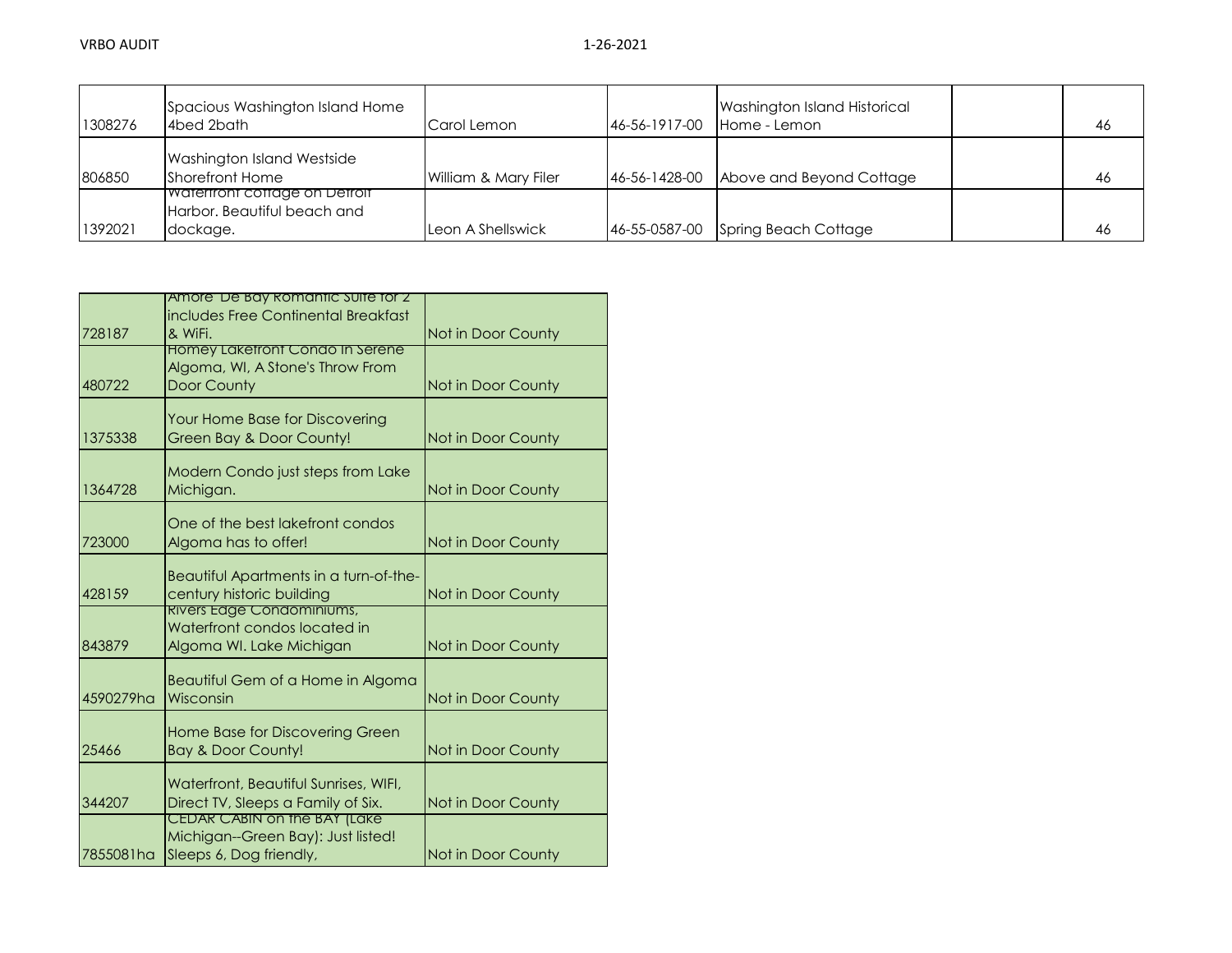| 1308276 | Spacious Washington Island Home<br>4bed 2bath                            | Carol Lemon          | 46-56-1917-00 | Washington Island Historical<br>Home - Lemon | 46 |
|---------|--------------------------------------------------------------------------|----------------------|---------------|----------------------------------------------|----|
| 806850  | Washington Island Westside<br>Shorefront Home                            | William & Mary Filer | 46-56-1428-00 | Above and Beyond Cottage                     | 46 |
| 1392021 | waterfront cottage on Detroit<br>Harbor. Beautiful beach and<br>dockage. | Leon A Shellswick    | 46-55-0587-00 | Spring Beach Cottage                         | 46 |

|           | Amore' De Bay Romantic Suite for 2                                 |                    |
|-----------|--------------------------------------------------------------------|--------------------|
|           | includes Free Continental Breakfast                                |                    |
| 728187    | & WiFi.                                                            | Not in Door County |
|           | <b>Homey Lakefront Condo In Serene</b>                             |                    |
|           | Algoma, WI, A Stone's Throw From                                   |                    |
| 480722    | <b>Door County</b>                                                 | Not in Door County |
|           | Your Home Base for Discovering                                     |                    |
| 1375338   | Green Bay & Door County!                                           | Not in Door County |
|           |                                                                    |                    |
|           | Modern Condo just steps from Lake                                  |                    |
| 1364728   | Michigan.                                                          | Not in Door County |
|           |                                                                    |                    |
| 723000    | One of the best lakefront condos                                   |                    |
|           | Algoma has to offer!                                               | Not in Door County |
|           | Beautiful Apartments in a turn-of-the-                             |                    |
| 428159    | century historic building                                          | Not in Door County |
|           | Rivers Edge Condominiums,                                          |                    |
|           | Waterfront condos located in                                       |                    |
| 843879    | Algoma WI. Lake Michigan                                           | Not in Door County |
|           |                                                                    |                    |
| 4590279ha | Beautiful Gem of a Home in Algoma<br>Wisconsin                     | Not in Door County |
|           |                                                                    |                    |
|           | <b>Home Base for Discovering Green</b>                             |                    |
| 25466     | <b>Bay &amp; Door County!</b>                                      | Not in Door County |
|           |                                                                    |                    |
|           | Waterfront, Beautiful Sunrises, WIFL,                              |                    |
| 344207    | Direct TV, Sleeps a Family of Six.                                 | Not in Door County |
|           | CEDAR CABIN on the BAY (Lake<br>Michigan--Green Bay): Just listed! |                    |
| 7855081ha | Sleeps 6, Dog friendly,                                            | Not in Door County |
|           |                                                                    |                    |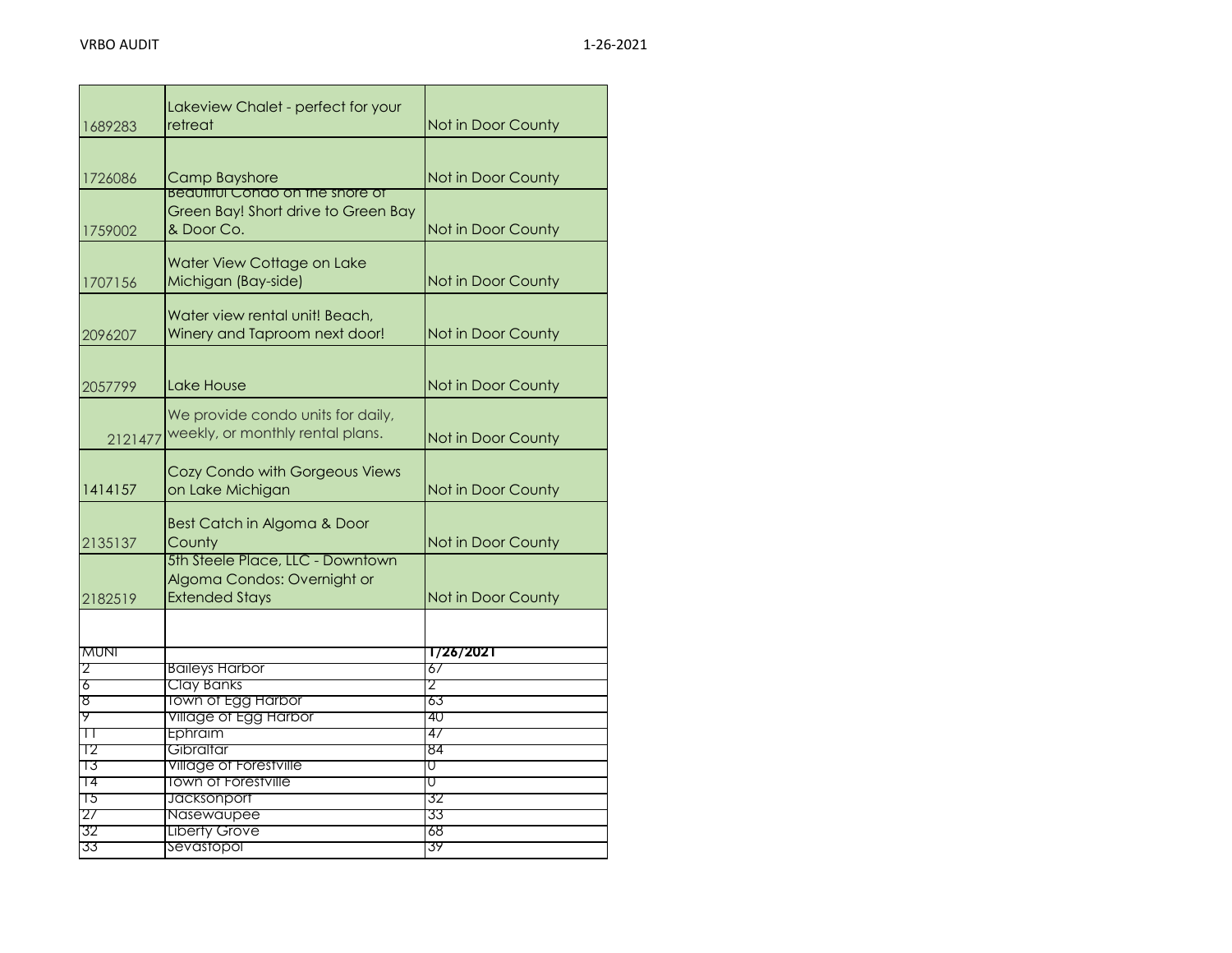| 1689283 | Lakeview Chalet - perfect for your<br>retreat                                            | Not in Door County |
|---------|------------------------------------------------------------------------------------------|--------------------|
| 1726086 | Camp Bayshore<br><u>Beaufiful Condo on the shore of</u>                                  | Not in Door County |
| 1759002 | Green Bay! Short drive to Green Bay<br>& Door Co.                                        | Not in Door County |
| 1707156 | Water View Cottage on Lake<br>Michigan (Bay-side)                                        | Not in Door County |
| 2096207 | Water view rental unit! Beach,<br>Winery and Taproom next door!                          | Not in Door County |
| 2057799 | Lake House                                                                               | Not in Door County |
| 2121477 | We provide condo units for daily,<br>weekly, or monthly rental plans.                    | Not in Door County |
| 1414157 | Cozy Condo with Gorgeous Views<br>on Lake Michigan                                       | Not in Door County |
| 2135137 | Best Catch in Algoma & Door<br>County                                                    | Not in Door County |
| 2182519 | 5th Steele Place, LLC - Downtown<br>Algoma Condos: Overnight or<br><b>Extended Stays</b> | Not in Door County |
|         |                                                                                          |                    |
| MUNI    |                                                                                          | 1/26/2021          |
| 2       | <b>Baileys Harbor</b>                                                                    | 67                 |
| 6<br>४  | <b>Clay Banks</b><br><b>Town of Egg Harbor</b>                                           | 2<br>63            |
| ሃ       | Village of Egg Harbor                                                                    | 40                 |
| $\top$  | Ephraim                                                                                  | 47                 |
| Т2      | Gibraltar                                                                                | 84                 |
| 73      | Village of Forestville                                                                   | U                  |
| 14      | <b>Town of Forestville</b>                                                               | U                  |
| 75      | Jacksonport                                                                              | 32                 |
| 27      | Nasewaupee                                                                               | 33                 |
| 32      | <b>Liberty Grove</b>                                                                     | 68                 |
| 33      | Sevastopol                                                                               | 39                 |